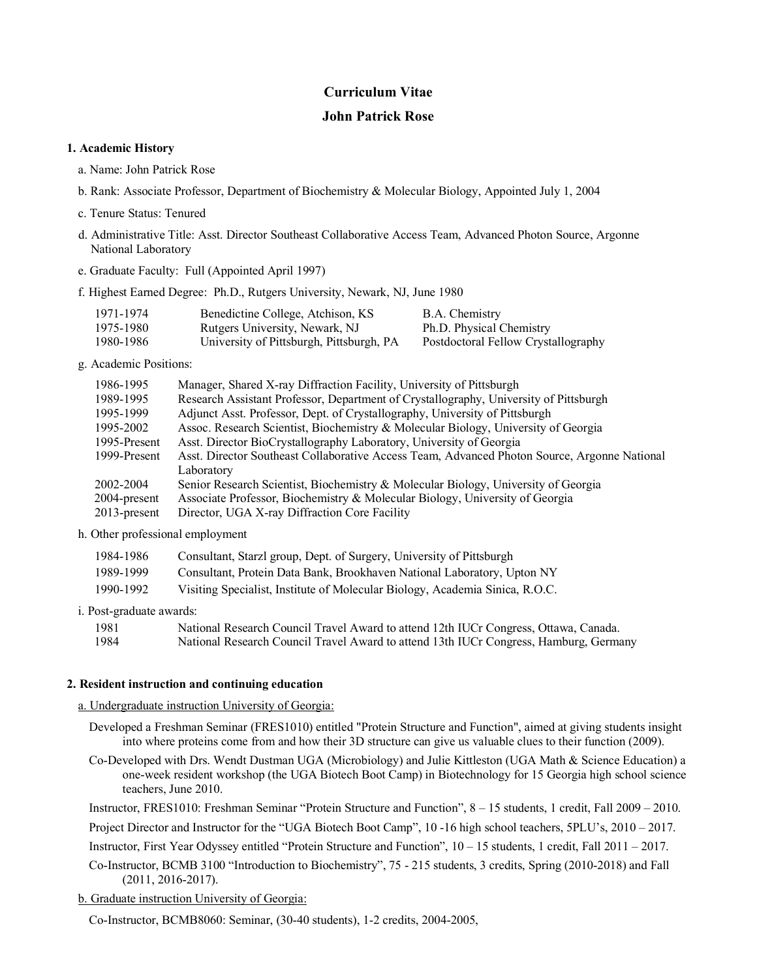# **Curriculum Vitae**

# **John Patrick Rose**

## **1. Academic History**

- a. Name: John Patrick Rose
- b. Rank: Associate Professor, Department of Biochemistry & Molecular Biology, Appointed July 1, 2004
- c. Tenure Status: Tenured
- d. Administrative Title: Asst. Director Southeast Collaborative Access Team, Advanced Photon Source, Argonne National Laboratory
- e. Graduate Faculty: Full (Appointed April 1997)
- f. Highest Earned Degree: Ph.D., Rutgers University, Newark, NJ, June 1980

| 1971-1974 | Benedictine College, Atchison, KS        | B.A. Chemistry                      |
|-----------|------------------------------------------|-------------------------------------|
| 1975-1980 | Rutgers University, Newark, NJ           | Ph.D. Physical Chemistry            |
| 1980-1986 | University of Pittsburgh, Pittsburgh, PA | Postdoctoral Fellow Crystallography |

g. Academic Positions:

| 1986-1995       | Manager, Shared X-ray Diffraction Facility, University of Pittsburgh                         |
|-----------------|----------------------------------------------------------------------------------------------|
| 1989-1995       | Research Assistant Professor, Department of Crystallography, University of Pittsburgh        |
| 1995-1999       | Adjunct Asst. Professor, Dept. of Crystallography, University of Pittsburgh                  |
| 1995-2002       | Assoc. Research Scientist, Biochemistry & Molecular Biology, University of Georgia           |
| 1995-Present    | Asst. Director BioCrystallography Laboratory, University of Georgia                          |
| 1999-Present    | Asst. Director Southeast Collaborative Access Team, Advanced Photon Source, Argonne National |
|                 | Laboratory                                                                                   |
| 2002-2004       | Senior Research Scientist, Biochemistry & Molecular Biology, University of Georgia           |
| 2004-present    | Associate Professor, Biochemistry & Molecular Biology, University of Georgia                 |
| $2013$ -present | Director, UGA X-ray Diffraction Core Facility                                                |

h. Other professional employment

| 1984-1986 | Consultant, Starzl group, Dept. of Surgery, University of Pittsburgh         |
|-----------|------------------------------------------------------------------------------|
| 1989-1999 | Consultant, Protein Data Bank, Brookhaven National Laboratory, Upton NY      |
| 1990-1992 | Visiting Specialist, Institute of Molecular Biology, Academia Sinica, R.O.C. |

i. Post-graduate awards:

| 1981 | National Research Council Travel Award to attend 12th IUCr Congress, Ottawa, Canada.  |
|------|---------------------------------------------------------------------------------------|
| 1984 | National Research Council Travel Award to attend 13th IUCr Congress, Hamburg, Germany |

# **2. Resident instruction and continuing education**

## a. Undergraduate instruction University of Georgia:

- Developed a Freshman Seminar (FRES1010) entitled "Protein Structure and Function", aimed at giving students insight into where proteins come from and how their 3D structure can give us valuable clues to their function (2009).
- Co-Developed with Drs. Wendt Dustman UGA (Microbiology) and Julie Kittleston (UGA Math & Science Education) a one-week resident workshop (the UGA Biotech Boot Camp) in Biotechnology for 15 Georgia high school science teachers, June 2010.

Instructor, FRES1010: Freshman Seminar "Protein Structure and Function", 8 – 15 students, 1 credit, Fall 2009 – 2010.

Project Director and Instructor for the "UGA Biotech Boot Camp", 10 -16 high school teachers, 5PLU's, 2010 – 2017.

Instructor, First Year Odyssey entitled "Protein Structure and Function", 10 – 15 students, 1 credit, Fall 2011 – 2017.

- Co-Instructor, BCMB 3100 "Introduction to Biochemistry", 75 215 students, 3 credits, Spring (2010-2018) and Fall (2011, 2016-2017).
- b. Graduate instruction University of Georgia:

Co-Instructor, BCMB8060: Seminar, (30-40 students), 1-2 credits, 2004-2005,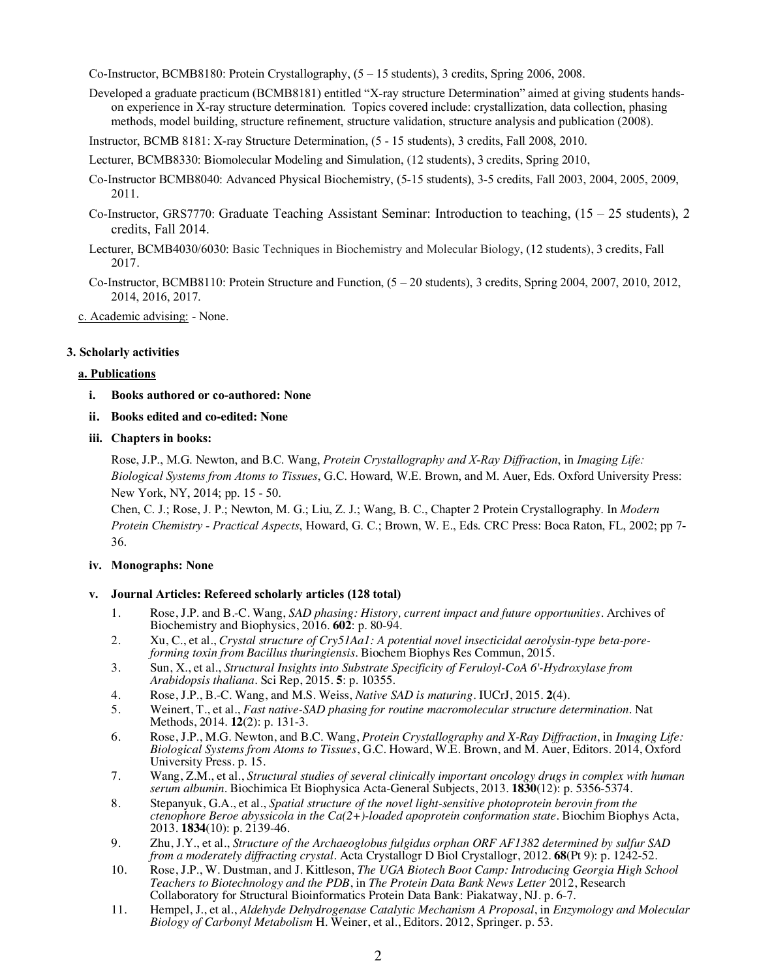Co-Instructor, BCMB8180: Protein Crystallography, (5 – 15 students), 3 credits, Spring 2006, 2008.

Developed a graduate practicum (BCMB8181) entitled "X-ray structure Determination" aimed at giving students handson experience in X-ray structure determination. Topics covered include: crystallization, data collection, phasing methods, model building, structure refinement, structure validation, structure analysis and publication (2008).

Instructor, BCMB 8181: X-ray Structure Determination, (5 - 15 students), 3 credits, Fall 2008, 2010.

Lecturer, BCMB8330: Biomolecular Modeling and Simulation, (12 students), 3 credits, Spring 2010,

- Co-Instructor BCMB8040: Advanced Physical Biochemistry, (5-15 students), 3-5 credits, Fall 2003, 2004, 2005, 2009, 2011.
- Co-Instructor, GRS7770: Graduate Teaching Assistant Seminar: Introduction to teaching, (15 25 students), 2 credits, Fall 2014.
- Lecturer, BCMB4030/6030: Basic Techniques in Biochemistry and Molecular Biology, (12 students), 3 credits, Fall 2017.
- Co-Instructor, BCMB8110: Protein Structure and Function,  $(5 20$  students), 3 credits, Spring 2004, 2007, 2010, 2012, 2014, 2016, 2017.

c. Academic advising: - None.

# **3. Scholarly activities**

## **a. Publications**

- **i. Books authored or co-authored: None**
- **ii. Books edited and co-edited: None**

## **iii. Chapters in books:**

Rose, J.P., M.G. Newton, and B.C. Wang, *Protein Crystallography and X-Ray Diffraction*, in *Imaging Life: Biological Systems from Atoms to Tissues*, G.C. Howard, W.E. Brown, and M. Auer, Eds. Oxford University Press: New York, NY, 2014; pp. 15 - 50.

Chen, C. J.; Rose, J. P.; Newton, M. G.; Liu, Z. J.; Wang, B. C., Chapter 2 Protein Crystallography. In *Modern Protein Chemistry - Practical Aspects*, Howard, G. C.; Brown, W. E., Eds. CRC Press: Boca Raton, FL, 2002; pp 7- 36.

# **iv. Monographs: None**

# **v. Journal Articles: Refereed scholarly articles (128 total)**

- 1. Rose, J.P. and B.-C. Wang, *SAD phasing: History, current impact and future opportunities.* Archives of Biochemistry and Biophysics, 2016. **602**: p. 80-94.
- 2. Xu, C., et al., *Crystal structure of Cry51Aa1: A potential novel insecticidal aerolysin-type beta-pore- forming toxin from Bacillus thuringiensis.* Biochem Biophys Res Commun, 2015.
- 3. Sun, X., et al., *Structural Insights into Substrate Specificity of Feruloyl-CoA 6'-Hydroxylase from Arabidopsis thaliana.* Sci Rep, 2015. **5**: p. 10355.
- 4. Rose, J.P., B.-C. Wang, and M.S. Weiss, *Native SAD is maturing.* IUCrJ, 2015. **2**(4).
- 5. Weinert, T., et al., *Fast native-SAD phasing for routine macromolecular structure determination.* Nat Methods, 2014. **12**(2): p. 131-3.
- 6. Rose, J.P., M.G. Newton, and B.C. Wang, *Protein Crystallography and X-Ray Diffraction*, in *Imaging Life: Biological Systems from Atoms to Tissues*, G.C. Howard, W.E. Brown, and M. Auer, Editors. 2014, Oxford University Press. p. 15.
- 7. Wang, Z.M., et al., *Structural studies of several clinically important oncology drugs in complex with human serum albumin.* Biochimica Et Biophysica Acta-General Subjects, 2013. **1830**(12): p. 5356-5374.
- 8. Stepanyuk, G.A., et al., *Spatial structure of the novel light-sensitive photoprotein berovin from the ctenophore Beroe abyssicola in the Ca(2+)-loaded apoprotein conformation state.* Biochim Biophys Acta, 2013. **1834**(10): p. 2139-46.
- 9. Zhu, J.Y., et al., *Structure of the Archaeoglobus fulgidus orphan ORF AF1382 determined by sulfur SAD from a moderately diffracting crystal.* Acta Crystallogr D Biol Crystallogr, 2012. **68**(Pt 9): p. 1242-52.
- 10. Rose, J.P., W. Dustman, and J. Kittleson, *The UGA Biotech Boot Camp: Introducing Georgia High School Teachers to Biotechnology and the PDB*, in *The Protein Data Bank News Letter* 2012, Research Collaboratory for Structural Bioinformatics Protein Data Bank: Piakatway, NJ. p. 6-7.
- 11. Hempel, J., et al., *Aldehyde Dehydrogenase Catalytic Mechanism A Proposal*, in *Enzymology and Molecular Biology of Carbonyl Metabolism* H. Weiner, et al., Editors. 2012, Springer. p. 53.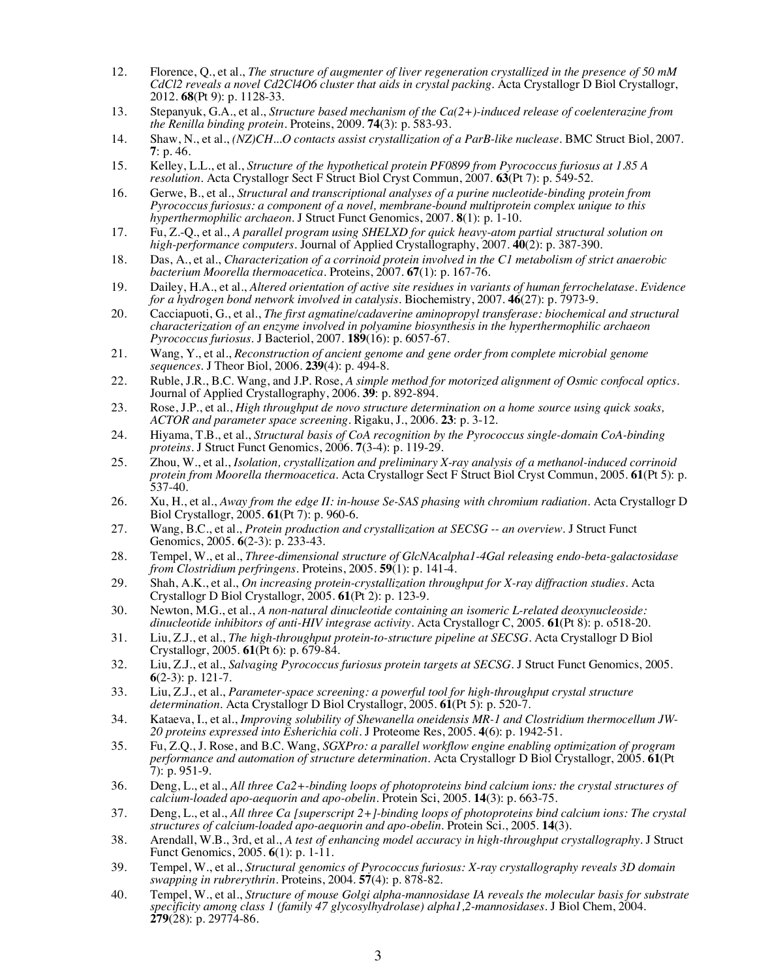- 12. Florence, Q., et al., *The structure of augmenter of liver regeneration crystallized in the presence of 50 mM CdCl2 reveals a novel Cd2Cl4O6 cluster that aids in crystal packing.* Acta Crystallogr D Biol Crystallogr, 2012. **68**(Pt 9): p. 1128-33.
- 13. Stepanyuk, G.A., et al., *Structure based mechanism of the Ca(2+)-induced release of coelenterazine from the Renilla binding protein.* Proteins, 2009. **74**(3): p. 583-93.
- 14. Shaw, N., et al., *(NZ)CH...O contacts assist crystallization of a ParB-like nuclease.* BMC Struct Biol, 2007. **7**: p. 46.
- 15. Kelley, L.L., et al., *Structure of the hypothetical protein PF0899 from Pyrococcus furiosus at 1.85 A resolution.* Acta Crystallogr Sect F Struct Biol Cryst Commun, 2007. **63**(Pt 7): p. 549-52.
- 16. Gerwe, B., et al., *Structural and transcriptional analyses of a purine nucleotide-binding protein from Pyrococcus furiosus: a component of a novel, membrane-bound multiprotein complex unique to this hyperthermophilic archaeon.* J Struct Funct Genomics, 2007. **8**(1): p. 1-10.
- 17. Fu, Z.-Q., et al., *A parallel program using SHELXD for quick heavy-atom partial structural solution on high-performance computers.* Journal of Applied Crystallography, 2007. **40**(2): p. 387-390.
- 18. Das, A., et al., *Characterization of a corrinoid protein involved in the C1 metabolism of strict anaerobic bacterium Moorella thermoacetica.* Proteins, 2007. **67**(1): p. 167-76.
- 19. Dailey, H.A., et al., *Altered orientation of active site residues in variants of human ferrochelatase. Evidence for a hydrogen bond network involved in catalysis.* Biochemistry, 2007. **46**(27): p. 7973-9.
- 20. Cacciapuoti, G., et al., *The first agmatine/cadaverine aminopropyl transferase: biochemical and structural characterization of an enzyme involved in polyamine biosynthesis in the hyperthermophilic archaeon Pyrococcus furiosus.* J Bacteriol, 2007. **189**(16): p. 6057-67.
- 21. Wang, Y., et al., *Reconstruction of ancient genome and gene order from complete microbial genome sequences.* J Theor Biol, 2006. **239**(4): p. 494-8.
- 22. Ruble, J.R., B.C. Wang, and J.P. Rose, *A simple method for motorized alignment of Osmic confocal optics.* Journal of Applied Crystallography, 2006. **39**: p. 892-894.
- 23. Rose, J.P., et al., *High throughput de novo structure determination on a home source using quick soaks, ACTOR and parameter space screening.* Rigaku, J., 2006. **23**: p. 3-12.
- 24. Hiyama, T.B., et al., *Structural basis of CoA recognition by the Pyrococcus single-domain CoA-binding proteins.* J Struct Funct Genomics, 2006. **7**(3-4): p. 119-29.
- 25. Zhou, W., et al., *Isolation, crystallization and preliminary X-ray analysis of a methanol-induced corrinoid protein from Moorella thermoacetica.* Acta Crystallogr Sect F Struct Biol Cryst Commun, 2005. **61**(Pt 5): p. 537-40.
- 26. Xu, H., et al., *Away from the edge II: in-house Se-SAS phasing with chromium radiation.* Acta Crystallogr D Biol Crystallogr, 2005. **61**(Pt 7): p. 960-6.
- 27. Wang, B.C., et al., *Protein production and crystallization at SECSG -- an overview.* J Struct Funct Genomics, 2005. **6**(2-3): p. 233-43.
- 28. Tempel, W., et al., *Three-dimensional structure of GlcNAcalpha1-4Gal releasing endo-beta-galactosidase from Clostridium perfringens.* Proteins, 2005. **59**(1): p. 141-4.
- 29. Shah, A.K., et al., *On increasing protein-crystallization throughput for X-ray diffraction studies.* Acta Crystallogr D Biol Crystallogr, 2005. **61**(Pt 2): p. 123-9.
- 30. Newton, M.G., et al., *A non-natural dinucleotide containing an isomeric L-related deoxynucleoside: dinucleotide inhibitors of anti-HIV integrase activity.* Acta Crystallogr C, 2005. **61**(Pt 8): p. o518-20.
- 31. Liu, Z.J., et al., *The high-throughput protein-to-structure pipeline at SECSG.* Acta Crystallogr D Biol Crystallogr, 2005. **61**(Pt 6): p. 679-84.
- 32. Liu, Z.J., et al., *Salvaging Pyrococcus furiosus protein targets at SECSG.* J Struct Funct Genomics, 2005. **6**(2-3): p. 121-7.
- 33. Liu, Z.J., et al., *Parameter-space screening: a powerful tool for high-throughput crystal structure determination.* Acta Crystallogr D Biol Crystallogr, 2005. **61**(Pt 5): p. 520-7.
- 34. Kataeva, I., et al., *Improving solubility of Shewanella oneidensis MR-1 and Clostridium thermocellum JW- 20 proteins expressed into Esherichia coli.* J Proteome Res, 2005. **4**(6): p. 1942-51.
- 35. Fu, Z.Q., J. Rose, and B.C. Wang, *SGXPro: a parallel workflow engine enabling optimization of program performance and automation of structure determination.* Acta Crystallogr D Biol Crystallogr, 2005. **61**(Pt 7): p. 951-9.
- 36. Deng, L., et al., *All three Ca2+-binding loops of photoproteins bind calcium ions: the crystal structures of calcium-loaded apo-aequorin and apo-obelin.* Protein Sci, 2005. **14**(3): p. 663-75.
- 37. Deng, L., et al., *All three Ca [superscript 2+]-binding loops of photoproteins bind calcium ions: The crystal structures of calcium-loaded apo-aequorin and apo-obelin.* Protein Sci., 2005. **14**(3).
- 38. Arendall, W.B., 3rd, et al., *A test of enhancing model accuracy in high-throughput crystallography.* J Struct Funct Genomics, 2005. **6**(1): p. 1-11.
- 39. Tempel, W., et al., *Structural genomics of Pyrococcus furiosus: X-ray crystallography reveals 3D domain swapping in rubrerythrin.* Proteins, 2004. **57**(4): p. 878-82.
- 40. Tempel, W., et al., *Structure of mouse Golgi alpha-mannosidase IA reveals the molecular basis for substrate specificity among class 1 (family 47 glycosylhydrolase) alpha1,2-mannosidases.* J Biol Chem, 2004. **279**(28): p. 29774-86.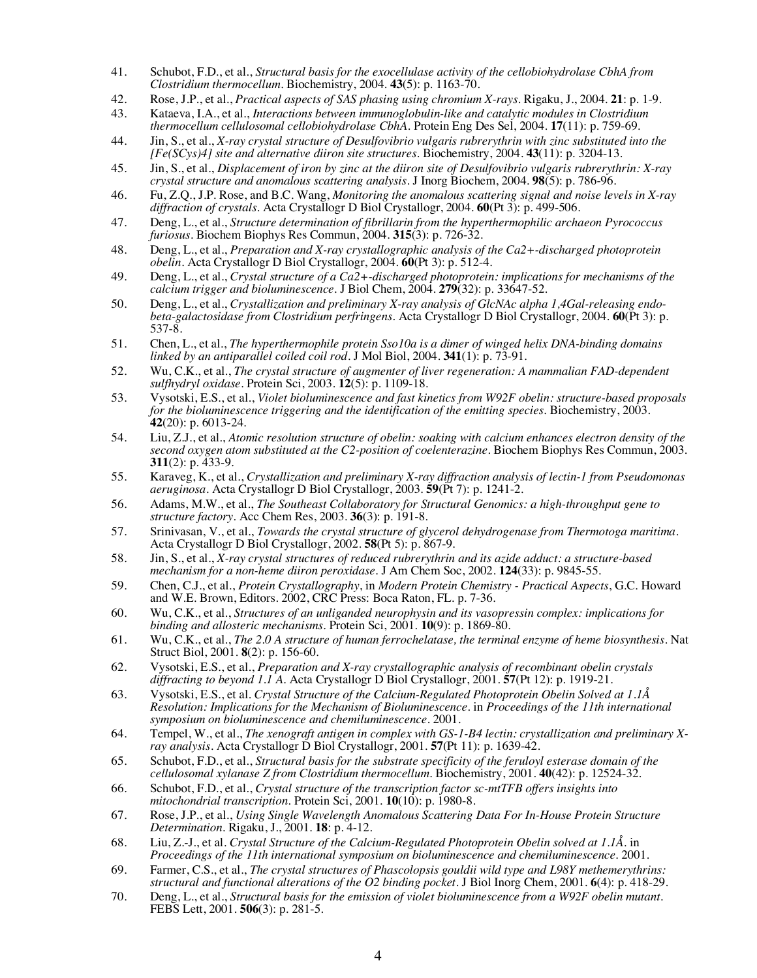- 41. Schubot, F.D., et al., *Structural basis for the exocellulase activity of the cellobiohydrolase CbhA from Clostridium thermocellum.* Biochemistry, 2004. **43**(5): p. 1163-70.
- 42. Rose, J.P., et al., *Practical aspects of SAS phasing using chromium X-rays.* Rigaku, J., 2004. **21**: p. 1-9.
- 43. Kataeva, I.A., et al., *Interactions between immunoglobulin-like and catalytic modules in Clostridium thermocellum cellulosomal cellobiohydrolase CbhA.* Protein Eng Des Sel, 2004. **17**(11): p. 759-69.
- 44. Jin, S., et al., *X-ray crystal structure of Desulfovibrio vulgaris rubrerythrin with zinc substituted into the [Fe(SCys)4] site and alternative diiron site structures.* Biochemistry, 2004. **43**(11): p. 3204-13.
- 45. Jin, S., et al., *Displacement of iron by zinc at the diiron site of Desulfovibrio vulgaris rubrerythrin: X-ray crystal structure and anomalous scattering analysis.* J Inorg Biochem, 2004. **98**(5): p. 786-96.
- 46. Fu, Z.Q., J.P. Rose, and B.C. Wang, *Monitoring the anomalous scattering signal and noise levels in X-ray diffraction of crystals.* Acta Crystallogr D Biol Crystallogr, 2004. **60**(Pt 3): p. 499-506.
- 47. Deng, L., et al., *Structure determination of fibrillarin from the hyperthermophilic archaeon Pyrococcus furiosus.* Biochem Biophys Res Commun, 2004. **315**(3): p. 726-32.
- 48. Deng, L., et al., *Preparation and X-ray crystallographic analysis of the Ca2+-discharged photoprotein obelin.* Acta Crystallogr D Biol Crystallogr, 2004. **60**(Pt 3): p. 512-4.
- 49. Deng, L., et al., *Crystal structure of a Ca2+-discharged photoprotein: implications for mechanisms of the calcium trigger and bioluminescence.* J Biol Chem, 2004. **279**(32): p. 33647-52.
- 50. Deng, L., et al., Crystallization and preliminary X-ray analysis of GlcNAc alpha 1,4Gal-releasing endo-<br>beta-galactosidase from Clostridium perfringens. Acta Crystallogr D Biol Crystallogr, 2004. 60(Pt 3): p. 537-8.
- 51. Chen, L., et al., *The hyperthermophile protein Sso10a is a dimer of winged helix DNA-binding domains linked by an antiparallel coiled coil rod.* J Mol Biol, 2004. **341**(1): p. 73-91.
- 52. Wu, C.K., et al., *The crystal structure of augmenter of liver regeneration: A mammalian FAD-dependent sulfhydryl oxidase.* Protein Sci, 2003. **12**(5): p. 1109-18.
- 53. Vysotski, E.S., et al., *Violet bioluminescence and fast kinetics from W92F obelin: structure-based proposals for the bioluminescence triggering and the identification of the emitting species.* Biochemistry, 2003. **42**(20): p. 6013-24.
- 54. Liu, Z.J., et al., *Atomic resolution structure of obelin: soaking with calcium enhances electron density of the second oxygen atom substituted at the C2-position of coelenterazine.* Biochem Biophys Res Commun, 2003. **311**(2): p. 433-9.
- 55. Karaveg, K., et al., *Crystallization and preliminary X-ray diffraction analysis of lectin-1 from Pseudomonas aeruginosa.* Acta Crystallogr D Biol Crystallogr, 2003. **59**(Pt 7): p. 1241-2.
- 56. Adams, M.W., et al., *The Southeast Collaboratory for Structural Genomics: a high-throughput gene to structure factory.* Acc Chem Res, 2003. **36**(3): p. 191-8.
- 57. Srinivasan, V., et al., *Towards the crystal structure of glycerol dehydrogenase from Thermotoga maritima.* Acta Crystallogr D Biol Crystallogr, 2002. **58**(Pt 5): p. 867-9.
- 58. Jin, S., et al., *X-ray crystal structures of reduced rubrerythrin and its azide adduct: a structure-based mechanism for a non-heme diiron peroxidase.* J Am Chem Soc, 2002. **124**(33): p. 9845-55.
- 59. Chen, C.J., et al., *Protein Crystallography*, in *Modern Protein Chemistry - Practical Aspects*, G.C. Howard and W.E. Brown, Editors. 2002, CRC Press: Boca Raton, FL. p. 7-36.
- 60. Wu, C.K., et al., *Structures of an unliganded neurophysin and its vasopressin complex: implications for binding and allosteric mechanisms.* Protein Sci, 2001. **10**(9): p. 1869-80.
- 61. Wu, C.K., et al., *The 2.0 A structure of human ferrochelatase, the terminal enzyme of heme biosynthesis.* Nat Struct Biol, 2001. **8**(2): p. 156-60.
- 62. Vysotski, E.S., et al., *Preparation and X-ray crystallographic analysis of recombinant obelin crystals diffracting to beyond 1.1 A.* Acta Crystallogr D Biol Crystallogr, 2001. **57**(Pt 12): p. 1919-21.
- 63. Vysotski, E.S., et al. *Crystal Structure of the Calcium-Regulated Photoprotein Obelin Solved at 1.1Å Resolution: Implications for the Mechanism of Bioluminescence*. in *Proceedings of the 11th international symposium on bioluminescence and chemiluminescence*. 2001.
- 64. Tempel, W., et al., *The xenograft antigen in complex with GS-1-B4 lectin: crystallization and preliminary X- ray analysis.* Acta Crystallogr D Biol Crystallogr, 2001. **57**(Pt 11): p. 1639-42.
- 65. Schubot, F.D., et al., *Structural basis for the substrate specificity of the feruloyl esterase domain of the cellulosomal xylanase Z from Clostridium thermocellum.* Biochemistry, 2001. **40**(42): p. 12524-32.
- 66. Schubot, F.D., et al., *Crystal structure of the transcription factor sc-mtTFB offers insights into mitochondrial transcription.* Protein Sci, 2001. **10**(10): p. 1980-8.
- 67. Rose, J.P., et al., *Using Single Wavelength Anomalous Scattering Data For In-House Protein Structure Determination.* Rigaku, J., 2001. **18**: p. 4-12.
- 68. Liu, Z.-J., et al. *Crystal Structure of the Calcium-Regulated Photoprotein Obelin solved at 1.1Å*. in *Proceedings of the 11th international symposium on bioluminescence and chemiluminescence*. 2001.
- 69. Farmer, C.S., et al., *The crystal structures of Phascolopsis gouldii wild type and L98Y methemerythrins: structural and functional alterations of the O2 binding pocket.* J Biol Inorg Chem, 2001. **6**(4): p. 418-29.
- 70. Deng, L., et al., *Structural basis for the emission of violet bioluminescence from a W92F obelin mutant.* FEBS Lett, 2001. **506**(3): p. 281-5.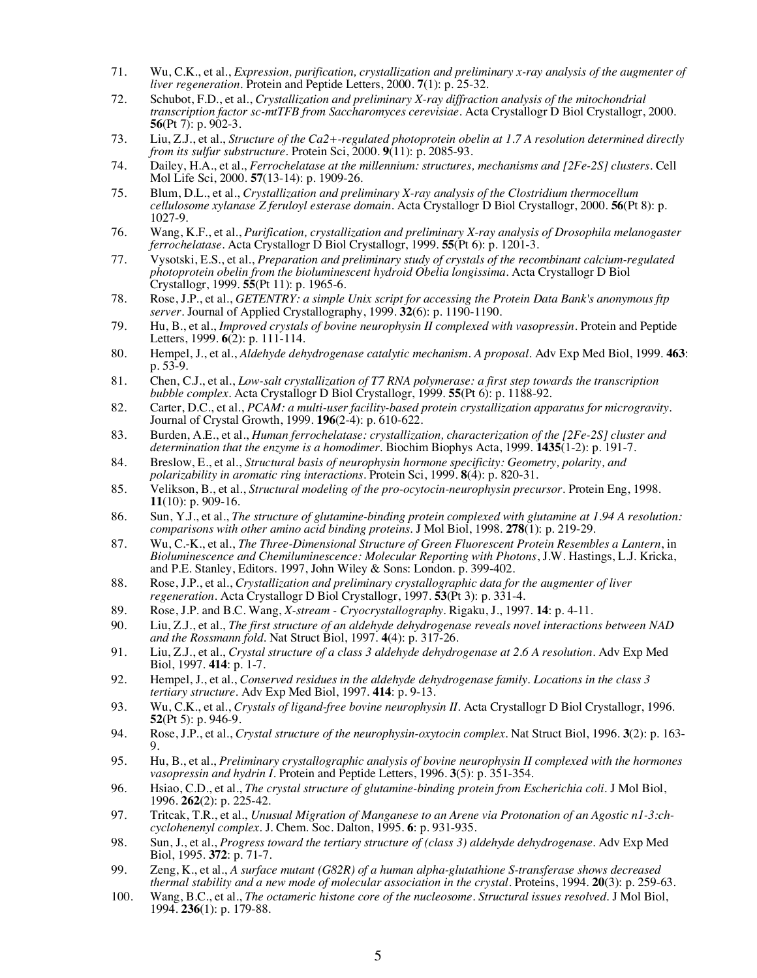- 71. Wu, C.K., et al., *Expression, purification, crystallization and preliminary x-ray analysis of the augmenter of liver regeneration.* Protein and Peptide Letters, 2000. **7**(1): p. 25-32.
- 72. Schubot, F.D., et al., *Crystallization and preliminary X-ray diffraction analysis of the mitochondrial transcription factor sc-mtTFB from Saccharomyces cerevisiae.* Acta Crystallogr D Biol Crystallogr, 2000. **56**(Pt 7): p. 902-3.
- 73. Liu, Z.J., et al., *Structure of the Ca2+-regulated photoprotein obelin at 1.7 A resolution determined directly from its sulfur substructure.* Protein Sci, 2000. **9**(11): p. 2085-93.
- 74. Dailey, H.A., et al., *Ferrochelatase at the millennium: structures, mechanisms and [2Fe-2S] clusters.* Cell Mol Life Sci, 2000. **57**(13-14): p. 1909-26.
- 75. Blum, D.L., et al., *Crystallization and preliminary X-ray analysis of the Clostridium thermocellum cellulosome xylanase Z feruloyl esterase domain.* Acta Crystallogr D Biol Crystallogr, 2000. **56**(Pt 8): p. 1027-9.
- 76. Wang, K.F., et al., *Purification, crystallization and preliminary X-ray analysis of Drosophila melanogaster ferrochelatase.* Acta Crystallogr D Biol Crystallogr, 1999. **55**(Pt 6): p. 1201-3.
- 77. Vysotski, E.S., et al., *Preparation and preliminary study of crystals of the recombinant calcium-regulated photoprotein obelin from the bioluminescent hydroid Obelia longissima.* Acta Crystallogr D Biol Crystallogr, 1999. **55**(Pt 11): p. 1965-6.
- 78. Rose, J.P., et al., *GETENTRY: a simple Unix script for accessing the Protein Data Bank's anonymous ftp server.* Journal of Applied Crystallography, 1999. **32**(6): p. 1190-1190.
- 79. Hu, B., et al., *Improved crystals of bovine neurophysin II complexed with vasopressin.* Protein and Peptide Letters, 1999. **6**(2): p. 111-114.
- 80. Hempel, J., et al., *Aldehyde dehydrogenase catalytic mechanism. A proposal.* Adv Exp Med Biol, 1999. **463**: p. 53-9.
- 81. Chen, C.J., et al., *Low-salt crystallization of T7 RNA polymerase: a first step towards the transcription bubble complex.* Acta Crystallogr D Biol Crystallogr, 1999. **55**(Pt 6): p. 1188-92.
- 82. Carter, D.C., et al., *PCAM: a multi-user facility-based protein crystallization apparatus for microgravity.* Journal of Crystal Growth, 1999. **196**(2-4): p. 610-622.
- 83. Burden, A.E., et al., *Human ferrochelatase: crystallization, characterization of the [2Fe-2S] cluster and determination that the enzyme is a homodimer.* Biochim Biophys Acta, 1999. **1435**(1-2): p. 191-7.
- 84. Breslow, E., et al., *Structural basis of neurophysin hormone specificity: Geometry, polarity, and polarizability in aromatic ring interactions.* Protein Sci, 1999. **8**(4): p. 820-31.
- 85. Velikson, B., et al., *Structural modeling of the pro-ocytocin-neurophysin precursor.* Protein Eng, 1998. **11**(10): p. 909-16.
- 86. Sun, Y.J., et al., *The structure of glutamine-binding protein complexed with glutamine at 1.94 A resolution: comparisons with other amino acid binding proteins.* J Mol Biol, 1998. **278**(1): p. 219-29.
- 87. Wu, C.-K., et al., *The Three-Dimensional Structure of Green Fluorescent Protein Resembles a Lantern*, in *Bioluminescence and Chemiluminescence: Molecular Reporting with Photons*, J.W. Hastings, L.J. Kricka, and P.E. Stanley, Editors. 1997, John Wiley & Sons: London. p. 399-402.
- 88. Rose, J.P., et al., *Crystallization and preliminary crystallographic data for the augmenter of liver regeneration.* Acta Crystallogr D Biol Crystallogr, 1997. **53**(Pt 3): p. 331-4.
- 89. Rose, J.P. and B.C. Wang, *X-stream - Cryocrystallography.* Rigaku, J., 1997. **14**: p. 4-11.
- 90. Liu, Z.J., et al., *The first structure of an aldehyde dehydrogenase reveals novel interactions between NAD and the Rossmann fold.* Nat Struct Biol, 1997. **4**(4): p. 317-26.
- 91. Liu, Z.J., et al., *Crystal structure of a class 3 aldehyde dehydrogenase at 2.6 A resolution.* Adv Exp Med Biol, 1997. **414**: p. 1-7.
- 92. Hempel, J., et al., *Conserved residues in the aldehyde dehydrogenase family. Locations in the class 3 tertiary structure.* Adv Exp Med Biol, 1997. **414**: p. 9-13.
- 93. Wu, C.K., et al., *Crystals of ligand-free bovine neurophysin II.* Acta Crystallogr D Biol Crystallogr, 1996. **52**(Pt 5): p. 946-9.
- 94. Rose, J.P., et al., *Crystal structure of the neurophysin-oxytocin complex.* Nat Struct Biol, 1996. **3**(2): p. 163- 9.
- 95. Hu, B., et al., *Preliminary crystallographic analysis of bovine neurophysin II complexed with the hormones vasopressin and hydrin I.* Protein and Peptide Letters, 1996. **3**(5): p. 351-354.
- 96. Hsiao, C.D., et al., *The crystal structure of glutamine-binding protein from Escherichia coli.* J Mol Biol, 1996. **262**(2): p. 225-42.
- 97. Tritcak, T.R., et al., *Unusual Migration of Manganese to an Arene via Protonation of an Agostic n1-3:ch- cyclohenenyl complex.* J. Chem. Soc. Dalton, 1995. **6**: p. 931-935.
- 98. Sun, J., et al., *Progress toward the tertiary structure of (class 3) aldehyde dehydrogenase.* Adv Exp Med Biol, 1995. **372**: p. 71-7.
- 99. Zeng, K., et al., *A surface mutant (G82R) of a human alpha-glutathione S-transferase shows decreased thermal stability and a new mode of molecular association in the crystal.* Proteins, 1994. **20**(3): p. 259-63.
- 100. Wang, B.C., et al., *The octameric histone core of the nucleosome. Structural issues resolved.* J Mol Biol, 1994. **236**(1): p. 179-88.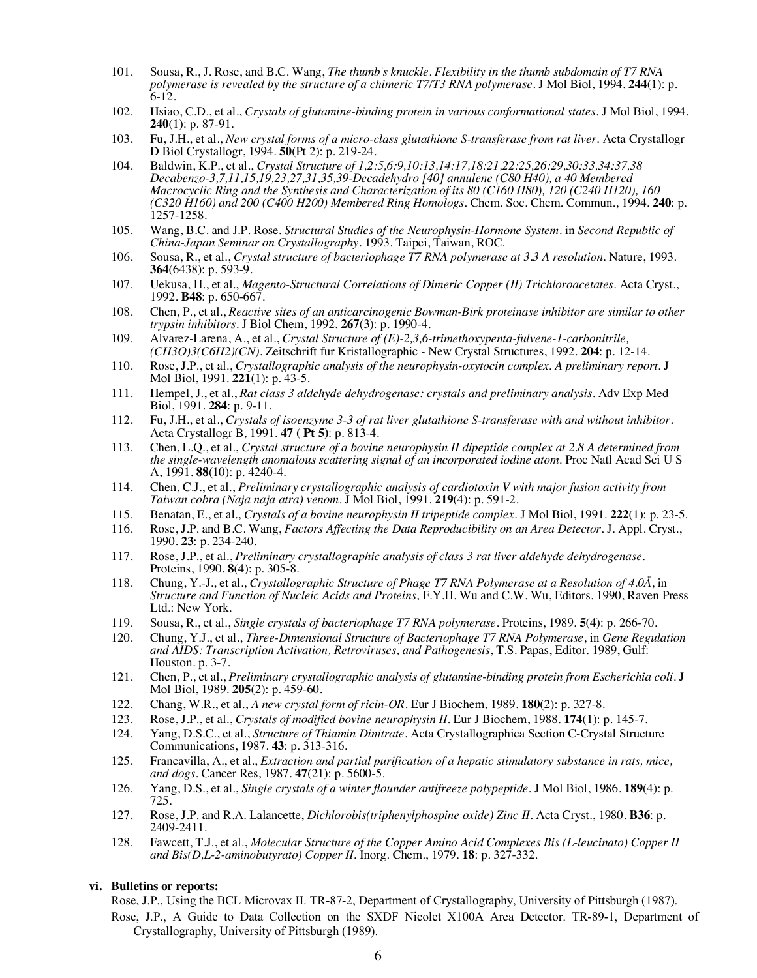- 101. Sousa, R., J. Rose, and B.C. Wang, *The thumb's knuckle. Flexibility in the thumb subdomain of T7 RNA polymerase is revealed by the structure of a chimeric T7/T3 RNA polymerase.* J Mol Biol, 1994. **244**(1): p. 6-12.
- 102. Hsiao, C.D., et al., *Crystals of glutamine-binding protein in various conformational states.* J Mol Biol, 1994. **240**(1): p. 87-91.
- 103. Fu, J.H., et al., *New crystal forms of a micro-class glutathione S-transferase from rat liver.* Acta Crystallogr D Biol Crystallogr, 1994. **50**(Pt 2): p. 219-24.
- 104. Baldwin, K.P., et al., *Crystal Structure of 1,2:5,6:9,10:13,14:17,18:21,22:25,26:29,30:33,34:37,38 Decabenzo-3,7,11,15,19,23,27,31,35,39-Decadehydro [40] annulene (C80 H40), a 40 Membered Macrocyclic Ring and the Synthesis and Characterization of its 80 (C160 H80), 120 (C240 H120), 160 (C320 H160) and 200 (C400 H200) Membered Ring Homologs.* Chem. Soc. Chem. Commun., 1994. **240**: p. 1257-1258.
- 105. Wang, B.C. and J.P. Rose. *Structural Studies of the Neurophysin-Hormone System*. in *Second Republic of China-Japan Seminar on Crystallography*. 1993. Taipei, Taiwan, ROC.
- 106. Sousa, R., et al., *Crystal structure of bacteriophage T7 RNA polymerase at 3.3 A resolution.* Nature, 1993. **364**(6438): p. 593-9.
- 107. Uekusa, H., et al., *Magento-Structural Correlations of Dimeric Copper (II) Trichloroacetates.* Acta Cryst., 1992. **B48**: p. 650-667.
- 108. Chen, P., et al., *Reactive sites of an anticarcinogenic Bowman-Birk proteinase inhibitor are similar to other trypsin inhibitors.* J Biol Chem, 1992. **267**(3): p. 1990-4.
- 109. Alvarez-Larena, A., et al., *Crystal Structure of (E)-2,3,6-trimethoxypenta-fulvene-1-carbonitrile, (CH3O)3(C6H2)(CN).* Zeitschrift fur Kristallographic - New Crystal Structures, 1992. **204**: p. 12-14.
- 110. Rose, J.P., et al., *Crystallographic analysis of the neurophysin-oxytocin complex. A preliminary report.* J Mol Biol, 1991. **221**(1): p. 43-5.
- 111. Hempel, J., et al., *Rat class 3 aldehyde dehydrogenase: crystals and preliminary analysis.* Adv Exp Med Biol, 1991. **284**: p. 9-11.
- 112. Fu, J.H., et al., *Crystals of isoenzyme 3-3 of rat liver glutathione S-transferase with and without inhibitor.* Acta Crystallogr B, 1991. **47 ( Pt 5)**: p. 813-4.
- 113. Chen, L.Q., et al., *Crystal structure of a bovine neurophysin II dipeptide complex at 2.8 A determined from the single-wavelength anomalous scattering signal of an incorporated iodine atom.* Proc Natl Acad Sci U S A, 1991. **88**(10): p. 4240-4.
- 114. Chen, C.J., et al., *Preliminary crystallographic analysis of cardiotoxin V with major fusion activity from Taiwan cobra (Naja naja atra) venom.* J Mol Biol, 1991. **219**(4): p. 591-2.
- 115. Benatan, E., et al., *Crystals of a bovine neurophysin II tripeptide complex.* J Mol Biol, 1991. **222**(1): p. 23-5.
- 116. Rose, J.P. and B.C. Wang, *Factors Affecting the Data Reproducibility on an Area Detector.* J. Appl. Cryst., 1990. **23**: p. 234-240.
- 117. Rose, J.P., et al., *Preliminary crystallographic analysis of class 3 rat liver aldehyde dehydrogenase.* Proteins, 1990. **8**(4): p. 305-8.
- 118. Chung, Y.-J., et al., *Crystallographic Structure of Phage T7 RNA Polymerase at a Resolution of 4.0Å*, in *Structure and Function of Nucleic Acids and Proteins*, F.Y.H. Wu and C.W. Wu, Editors. 1990, Raven Press Ltd.: New York.
- 119. Sousa, R., et al., *Single crystals of bacteriophage T7 RNA polymerase.* Proteins, 1989. **5**(4): p. 266-70.
- 120. Chung, Y.J., et al., *Three-Dimensional Structure of Bacteriophage T7 RNA Polymerase*, in *Gene Regulation and AIDS: Transcription Activation, Retroviruses, and Pathogenesis*, T.S. Papas, Editor. 1989, Gulf: Houston. p. 3-7.
- 121. Chen, P., et al., *Preliminary crystallographic analysis of glutamine-binding protein from Escherichia coli.* J Mol Biol, 1989. **205**(2): p. 459-60.
- 122. Chang, W.R., et al., *A new crystal form of ricin-OR.* Eur J Biochem, 1989. **180**(2): p. 327-8.
- 123. Rose, J.P., et al., *Crystals of modified bovine neurophysin II.* Eur J Biochem, 1988. **174**(1): p. 145-7.
- 124. Yang, D.S.C., et al., *Structure of Thiamin Dinitrate.* Acta Crystallographica Section C-Crystal Structure Communications, 1987. **43**: p. 313-316.
- 125. Francavilla, A., et al., *Extraction and partial purification of a hepatic stimulatory substance in rats, mice, and dogs.* Cancer Res, 1987. **47**(21): p. 5600-5.
- 126. Yang, D.S., et al., *Single crystals of a winter flounder antifreeze polypeptide.* J Mol Biol, 1986. **189**(4): p. 725.
- 127. Rose, J.P. and R.A. Lalancette, *Dichlorobis(triphenylphospine oxide) Zinc II.* Acta Cryst., 1980. **B36**: p. 2409-2411.
- 128. Fawcett, T.J., et al., *Molecular Structure of the Copper Amino Acid Complexes Bis (L-leucinato) Copper II and Bis(D,L-2-aminobutyrato) Copper II.* Inorg. Chem., 1979. **18**: p. 327-332.

### **vi. Bulletins or reports:**

Rose, J.P., Using the BCL Microvax II. TR-87-2, Department of Crystallography, University of Pittsburgh (1987).

Rose, J.P., A Guide to Data Collection on the SXDF Nicolet X100A Area Detector. TR-89-1, Department of Crystallography, University of Pittsburgh (1989).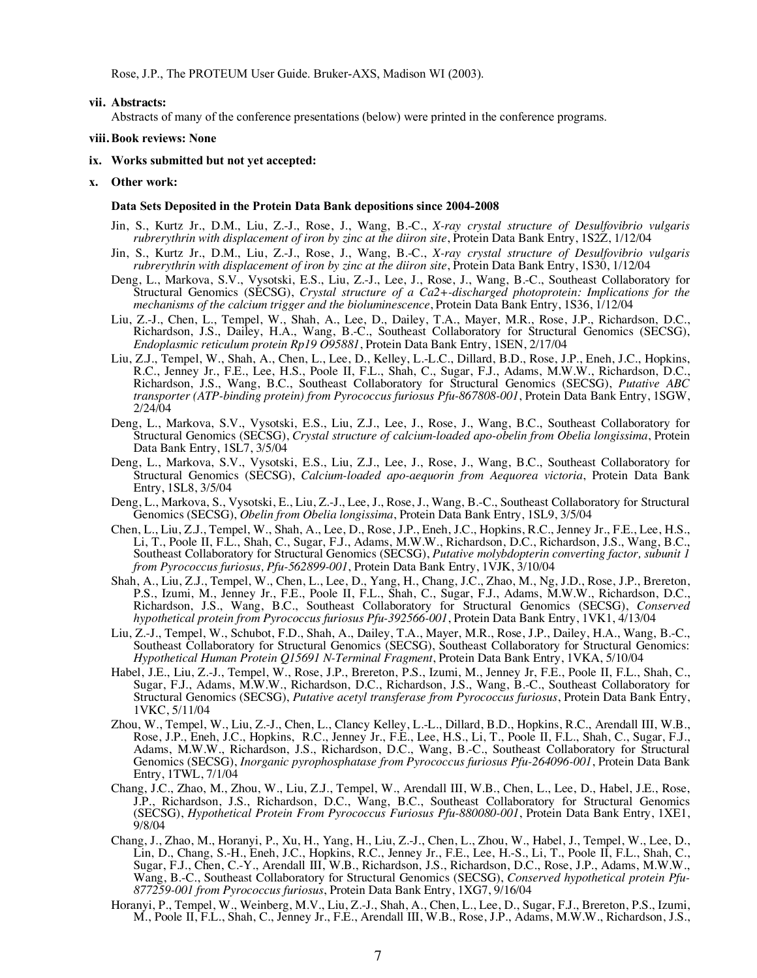Rose, J.P., The PROTEUM User Guide. Bruker-AXS, Madison WI (2003).

#### **vii. Abstracts:**

Abstracts of many of the conference presentations (below) were printed in the conference programs.

#### **viii. Book reviews: None**

- **ix. Works submitted but not yet accepted:**
- **x. Other work:**

#### **Data Sets Deposited in the Protein Data Bank depositions since 2004-2008**

- Jin, S., Kurtz Jr., D.M., Liu, Z.-J., Rose, J., Wang, B.-C., *X-ray crystal structure of Desulfovibrio vulgaris rubrerythrin with displacement of iron by zinc at the diiron site*, Protein Data Bank Entry, 1S2Z, 1/12/04
- Jin, S., Kurtz Jr., D.M., Liu, Z.-J., Rose, J., Wang, B.-C., *X-ray crystal structure of Desulfovibrio vulgaris rubrerythrin with displacement of iron by zinc at the diiron site*, Protein Data Bank Entry, 1S30, 1/12/04
- Deng, L., Markova, S.V., Vysotski, E.S., Liu, Z.-J., Lee, J., Rose, J., Wang, B.-C., Southeast Collaboratory for Structural Genomics (SECSG), *Crystal structure of a Ca2+-discharged photoprotein: Implications for the mechanisms of the calcium trigger and the bioluminescence*, Protein Data Bank Entry, 1S36, 1/12/04
- Liu, Z.-J., Chen, L., Tempel, W., Shah, A., Lee, D., Dailey, T.A., Mayer, M.R., Rose, J.P., Richardson, D.C., Richardson, J.S., Dailey, H.A., Wang, B.-C., Southeast Collaboratory for Structural Genomics (SECSG), *Endoplasmic reticulum protein Rp19 O95881*, Protein Data Bank Entry, 1SEN, 2/17/04
- Liu, Z.J., Tempel, W., Shah, A., Chen, L., Lee, D., Kelley, L.-L.C., Dillard, B.D., Rose, J.P., Eneh, J.C., Hopkins, R.C., Jenney Jr., F.E., Lee, H.S., Poole II, F.L., Shah, C., Sugar, F.J., Adams, M.W.W., Richardson, D.C., Richardson, J.S., Wang, B.C., Southeast Collaboratory for Structural Genomics (SECSG), *Putative ABC transporter (ATP-binding protein) from Pyrococcus furiosus Pfu-867808-001*, Protein Data Bank Entry, 1SGW, 2/24/04
- Deng, L., Markova, S.V., Vysotski, E.S., Liu, Z.J., Lee, J., Rose, J., Wang, B.C., Southeast Collaboratory for Structural Genomics (SECSG), *Crystal structure of calcium-loaded apo-obelin from Obelia longissima*, Protein Data Bank Entry, 1SL7, 3/5/04
- Deng, L., Markova, S.V., Vysotski, E.S., Liu, Z.J., Lee, J., Rose, J., Wang, B.C., Southeast Collaboratory for Structural Genomics (SECSG), *Calcium-loaded apo-aequorin from Aequorea victoria*, Protein Data Bank Entry, 1SL8, 3/5/04
- Deng, L., Markova, S., Vysotski, E., Liu, Z.-J., Lee, J., Rose, J., Wang, B.-C., Southeast Collaboratory for Structural Genomics (SECSG), *Obelin from Obelia longissima*, Protein Data Bank Entry, 1SL9, 3/5/04
- Chen, L., Liu, Z.J., Tempel, W., Shah, A., Lee, D., Rose, J.P., Eneh, J.C., Hopkins, R.C., Jenney Jr., F.E., Lee, H.S., Li, T., Poole II, F.L., Shah, C., Sugar, F.J., Adams, M.W.W., Richardson, D.C., Richardson, J.S., Wang, B.C., Southeast Collaboratory for Structural Genomics (SECSG), *Putative molybdopterin converting factor, subunit 1 from Pyrococcus furiosus, Pfu-562899-001*, Protein Data Bank Entry, 1VJK, 3/10/04
- Shah, A., Liu, Z.J., Tempel, W., Chen, L., Lee, D., Yang, H., Chang, J.C., Zhao, M., Ng, J.D., Rose, J.P., Brereton, P.S., Izumi, M., Jenney Jr., F.E., Poole II, F.L., Shah, C., Sugar, F.J., Adams, M.W.W., Richardson, D.C., Richardson, J.S., Wang, B.C., Southeast Collaboratory for Structural Genomics (SECSG), *Conserved hypothetical protein from Pyrococcus furiosus Pfu-392566-001*, Protein Data Bank Entry, 1VK1, 4/13/04
- Liu, Z.-J., Tempel, W., Schubot, F.D., Shah, A., Dailey, T.A., Mayer, M.R., Rose, J.P., Dailey, H.A., Wang, B.-C., Southeast Collaboratory for Structural Genomics (SECSG), Southeast Collaboratory for Structural Genomics: *Hypothetical Human Protein Q15691 N-Terminal Fragment*, Protein Data Bank Entry, 1VKA, 5/10/04
- Habel, J.E., Liu, Z.-J., Tempel, W., Rose, J.P., Brereton, P.S., Izumi, M., Jenney Jr, F.E., Poole II, F.L., Shah, C., Sugar, F.J., Adams, M.W.W., Richardson, D.C., Richardson, J.S., Wang, B.-C., Southeast Collaboratory for Structural Genomics (SECSG), *Putative acetyl transferase from Pyrococcus furiosus*, Protein Data Bank Entry, 1VKC, 5/11/04
- Zhou, W., Tempel, W., Liu, Z.-J., Chen, L., Clancy Kelley, L.-L., Dillard, B.D., Hopkins, R.C., Arendall III, W.B., Rose, J.P., Eneh, J.C., Hopkins, R.C., Jenney Jr., F.E., Lee, H.S., Li, T., Poole II, F.L., Shah, C., Sugar, F.J., Adams, M.W.W., Richardson, J.S., Richardson, D.C., Wang, B.-C., Southeast Collaboratory for Structural Genomics (SECSG), *Inorganic pyrophosphatase from Pyrococcus furiosus Pfu-264096-001*, Protein Data Bank Entry, 1TWL, 7/1/04
- Chang, J.C., Zhao, M., Zhou, W., Liu, Z.J., Tempel, W., Arendall III, W.B., Chen, L., Lee, D., Habel, J.E., Rose, J.P., Richardson, J.S., Richardson, D.C., Wang, B.C., Southeast Collaboratory for Structural Genomics (SECSG), *Hypothetical Protein From Pyrococcus Furiosus Pfu-880080-001*, Protein Data Bank Entry, 1XE1, 9/8/04
- Chang, J., Zhao, M., Horanyi, P., Xu, H., Yang, H., Liu, Z.-J., Chen, L., Zhou, W., Habel, J., Tempel, W., Lee, D., Lin, D., Chang, S.-H., Eneh, J.C., Hopkins, R.C., Jenney Jr., F.E., Lee, H.-S., Li, T., Poole II, F.L., Shah, C., Sugar, F.J., Chen, C.-Y., Arendall III, W.B., Richardson, J.S., Richardson, D.C., Rose, J.P., Adams, M.W.W., Wang, B.-C., Southeast Collaboratory for Structural Genomics (SECSG), *Conserved hypothetical protein Pfu- 877259-001 from Pyrococcus furiosus*, Protein Data Bank Entry, 1XG7, 9/16/04
- Horanyi, P., Tempel, W., Weinberg, M.V., Liu, Z.-J., Shah, A., Chen, L., Lee, D., Sugar, F.J., Brereton, P.S., Izumi, M., Poole II, F.L., Shah, C., Jenney Jr., F.E., Arendall III, W.B., Rose, J.P., Adams, M.W.W., Richardson, J.S.,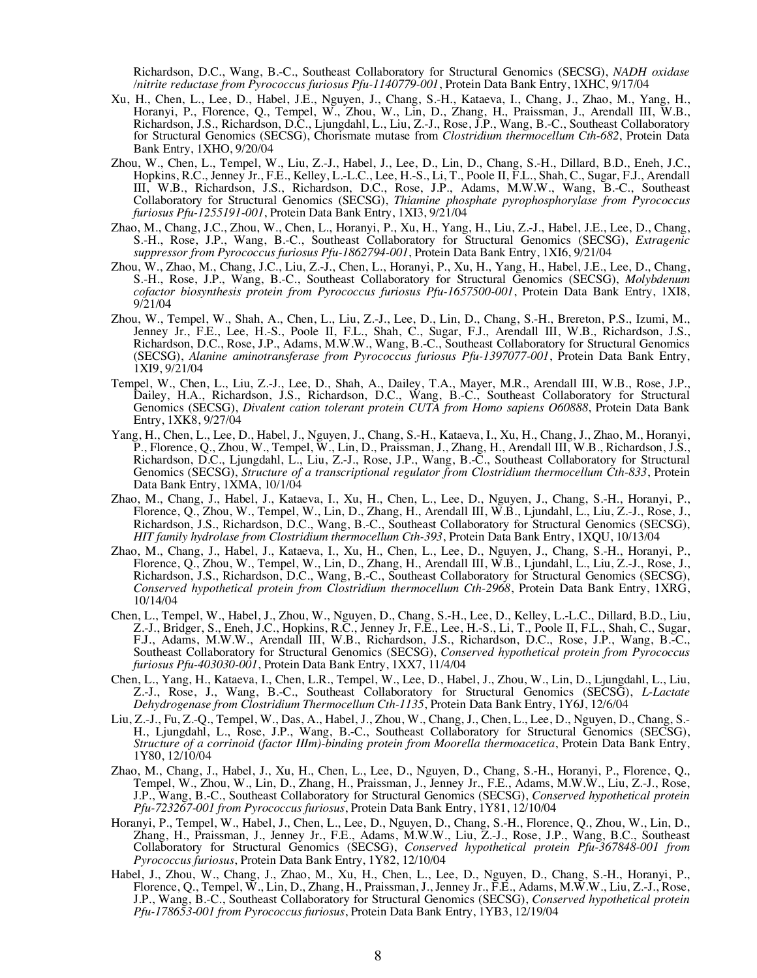Richardson, D.C., Wang, B.-C., Southeast Collaboratory for Structural Genomics (SECSG), *NADH oxidase /nitrite reductase from Pyrococcus furiosus Pfu-1140779-001*, Protein Data Bank Entry, 1XHC, 9/17/04

- Xu, H., Chen, L., Lee, D., Habel, J.E., Nguyen, J., Chang, S.-H., Kataeva, I., Chang, J., Zhao, M., Yang, H., Horanyi, P., Florence, Q., Tempel, W., Zhou, W., Lin, D., Zhang, H., Praissman, J., Arendall III, W.B., Richardson, J.S., Richardson, D.C., Ljungdahl, L., Liu, Z.-J., Rose, J.P., Wang, B.-C., Southeast Collaboratory for Structural Genomics (SECSG), Chorismate mutase from *Clostridium thermocellum Cth-682*, Protein Data Bank Entry, 1XHO, 9/20/04
- Zhou, W., Chen, L., Tempel, W., Liu, Z.-J., Habel, J., Lee, D., Lin, D., Chang, S.-H., Dillard, B.D., Eneh, J.C., Hopkins, R.C., Jenney Jr., F.E., Kelley, L.-L.C., Lee, H.-S., Li, T., Poole II, F.L., Shah, C., Sugar, F.J., Arendall III, W.B., Richardson, J.S., Richardson, D.C., Rose, J.P., Adams, M.W.W., Wang, B.-C., Southeast Collaboratory for Structural Genomics (SECSG), *Thiamine phosphate pyrophosphorylase from Pyrococcus furiosus Pfu-1255191-001*, Protein Data Bank Entry, 1XI3, 9/21/04
- Zhao, M., Chang, J.C., Zhou, W., Chen, L., Horanyi, P., Xu, H., Yang, H., Liu, Z.-J., Habel, J.E., Lee, D., Chang, S.-H., Rose, J.P., Wang, B.-C., Southeast Collaboratory for Structural Genomics (SECSG), *Extragenic suppressor from Pyrococcus furiosus Pfu-1862794-001*, Protein Data Bank Entry, 1XI6, 9/21/04
- Zhou, W., Zhao, M., Chang, J.C., Liu, Z.-J., Chen, L., Horanyi, P., Xu, H., Yang, H., Habel, J.E., Lee, D., Chang, S.-H., Rose, J.P., Wang, B.-C., Southeast Collaboratory for Structural Genomics (SECSG), *Molybdenum cofactor biosynthesis protein from Pyrococcus furiosus Pfu-1657500-001*, Protein Data Bank Entry, 1XI8, 9/21/04
- Zhou, W., Tempel, W., Shah, A., Chen, L., Liu, Z.-J., Lee, D., Lin, D., Chang, S.-H., Brereton, P.S., Izumi, M., Jenney Jr., F.E., Lee, H.-S., Poole II, F.L., Shah, C., Sugar, F.J., Arendall III, W.B., Richardson, J.S., Richardson, D.C., Rose, J.P., Adams, M.W.W., Wang, B.-C., Southeast Collaboratory for Structural Genomics (SECSG), *Alanine aminotransferase from Pyrococcus furiosus Pfu-1397077-001*, Protein Data Bank Entry, 1XI9, 9/21/04
- Tempel, W., Chen, L., Liu, Z.-J., Lee, D., Shah, A., Dailey, T.A., Mayer, M.R., Arendall III, W.B., Rose, J.P., Dailey, H.A., Richardson, J.S., Richardson, D.C., Wang, B.-C., Southeast Collaboratory for Structural Genomics (SECSG), *Divalent cation tolerant protein CUTA from Homo sapiens O60888*, Protein Data Bank Entry, 1XK8, 9/27/04
- Yang, H., Chen, L., Lee, D., Habel, J., Nguyen, J., Chang, S.-H., Kataeva, I., Xu, H., Chang, J., Zhao, M., Horanyi, P., Florence, Q., Zhou, W., Tempel, W., Lin, D., Praissman, J., Zhang, H., Arendall III, W.B., Richardson, J.S., Richardson, D.C., Ljungdahl, L., Liu, Z.-J., Rose, J.P., Wang, B.-C., Southeast Collaboratory for Structural Genomics (SECSG), *Structure of a transcriptional regulator from Clostridium thermocellum Cth-833*, Protein Data Bank Entry, 1XMA, 10/1/04
- Zhao, M., Chang, J., Habel, J., Kataeva, I., Xu, H., Chen, L., Lee, D., Nguyen, J., Chang, S.-H., Horanyi, P., Florence, Q., Zhou, W., Tempel, W., Lin, D., Zhang, H., Arendall III, W.B., Ljundahl, L., Liu, Z.-J., Rose, J., Richardson, J.S., Richardson, D.C., Wang, B.-C., Southeast Collaboratory for Structural Genomics (SECSG), *HIT family hydrolase from Clostridium thermocellum Cth-393*, Protein Data Bank Entry, 1XQU, 10/13/04
- Zhao, M., Chang, J., Habel, J., Kataeva, I., Xu, H., Chen, L., Lee, D., Nguyen, J., Chang, S.-H., Horanyi, P., Florence, Q., Zhou, W., Tempel, W., Lin, D., Zhang, H., Arendall III, W.B., Ljundahl, L., Liu, Z.-J., Rose, J., Richardson, J.S., Richardson, D.C., Wang, B.-C., Southeast Collaboratory for Structural Genomics (SECSG), *Conserved hypothetical protein from Clostridium thermocellum Cth-2968*, Protein Data Bank Entry, 1XRG, 10/14/04
- Chen, L., Tempel, W., Habel, J., Zhou, W., Nguyen, D., Chang, S.-H., Lee, D., Kelley, L.-L.C., Dillard, B.D., Liu, Z.-J., Bridger, S., Eneh, J.C., Hopkins, R.C., Jenney Jr, F.E., Lee, H.-S., Li, T., Poole II, F.L., Shah, C., Sugar, F.J., Adams, M.W.W., Arendall III, W.B., Richardson, J.S., Richardson, D.C., Rose, J.P., Wang, B.-C., Southeast Collaboratory for Structural Genomics (SECSG), *Conserved hypothetical protein from Pyrococcus furiosus Pfu-403030-001*, Protein Data Bank Entry, 1XX7, 11/4/04
- Chen, L., Yang, H., Kataeva, I., Chen, L.R., Tempel, W., Lee, D., Habel, J., Zhou, W., Lin, D., Ljungdahl, L., Liu, Z.-J., Rose, J., Wang, B.-C., Southeast Collaboratory for Structural Genomics (SECSG), *L-Lactate Dehydrogenase from Clostridium Thermocellum Cth-1135*, Protein Data Bank Entry, 1Y6J, 12/6/04
- Liu, Z.-J., Fu, Z.-Q., Tempel, W., Das, A., Habel, J., Zhou, W., Chang, J., Chen, L., Lee, D., Nguyen, D., Chang, S.- H., Ljungdahl, L., Rose, J.P., Wang, B.-C., Southeast Collaboratory for Structural Genomics (SECSG), *Structure of a corrinoid (factor IIIm)-binding protein from Moorella thermoacetica*, Protein Data Bank Entry, 1Y80, 12/10/04
- Zhao, M., Chang, J., Habel, J., Xu, H., Chen, L., Lee, D., Nguyen, D., Chang, S.-H., Horanyi, P., Florence, Q., Tempel, W., Zhou, W., Lin, D., Zhang, H., Praissman, J., Jenney Jr., F.E., Adams, M.W.W., Liu, Z.-J., Rose, J.P., Wang, B.-C., Southeast Collaboratory for Structural Genomics (SECSG), *Conserved hypothetical protein Pfu-723267-001 from Pyrococcus furiosus*, Protein Data Bank Entry, 1Y81, 12/10/04
- Horanyi, P., Tempel, W., Habel, J., Chen, L., Lee, D., Nguyen, D., Chang, S.-H., Florence, Q., Zhou, W., Lin, D., Zhang, H., Praissman, J., Jenney Jr., F.E., Adams, M.W.W., Liu, Z.-J., Rose, J.P., Wang, B.C., Southeast Collaboratory for Structural Genomics (SECSG), *Conserved hypothetical protein Pfu-367848-001 from Pyrococcus furiosus*, Protein Data Bank Entry, 1Y82, 12/10/04
- Habel, J., Zhou, W., Chang, J., Zhao, M., Xu, H., Chen, L., Lee, D., Nguyen, D., Chang, S.-H., Horanyi, P., Florence, Q., Tempel, W., Lin, D., Zhang, H., Praissman, J., Jenney Jr., F.E., Adams, M.W.W., Liu, Z.-J., Rose, J.P., Wang, B.-C., Southeast Collaboratory for Structural Genomics (SECSG), *Conserved hypothetical protein Pfu-178653-001 from Pyrococcus furiosus*, Protein Data Bank Entry, 1YB3, 12/19/04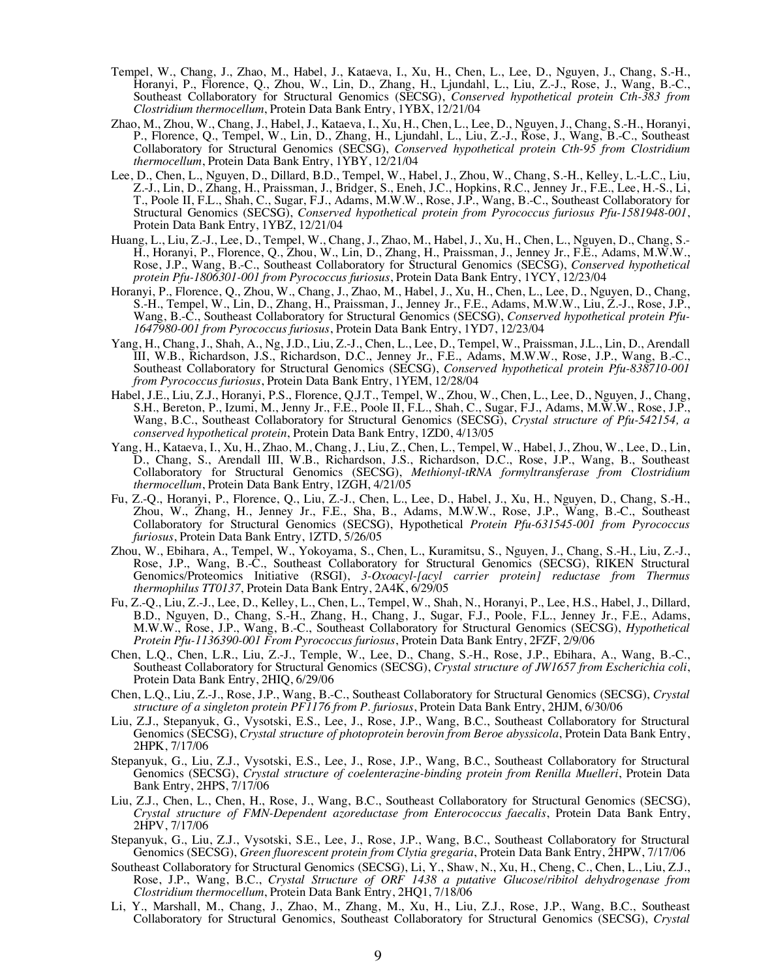- Tempel, W., Chang, J., Zhao, M., Habel, J., Kataeva, I., Xu, H., Chen, L., Lee, D., Nguyen, J., Chang, S.-H., Horanyi, P., Florence, Q., Zhou, W., Lin, D., Zhang, H., Ljundahl, L., Liu, Z.-J., Rose, J., Wang, B.-C., Southeast Collaboratory for Structural Genomics (SECSG), *Conserved hypothetical protein Cth-383 from Clostridium thermocellum*, Protein Data Bank Entry, 1YBX, 12/21/04
- Zhao, M., Zhou, W., Chang, J., Habel, J., Kataeva, I., Xu, H., Chen, L., Lee, D., Nguyen, J., Chang, S.-H., Horanyi, P., Florence, Q., Tempel, W., Lin, D., Zhang, H., Ljundahl, L., Liu, Z.-J., Rose, J., Wang, B.-C., Southeast Collaboratory for Structural Genomics (SECSG), *Conserved hypothetical protein Cth-95 from Clostridium thermocellum*, Protein Data Bank Entry, 1YBY, 12/21/04
- Lee, D., Chen, L., Nguyen, D., Dillard, B.D., Tempel, W., Habel, J., Zhou, W., Chang, S.-H., Kelley, L.-L.C., Liu, Z.-J., Lin, D., Zhang, H., Praissman, J., Bridger, S., Eneh, J.C., Hopkins, R.C., Jenney Jr., F.E., Lee, H.-S., Li, T., Poole II, F.L., Shah, C., Sugar, F.J., Adams, M.W.W., Rose, J.P., Wang, B.-C., Southeast Collaboratory for Structural Genomics (SECSG), *Conserved hypothetical protein from Pyrococcus furiosus Pfu-1581948-001*, Protein Data Bank Entry, 1YBZ, 12/21/04
- Huang, L., Liu, Z.-J., Lee, D., Tempel, W., Chang, J., Zhao, M., Habel, J., Xu, H., Chen, L., Nguyen, D., Chang, S.- H., Horanyi, P., Florence, Q., Zhou, W., Lin, D., Zhang, H., Praissman, J., Jenney Jr., F.E., Adams, M.W.W., Rose, J.P., Wang, B.-C., Southeast Collaboratory for Structural Genomics (SECSG), *Conserved hypothetical protein Pfu-1806301-001 from Pyrococcus furiosus*, Protein Data Bank Entry, 1YCY, 12/23/04
- Horanyi, P., Florence, Q., Zhou, W., Chang, J., Zhao, M., Habel, J., Xu, H., Chen, L., Lee, D., Nguyen, D., Chang, S.-H., Tempel, W., Lin, D., Zhang, H., Praissman, J., Jenney Jr., F.E., Adams, M.W.W., Liu, Z.-J., Rose, J.P., Wang, B.-C., Southeast Collaboratory for Structural Genomics (SECSG), *Conserved hypothetical protein Pfu-1647980-001 from Pyrococcus furiosus*, Protein Data Bank Entry, 1YD7, 12/23/04
- Yang, H., Chang, J., Shah, A., Ng, J.D., Liu, Z.-J., Chen, L., Lee, D., Tempel, W., Praissman, J.L., Lin, D., Arendall III, W.B., Richardson, J.S., Richardson, D.C., Jenney Jr., F.E., Adams, M.W.W., Rose, J.P., Wang, B.-C., Southeast Collaboratory for Structural Genomics (SECSG), *Conserved hypothetical protein Pfu-838710-001 from Pyrococcus furiosus*, Protein Data Bank Entry, 1YEM, 12/28/04
- Habel, J.E., Liu, Z.J., Horanyi, P.S., Florence, Q.J.T., Tempel, W., Zhou, W., Chen, L., Lee, D., Nguyen, J., Chang, S.H., Bereton, P., Izumi, M., Jenny Jr., F.E., Poole II, F.L., Shah, C., Sugar, F.J., Adams, M.W.W., Rose, J.P., Wang, B.C., Southeast Collaboratory for Structural Genomics (SECSG), *Crystal structure of Pfu-542154, a conserved hypothetical protein*, Protein Data Bank Entry, 1ZD0, 4/13/05
- Yang, H., Kataeva, I., Xu, H., Zhao, M., Chang, J., Liu, Z., Chen, L., Tempel, W., Habel, J., Zhou, W., Lee, D., Lin, D., Chang, S., Arendall III, W.B., Richardson, J.S., Richardson, D.C., Rose, J.P., Wang, B., Southeast Collaboratory for Structural Genomics (SECSG), *Methionyl-tRNA formyltransferase from Clostridium thermocellum*, Protein Data Bank Entry, 1ZGH, 4/21/05
- Fu, Z.-Q., Horanyi, P., Florence, Q., Liu, Z.-J., Chen, L., Lee, D., Habel, J., Xu, H., Nguyen, D., Chang, S.-H., Zhou, W., Zhang, H., Jenney Jr., F.E., Sha, B., Adams, M.W.W., Rose, J.P., Wang, B.-C., Southeast Collaboratory for Structural Genomics (SECSG), Hypothetical *Protein Pfu-631545-001 from Pyrococcus furiosus*, Protein Data Bank Entry, 1ZTD, 5/26/05
- Zhou, W., Ebihara, A., Tempel, W., Yokoyama, S., Chen, L., Kuramitsu, S., Nguyen, J., Chang, S.-H., Liu, Z.-J., Rose, J.P., Wang, B.-C., Southeast Collaboratory for Structural Genomics (SECSG), RIKEN Structural Genomics/Proteomics Initiative (RSGI), *3-Oxoacyl-[acyl carrier protein] reductase from Thermus thermophilus TT0137*, Protein Data Bank Entry, 2A4K, 6/29/05
- Fu, Z.-Q., Liu, Z.-J., Lee, D., Kelley, L., Chen, L., Tempel, W., Shah, N., Horanyi, P., Lee, H.S., Habel, J., Dillard, B.D., Nguyen, D., Chang, S.-H., Zhang, H., Chang, J., Sugar, F.J., Poole, F.L., Jenney Jr., F.E., Adams, M.W.W., Rose, J.P., Wang, B.-C., Southeast Collaboratory for Structural Genomics (SECSG), *Hypothetical Protein Pfu-1136390-001 From Pyrococcus furiosus*, Protein Data Bank Entry, 2FZF, 2/9/06
- Chen, L.Q., Chen, L.R., Liu, Z.-J., Temple, W., Lee, D., Chang, S.-H., Rose, J.P., Ebihara, A., Wang, B.-C., Southeast Collaboratory for Structural Genomics (SECSG), *Crystal structure of JW1657 from Escherichia coli*, Protein Data Bank Entry, 2HIQ, 6/29/06
- Chen, L.Q., Liu, Z.-J., Rose, J.P., Wang, B.-C., Southeast Collaboratory for Structural Genomics (SECSG), *Crystal structure of a singleton protein PF1176 from P. furiosus*, Protein Data Bank Entry, 2HJM, 6/30/06
- Liu, Z.J., Stepanyuk, G., Vysotski, E.S., Lee, J., Rose, J.P., Wang, B.C., Southeast Collaboratory for Structural Genomics (SECSG), *Crystal structure of photoprotein berovin from Beroe abyssicola*, Protein Data Bank Entry, 2HPK, 7/17/06
- Stepanyuk, G., Liu, Z.J., Vysotski, E.S., Lee, J., Rose, J.P., Wang, B.C., Southeast Collaboratory for Structural Genomics (SECSG), *Crystal structure of coelenterazine-binding protein from Renilla Muelleri*, Protein Data Bank Entry, 2HPS, 7/17/06
- Liu, Z.J., Chen, L., Chen, H., Rose, J., Wang, B.C., Southeast Collaboratory for Structural Genomics (SECSG), *Crystal structure of FMN-Dependent azoreductase from Enterococcus faecalis*, Protein Data Bank Entry, 2HPV, 7/17/06
- Stepanyuk, G., Liu, Z.J., Vysotski, S.E., Lee, J., Rose, J.P., Wang, B.C., Southeast Collaboratory for Structural Genomics (SECSG), *Green fluorescent protein from Clytia gregaria*, Protein Data Bank Entry, 2HPW, 7/17/06
- Southeast Collaboratory for Structural Genomics (SECSG), Li, Y., Shaw, N., Xu, H., Cheng, C., Chen, L., Liu, Z.J., Rose, J.P., Wang, B.C., *Crystal Structure of ORF 1438 a putative Glucose/ribitol dehydrogenase from Clostridium thermocellum*, Protein Data Bank Entry, 2HQ1, 7/18/06
- Li, Y., Marshall, M., Chang, J., Zhao, M., Zhang, M., Xu, H., Liu, Z.J., Rose, J.P., Wang, B.C., Southeast Collaboratory for Structural Genomics, Southeast Collaboratory for Structural Genomics (SECSG), *Crystal*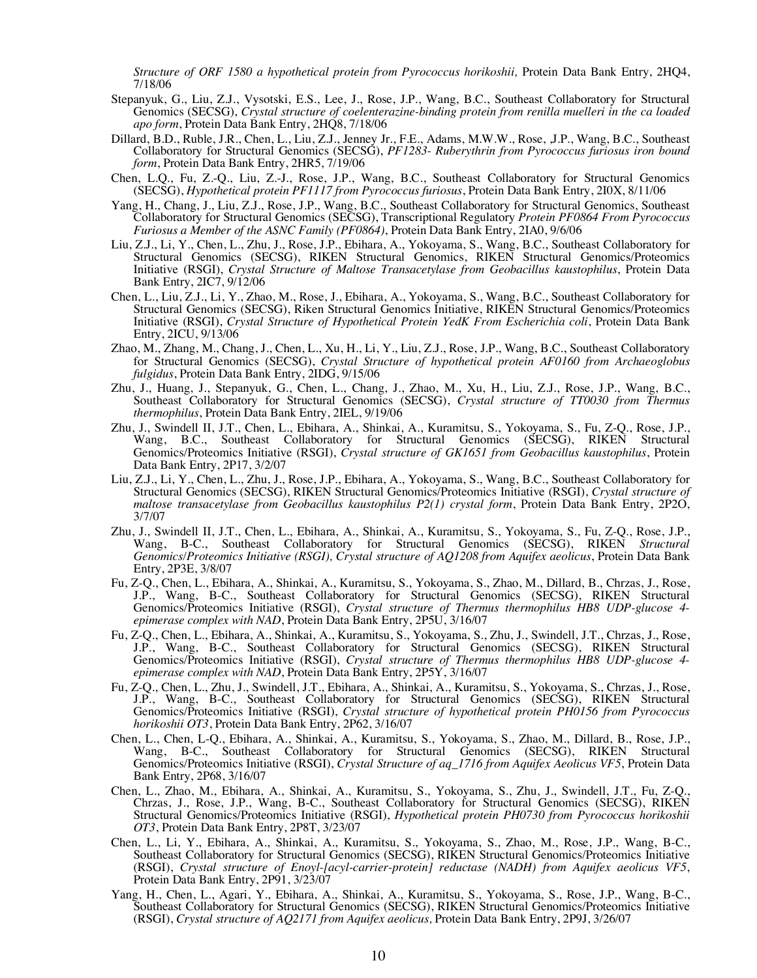*Structure of ORF 1580 a hypothetical protein from Pyrococcus horikoshii,* Protein Data Bank Entry, 2HQ4, 7/18/06

- Stepanyuk, G., Liu, Z.J., Vysotski, E.S., Lee, J., Rose, J.P., Wang, B.C., Southeast Collaboratory for Structural Genomics (SECSG), *Crystal structure of coelenterazine-binding protein from renilla muelleri in the ca loaded apo form*, Protein Data Bank Entry, 2HQ8, 7/18/06
- Dillard, B.D., Ruble, J.R., Chen, L., Liu, Z.J., Jenney Jr., F.E., Adams, M.W.W., Rose, ,J.P., Wang, B.C., Southeast Collaboratory for Structural Genomics (SECSG), *PF1283- Ruberythrin from Pyrococcus furiosus iron bound form*, Protein Data Bank Entry, 2HR5, 7/19/06
- Chen, L.Q., Fu, Z.-Q., Liu, Z.-J., Rose, J.P., Wang, B.C., Southeast Collaboratory for Structural Genomics (SECSG), *Hypothetical protein PF1117 from Pyrococcus furiosus*, Protein Data Bank Entry, 2I0X, 8/11/06
- Yang, H., Chang, J., Liu, Z.J., Rose, J.P., Wang, B.C., Southeast Collaboratory for Structural Genomics, Southeast Collaboratory for Structural Genomics (SECSG), Transcriptional Regulatory *Protein PF0864 From Pyrococcus Furiosus a Member of the ASNC Family (PF0864)*, Protein Data Bank Entry, 2IA0, 9/6/06
- Liu, Z.J., Li, Y., Chen, L., Zhu, J., Rose, J.P., Ebihara, A., Yokoyama, S., Wang, B.C., Southeast Collaboratory for Structural Genomics (SECSG), RIKEN Structural Genomics, RIKEN Structural Genomics/Proteomics Initiative (RSGI), *Crystal Structure of Maltose Transacetylase from Geobacillus kaustophilus*, Protein Data Bank Entry, 2IC7, 9/12/06
- Chen, L., Liu, Z.J., Li, Y., Zhao, M., Rose, J., Ebihara, A., Yokoyama, S., Wang, B.C., Southeast Collaboratory for Structural Genomics (SECSG), Riken Structural Genomics Initiative, RIKEN Structural Genomics/Proteomics Initiative (RSGI), *Crystal Structure of Hypothetical Protein YedK From Escherichia coli*, Protein Data Bank Entry, 2ICU, 9/13/06
- Zhao, M., Zhang, M., Chang, J., Chen, L., Xu, H., Li, Y., Liu, Z.J., Rose, J.P., Wang, B.C., Southeast Collaboratory for Structural Genomics (SECSG), *Crystal Structure of hypothetical protein AF0160 from Archaeoglobus fulgidus*, Protein Data Bank Entry, 2IDG, 9/15/06
- Zhu, J., Huang, J., Stepanyuk, G., Chen, L., Chang, J., Zhao, M., Xu, H., Liu, Z.J., Rose, J.P., Wang, B.C., Southeast Collaboratory for Structural Genomics (SECSG), *Crystal structure of TT0030 from Thermus thermophilus*, Protein Data Bank Entry, 2IEL, 9/19/06
- Zhu, J., Swindell II, J.T., Chen, L., Ebihara, A., Shinkai, A., Kuramitsu, S., Yokoyama, S., Fu, Z-Q., Rose, J.P., Wang, B.C., Southeast Collaboratory for Structural Genomics (SECSG), RIKEN Structural Genomics/Proteomics Initiative (RSGI), *Crystal structure of GK1651 from Geobacillus kaustophilus*, Protein Data Bank Entry, 2P17, 3/2/07
- Liu, Z.J., Li, Y., Chen, L., Zhu, J., Rose, J.P., Ebihara, A., Yokoyama, S., Wang, B.C., Southeast Collaboratory for Structural Genomics (SECSG), RIKEN Structural Genomics/Proteomics Initiative (RSGI), *Crystal structure of maltose transacetylase from Geobacillus kaustophilus P2(1) crystal form*, Protein Data Bank Entry, 2P2O, 3/7/07
- Zhu, J., Swindell II, J.T., Chen, L., Ebihara, A., Shinkai, A., Kuramitsu, S., Yokoyama, S., Fu, Z-Q., Rose, J.P., Wang, B-C., Southeast Collaboratory for Structural Genomics (SECSG), RIKEN *Structural Genomics/Proteomics Initiative (RSGI), Crystal structure of AQ1208 from Aquifex aeolicus*, Protein Data Bank Entry, 2P3E, 3/8/07
- Fu, Z-Q., Chen, L., Ebihara, A., Shinkai, A., Kuramitsu, S., Yokoyama, S., Zhao, M., Dillard, B., Chrzas, J., Rose, J.P., Wang, B-C., Southeast Collaboratory for Structural Genomics (SECSG), RIKEN Structural Genomics/Proteomics Initiative (RSGI), *Crystal structure of Thermus thermophilus HB8 UDP-glucose 4- epimerase complex with NAD*, Protein Data Bank Entry, 2P5U, 3/16/07
- Fu, Z-Q., Chen, L., Ebihara, A., Shinkai, A., Kuramitsu, S., Yokoyama, S., Zhu, J., Swindell, J.T., Chrzas, J., Rose, J.P., Wang, B-C., Southeast Collaboratory for Structural Genomics (SECSG), RIKEN Structural Genomics/Proteomics Initiative (RSGI), *Crystal structure of Thermus thermophilus HB8 UDP-glucose 4- epimerase complex with NAD*, Protein Data Bank Entry, 2P5Y, 3/16/07
- Fu, Z-Q., Chen, L., Zhu, J., Swindell, J.T., Ebihara, A., Shinkai, A., Kuramitsu, S., Yokoyama, S., Chrzas, J., Rose, J.P., Wang, B-C., Southeast Collaboratory for Structural Genomics (SECSG), RIKEN Structural Genomics/Proteomics Initiative (RSGI), *Crystal structure of hypothetical protein PH0156 from Pyrococcus horikoshii OT3*, Protein Data Bank Entry, 2P62, 3/16/07
- Chen, L., Chen, L-Q., Ebihara, A., Shinkai, A., Kuramitsu, S., Yokoyama, S., Zhao, M., Dillard, B., Rose, J.P., Wang, B-C., Southeast Collaboratory for Structural Genomics (SECSG), RIKEN Structural Genomics/Proteomics Initiative (RSGI), *Crystal Structure of aq\_1716 from Aquifex Aeolicus VF5*, Protein Data Bank Entry, 2P68, 3/16/07
- Chen, L., Zhao, M., Ebihara, A., Shinkai, A., Kuramitsu, S., Yokoyama, S., Zhu, J., Swindell, J.T., Fu, Z-Q., Chrzas, J., Rose, J.P., Wang, B-C., Southeast Collaboratory for Structural Genomics (SECSG), RIKEN Structural Genomics/Proteomics Initiative (RSGI), *Hypothetical protein PH0730 from Pyrococcus horikoshii OT3*, Protein Data Bank Entry, 2P8T, 3/23/07
- Chen, L., Li, Y., Ebihara, A., Shinkai, A., Kuramitsu, S., Yokoyama, S., Zhao, M., Rose, J.P., Wang, B-C., Southeast Collaboratory for Structural Genomics (SECSG), RIKEN Structural Genomics/Proteomics Initiative (RSGI), *Crystal structure of Enoyl-[acyl-carrier-protein] reductase (NADH) from Aquifex aeolicus VF5*, Protein Data Bank Entry, 2P91, 3/23/07
- Yang, H., Chen, L., Agari, Y., Ebihara, A., Shinkai, A., Kuramitsu, S., Yokoyama, S., Rose, J.P., Wang, B-C., Southeast Collaboratory for Structural Genomics (SECSG), RIKEN Structural Genomics/Proteomics Initiative (RSGI), *Crystal structure of AQ2171 from Aquifex aeolicus,* Protein Data Bank Entry, 2P9J, 3/26/07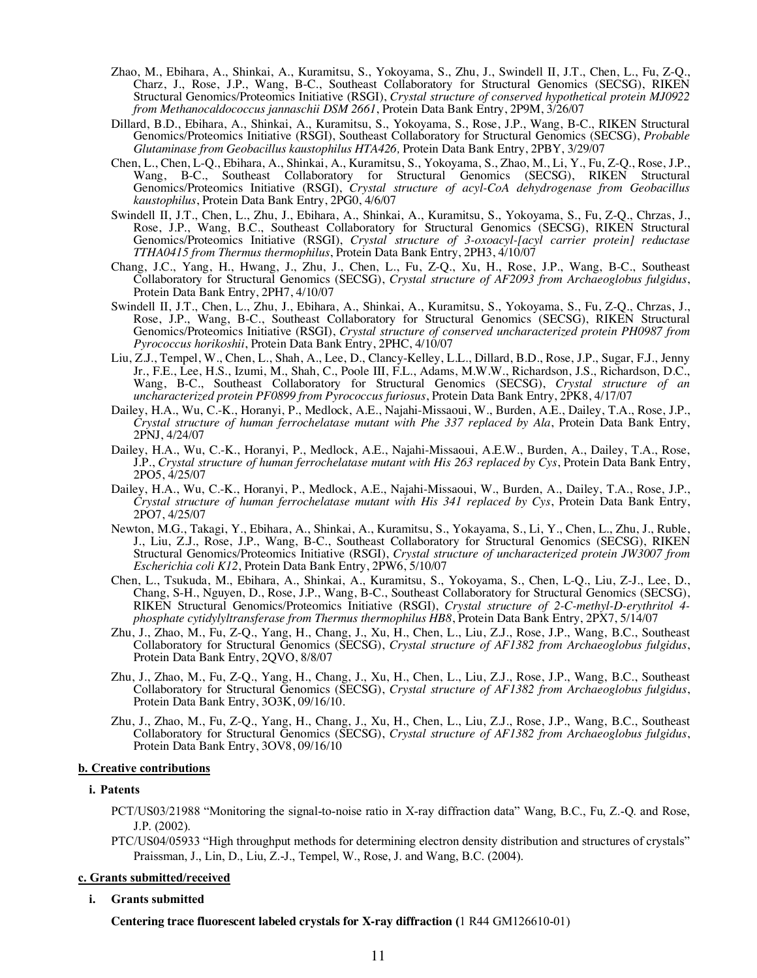- Zhao, M., Ebihara, A., Shinkai, A., Kuramitsu, S., Yokoyama, S., Zhu, J., Swindell II, J.T., Chen, L., Fu, Z-Q., Charz, J., Rose, J.P., Wang, B-C., Southeast Collaboratory for Structural Genomics (SECSG), RIKEN Structural Genomics/Proteomics Initiative (RSGI), *Crystal structure of conserved hypothetical protein MJ0922 from Methanocaldococcus jannaschii DSM 2661*, Protein Data Bank Entry, 2P9M, 3/26/07
- Dillard, B.D., Ebihara, A., Shinkai, A., Kuramitsu, S., Yokoyama, S., Rose, J.P., Wang, B-C., RIKEN Structural Genomics/Proteomics Initiative (RSGI), Southeast Collaboratory for Structural Genomics (SECSG), *Probable Glutaminase from Geobacillus kaustophilus HTA426,* Protein Data Bank Entry, 2PBY, 3/29/07
- Chen, L., Chen, L-Q., Ebihara, A., Shinkai, A., Kuramitsu, S., Yokoyama, S., Zhao, M., Li, Y., Fu, Z-Q., Rose, J.P., Wang, B-C., Southeast Collaboratory for Structural Genomics (SECSG), RIKEN Structural Genomics/Proteomics Initiative (RSGI), *Crystal structure of acyl-CoA dehydrogenase from Geobacillus kaustophilus*, Protein Data Bank Entry, 2PG0, 4/6/07
- Swindell II, J.T., Chen, L., Zhu, J., Ebihara, A., Shinkai, A., Kuramitsu, S., Yokoyama, S., Fu, Z-Q., Chrzas, J., Rose, J.P., Wang, B.C., Southeast Collaboratory for Structural Genomics (SECSG), RIKEN Structural Genomics/Proteomics Initiative (RSGI), *Crystal structure of 3-oxoacyl-[acyl carrier protein] reductase TTHA0415 from Thermus thermophilus*, Protein Data Bank Entry, 2PH3, 4/10/07
- Chang, J.C., Yang, H., Hwang, J., Zhu, J., Chen, L., Fu, Z-Q., Xu, H., Rose, J.P., Wang, B-C., Southeast Collaboratory for Structural Genomics (SECSG), *Crystal structure of AF2093 from Archaeoglobus fulgidus*, Protein Data Bank Entry, 2PH7, 4/10/07
- Swindell II, J.T., Chen, L., Zhu, J., Ebihara, A., Shinkai, A., Kuramitsu, S., Yokoyama, S., Fu, Z-Q., Chrzas, J., Rose, J.P., Wang, B-C., Southeast Collaboratory for Structural Genomics (SECSG), RIKEN Structural Genomics/Proteomics Initiative (RSGI), *Crystal structure of conserved uncharacterized protein PH0987 from Pyrococcus horikoshii*, Protein Data Bank Entry, 2PHC, 4/10/07
- Liu, Z.J., Tempel, W., Chen, L., Shah, A., Lee, D., Clancy-Kelley, L.L., Dillard, B.D., Rose, J.P., Sugar, F.J., Jenny Jr., F.E., Lee, H.S., Izumi, M., Shah, C., Poole III, F.L., Adams, M.W.W., Richardson, J.S., Richardson, D.C., Wang, B-C., Southeast Collaboratory for Structural Genomics (SECSG), *Crystal structure of an uncharacterized protein PF0899 from Pyrococcus furiosus*, Protein Data Bank Entry, 2PK8, 4/17/07
- Dailey, H.A., Wu, C.-K., Horanyi, P., Medlock, A.E., Najahi-Missaoui, W., Burden, A.E., Dailey, T.A., Rose, J.P., *Crystal structure of human ferrochelatase mutant with Phe 337 replaced by Ala*, Protein Data Bank Entry, 2PNJ, 4/24/07
- Dailey, H.A., Wu, C.-K., Horanyi, P., Medlock, A.E., Najahi-Missaoui, A.E.W., Burden, A., Dailey, T.A., Rose, J.P., *Crystal structure of human ferrochelatase mutant with His 263 replaced by Cys*, Protein Data Bank Entry, 2PO5, 4/25/07
- Dailey, H.A., Wu, C.-K., Horanyi, P., Medlock, A.E., Najahi-Missaoui, W., Burden, A., Dailey, T.A., Rose, J.P., *Crystal structure of human ferrochelatase mutant with His 341 replaced by Cys*, Protein Data Bank Entry, 2PO7, 4/25/07
- Newton, M.G., Takagi, Y., Ebihara, A., Shinkai, A., Kuramitsu, S., Yokayama, S., Li, Y., Chen, L., Zhu, J., Ruble, J., Liu, Z.J., Rose, J.P., Wang, B-C., Southeast Collaboratory for Structural Genomics (SECSG), RIKEN Structural Genomics/Proteomics Initiative (RSGI), *Crystal structure of uncharacterized protein JW3007 from Escherichia coli K12*, Protein Data Bank Entry, 2PW6, 5/10/07
- Chen, L., Tsukuda, M., Ebihara, A., Shinkai, A., Kuramitsu, S., Yokoyama, S., Chen, L-Q., Liu, Z-J., Lee, D., Chang, S-H., Nguyen, D., Rose, J.P., Wang, B-C., Southeast Collaboratory for Structural Genomics (SECSG), RIKEN Structural Genomics/Proteomics Initiative (RSGI), *Crystal structure of 2-C-methyl-D-erythritol 4 phosphate cytidylyltransferase from Thermus thermophilus HB8*, Protein Data Bank Entry, 2PX7, 5/14/07
- Zhu, J., Zhao, M., Fu, Z-Q., Yang, H., Chang, J., Xu, H., Chen, L., Liu, Z.J., Rose, J.P., Wang, B.C., Southeast Collaboratory for Structural Genomics (SECSG), *Crystal structure of AF1382 from Archaeoglobus fulgidus*, Protein Data Bank Entry, 2QVO, 8/8/07
- Zhu, J., Zhao, M., Fu, Z-Q., Yang, H., Chang, J., Xu, H., Chen, L., Liu, Z.J., Rose, J.P., Wang, B.C., Southeast Collaboratory for Structural Genomics (SECSG), *Crystal structure of AF1382 from Archaeoglobus fulgidus*, Protein Data Bank Entry, 3O3K, 09/16/10.
- Zhu, J., Zhao, M., Fu, Z-Q., Yang, H., Chang, J., Xu, H., Chen, L., Liu, Z.J., Rose, J.P., Wang, B.C., Southeast Collaboratory for Structural Genomics (SECSG), *Crystal structure of AF1382 from Archaeoglobus fulgidus*, Protein Data Bank Entry, 3OV8, 09/16/10

#### **b. Creative contributions**

### **i. Patents**

- PCT/US03/21988 "Monitoring the signal-to-noise ratio in X-ray diffraction data" Wang, B.C., Fu, Z.-Q. and Rose, J.P. (2002).
- PTC/US04/05933 "High throughput methods for determining electron density distribution and structures of crystals" Praissman, J., Lin, D., Liu, Z.-J., Tempel, W., Rose, J. and Wang, B.C. (2004).

#### **c. Grants submitted/received**

### **i. Grants submitted**

**Centering trace fluorescent labeled crystals for X-ray diffraction (**1 R44 GM126610-01)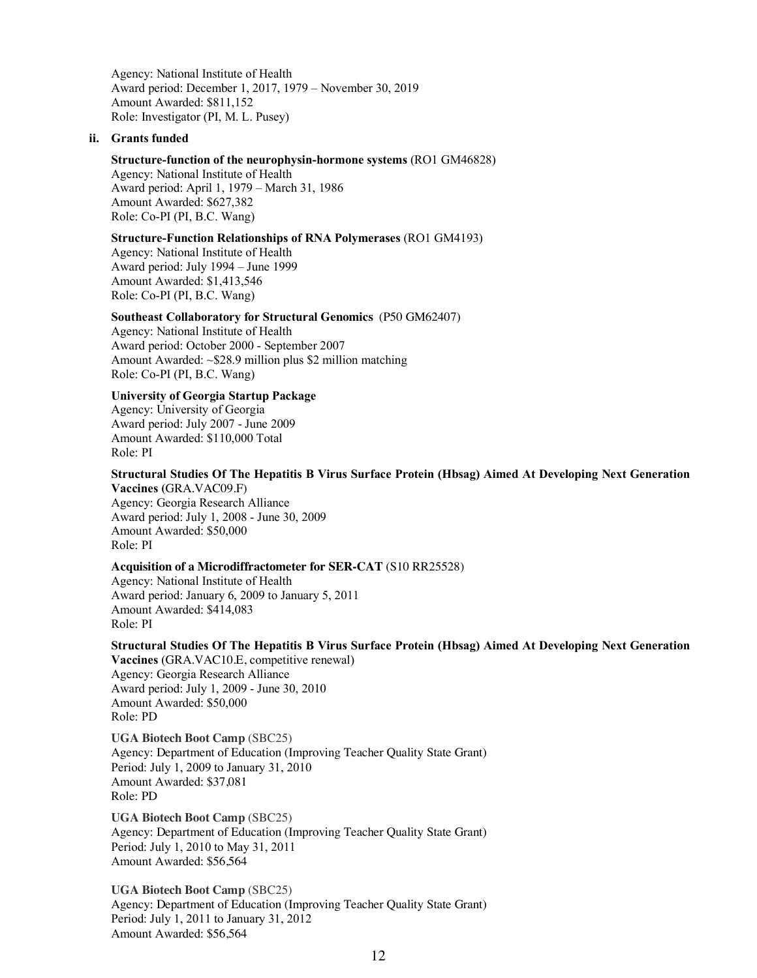Agency: National Institute of Health Award period: December 1, 2017, 1979 – November 30, 2019 Amount Awarded: \$811,152 Role: Investigator (PI, M. L. Pusey)

#### **ii. Grants funded**

#### **Structure-function of the neurophysin-hormone systems** (RO1 GM46828)

Agency: National Institute of Health Award period: April 1, 1979 – March 31, 1986 Amount Awarded: \$627,382 Role: Co-PI (PI, B.C. Wang)

## **Structure-Function Relationships of RNA Polymerases** (RO1 GM4193)

Agency: National Institute of Health Award period: July 1994 – June 1999 Amount Awarded: \$1,413,546 Role: Co-PI (PI, B.C. Wang)

### **Southeast Collaboratory for Structural Genomics** (P50 GM62407)

Agency: National Institute of Health Award period: October 2000 - September 2007 Amount Awarded: ~\$28.9 million plus \$2 million matching Role: Co-PI (PI, B.C. Wang)

# **University of Georgia Startup Package**

Agency: University of Georgia Award period: July 2007 - June 2009 Amount Awarded: \$110,000 Total Role: PI

#### **Structural Studies Of The Hepatitis B Virus Surface Protein (Hbsag) Aimed At Developing Next Generation Vaccines (**GRA.VAC09.F)

Agency: Georgia Research Alliance Award period: July 1, 2008 - June 30, 2009 Amount Awarded: \$50,000 Role: PI

### **Acquisition of a Microdiffractometer for SER-CAT** (S10 RR25528)

Agency: National Institute of Health Award period: January 6, 2009 to January 5, 2011 Amount Awarded: \$414,083 Role: PI

### **Structural Studies Of The Hepatitis B Virus Surface Protein (Hbsag) Aimed At Developing Next Generation Vaccines** (GRA.VAC10.E, competitive renewal)

Agency: Georgia Research Alliance Award period: July 1, 2009 - June 30, 2010 Amount Awarded: \$50,000 Role: PD

**UGA Biotech Boot Camp** (SBC25) Agency: Department of Education (Improving Teacher Quality State Grant) Period: July 1, 2009 to January 31, 2010 Amount Awarded: \$37,081 Role: PD

**UGA Biotech Boot Camp** (SBC25) Agency: Department of Education (Improving Teacher Quality State Grant) Period: July 1, 2010 to May 31, 2011 Amount Awarded: \$56,564

**UGA Biotech Boot Camp** (SBC25) Agency: Department of Education (Improving Teacher Quality State Grant) Period: July 1, 2011 to January 31, 2012 Amount Awarded: \$56,564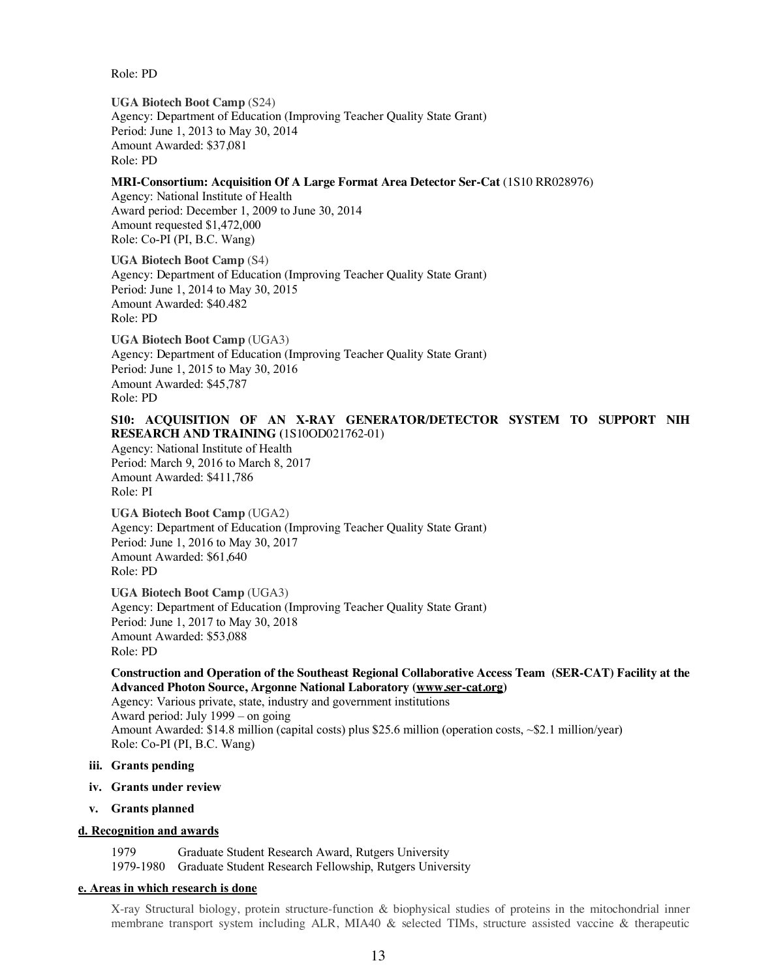Role: PD

**UGA Biotech Boot Camp** (S24) Agency: Department of Education (Improving Teacher Quality State Grant) Period: June 1, 2013 to May 30, 2014 Amount Awarded: \$37,081 Role: PD

## **MRI-Consortium: Acquisition Of A Large Format Area Detector Ser-Cat** (1S10 RR028976)

Agency: National Institute of Health Award period: December 1, 2009 to June 30, 2014 Amount requested \$1,472,000 Role: Co-PI (PI, B.C. Wang)

 **UGA Biotech Boot Camp** (S4) Agency: Department of Education (Improving Teacher Quality State Grant) Period: June 1, 2014 to May 30, 2015 Amount Awarded: \$40.482 Role: PD

**UGA Biotech Boot Camp** (UGA3) Agency: Department of Education (Improving Teacher Quality State Grant) Period: June 1, 2015 to May 30, 2016 Amount Awarded: \$45,787 Role: PD

# **S10: ACQUISITION OF AN X-RAY GENERATOR/DETECTOR SYSTEM TO SUPPORT NIH RESEARCH AND TRAINING (**1S10OD021762-01)

Agency: National Institute of Health Period: March 9, 2016 to March 8, 2017 Amount Awarded: \$411,786 Role: PI

**UGA Biotech Boot Camp** (UGA2) Agency: Department of Education (Improving Teacher Quality State Grant) Period: June 1, 2016 to May 30, 2017 Amount Awarded: \$61,640 Role: PD

 **UGA Biotech Boot Camp** (UGA3) Agency: Department of Education (Improving Teacher Quality State Grant) Period: June 1, 2017 to May 30, 2018 Amount Awarded: \$53,088 Role: PD

# **Construction and Operation of the Southeast Regional Collaborative Access Team (SER-CAT) Facility at the Advanced Photon Source, Argonne National Laboratory (www.ser-cat.org)**

Agency: Various private, state, industry and government institutions Award period: July 1999 – on going Amount Awarded: \$14.8 million (capital costs) plus \$25.6 million (operation costs, ~\$2.1 million/year) Role: Co-PI (PI, B.C. Wang)

# **iii. Grants pending**

- **iv. Grants under review**
- **v. Grants planned**

# **d. Recognition and awards**

1979 Graduate Student Research Award, Rutgers University 1979-1980 Graduate Student Research Fellowship, Rutgers University

## **e. Areas in which research is done**

X-ray Structural biology, protein structure-function & biophysical studies of proteins in the mitochondrial inner membrane transport system including ALR, MIA40 & selected TIMs, structure assisted vaccine & therapeutic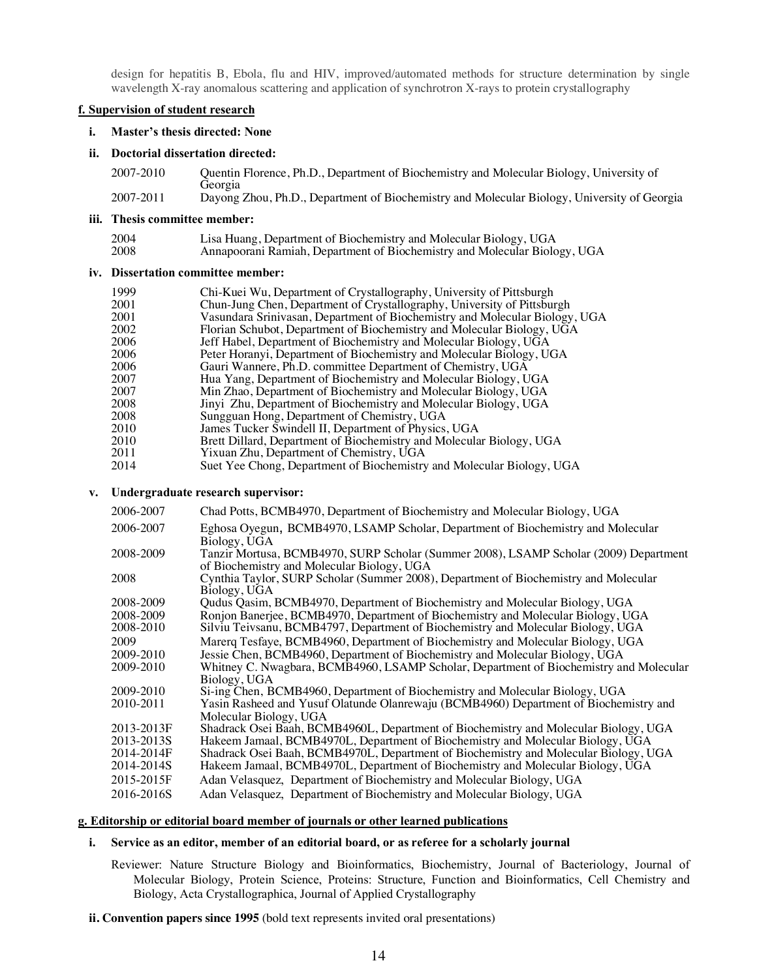design for hepatitis B, Ebola, flu and HIV, improved/automated methods for structure determination by single wavelength X-ray anomalous scattering and application of synchrotron X-rays to protein crystallography

## **f. Supervision of student research**

#### **i. Master's thesis directed: None**

### **ii. Doctorial dissertation directed:**

| 2007-2010 | Quentin Florence, Ph.D., Department of Biochemistry and Molecular Biology, University of    |
|-----------|---------------------------------------------------------------------------------------------|
|           | Georgia                                                                                     |
| 2007-2011 | Dayong Zhou, Ph.D., Department of Biochemistry and Molecular Biology, University of Georgia |

### **iii. Thesis committee member:**

| 2004 | Lisa Huang, Department of Biochemistry and Molecular Biology, UGA         |
|------|---------------------------------------------------------------------------|
| 2008 | Annapoorani Ramiah, Department of Biochemistry and Molecular Biology, UGA |

## **iv. Dissertation committee member:**

| 1999 | Chi-Kuei Wu, Department of Crystallography, University of Pittsburgh        |
|------|-----------------------------------------------------------------------------|
| 2001 | Chun-Jung Chen, Department of Crystallography, University of Pittsburgh     |
| 2001 | Vasundara Srinivasan, Department of Biochemistry and Molecular Biology, UGA |
| 2002 | Florian Schubot, Department of Biochemistry and Molecular Biology, UGA      |
| 2006 | Jeff Habel, Department of Biochemistry and Molecular Biology, UGA           |
| 2006 | Peter Horanyi, Department of Biochemistry and Molecular Biology, UGA        |
| 2006 | Gauri Wannere, Ph.D. committee Department of Chemistry, UGA                 |
| 2007 | Hua Yang, Department of Biochemistry and Molecular Biology, UGA             |
| 2007 | Min Zhao, Department of Biochemistry and Molecular Biology, UGA             |
| 2008 | Jinyi Zhu, Department of Biochemistry and Molecular Biology, UGA            |
| 2008 | Sungguan Hong, Department of Chemistry, UGA                                 |
| 2010 | James Tucker Swindell II, Department of Physics, UGA                        |
| 2010 | Brett Dillard, Department of Biochemistry and Molecular Biology, UGA        |
| 2011 | Yixuan Zhu, Department of Chemistry, UGA                                    |
|      |                                                                             |

2014 Suet Yee Chong, Department of Biochemistry and Molecular Biology, UGA

#### **v. Undergraduate research supervisor:**

| 2006-2007  | Chad Potts, BCMB4970, Department of Biochemistry and Molecular Biology, UGA                                                         |
|------------|-------------------------------------------------------------------------------------------------------------------------------------|
| 2006-2007  | Eghosa Oyegun, BCMB4970, LSAMP Scholar, Department of Biochemistry and Molecular<br>Biology, UGA                                    |
| 2008-2009  | Tanzir Mortusa, BCMB4970, SURP Scholar (Summer 2008), LSAMP Scholar (2009) Department<br>of Biochemistry and Molecular Biology, UGA |
| 2008       | Cynthia Taylor, SURP Scholar (Summer 2008), Department of Biochemistry and Molecular<br>Biology, UGA                                |
| 2008-2009  | Qudus Qasim, BCMB4970, Department of Biochemistry and Molecular Biology, UGA                                                        |
| 2008-2009  | Ronjon Banerjee, BCMB4970, Department of Biochemistry and Molecular Biology, UGA                                                    |
| 2008-2010  | Silviu Teivsanu, BCMB4797, Department of Biochemistry and Molecular Biology, UGA                                                    |
| 2009       | Marerg Tesfaye, BCMB4960, Department of Biochemistry and Molecular Biology, UGA                                                     |
| 2009-2010  | Jessie Chen, BCMB4960, Department of Biochemistry and Molecular Biology, UGA                                                        |
| 2009-2010  | Whitney C. Nwagbara, BCMB4960, LSAMP Scholar, Department of Biochemistry and Molecular                                              |
|            | Biology, UGA                                                                                                                        |
| 2009-2010  | Si-ing Chen, BCMB4960, Department of Biochemistry and Molecular Biology, UGA                                                        |
| 2010-2011  | Yasin Rasheed and Yusuf Olatunde Olanrewaju (BCMB4960) Department of Biochemistry and                                               |
|            | Molecular Biology, UGA                                                                                                              |
| 2013-2013F | Shadrack Osei Baah, BCMB4960L, Department of Biochemistry and Molecular Biology, UGA                                                |
| 2013-2013S | Hakeem Jamaal, BCMB4970L, Department of Biochemistry and Molecular Biology, UGA                                                     |
| 2014-2014F | Shadrack Osei Baah, BCMB4970L, Department of Biochemistry and Molecular Biology, UGA                                                |
| 2014-2014S | Hakeem Jamaal, BCMB4970L, Department of Biochemistry and Molecular Biology, UGA                                                     |
| 2015-2015F | Adan Velasquez, Department of Biochemistry and Molecular Biology, UGA                                                               |
| 2016-2016S | Adan Velasquez, Department of Biochemistry and Molecular Biology, UGA                                                               |

## **g. Editorship or editorial board member of journals or other learned publications**

## **i. Service as an editor, member of an editorial board, or as referee for a scholarly journal**

Reviewer: Nature Structure Biology and Bioinformatics, Biochemistry, Journal of Bacteriology, Journal of Molecular Biology, Protein Science, Proteins: Structure, Function and Bioinformatics, Cell Chemistry and Biology, Acta Crystallographica, Journal of Applied Crystallography

**ii. Convention papers since 1995** (bold text represents invited oral presentations)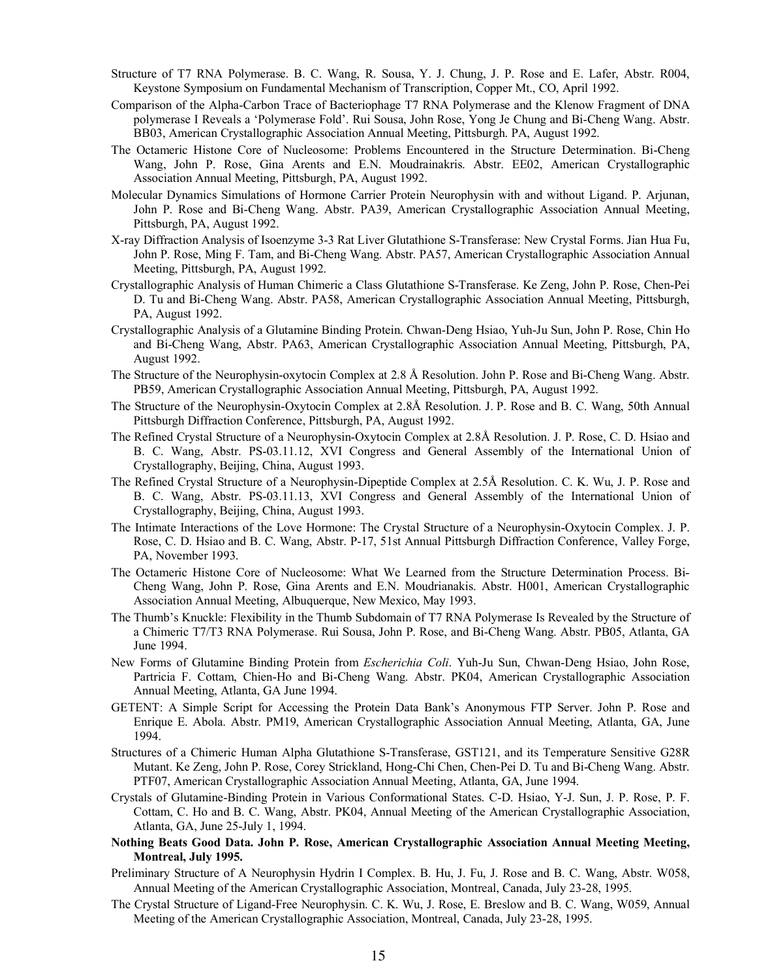- Structure of T7 RNA Polymerase. B. C. Wang, R. Sousa, Y. J. Chung, J. P. Rose and E. Lafer, Abstr. R004, Keystone Symposium on Fundamental Mechanism of Transcription, Copper Mt., CO, April 1992.
- Comparison of the Alpha-Carbon Trace of Bacteriophage T7 RNA Polymerase and the Klenow Fragment of DNA polymerase I Reveals a 'Polymerase Fold'. Rui Sousa, John Rose, Yong Je Chung and Bi-Cheng Wang. Abstr. BB03, American Crystallographic Association Annual Meeting, Pittsburgh. PA, August 1992.
- The Octameric Histone Core of Nucleosome: Problems Encountered in the Structure Determination. Bi-Cheng Wang, John P. Rose, Gina Arents and E.N. Moudrainakris. Abstr. EE02, American Crystallographic Association Annual Meeting, Pittsburgh, PA, August 1992.
- Molecular Dynamics Simulations of Hormone Carrier Protein Neurophysin with and without Ligand. P. Arjunan, John P. Rose and Bi-Cheng Wang. Abstr. PA39, American Crystallographic Association Annual Meeting, Pittsburgh, PA, August 1992.
- X-ray Diffraction Analysis of Isoenzyme 3-3 Rat Liver Glutathione S-Transferase: New Crystal Forms. Jian Hua Fu, John P. Rose, Ming F. Tam, and Bi-Cheng Wang. Abstr. PA57, American Crystallographic Association Annual Meeting, Pittsburgh, PA, August 1992.
- Crystallographic Analysis of Human Chimeric a Class Glutathione S-Transferase. Ke Zeng, John P. Rose, Chen-Pei D. Tu and Bi-Cheng Wang. Abstr. PA58, American Crystallographic Association Annual Meeting, Pittsburgh, PA, August 1992.
- Crystallographic Analysis of a Glutamine Binding Protein. Chwan-Deng Hsiao, Yuh-Ju Sun, John P. Rose, Chin Ho and Bi-Cheng Wang, Abstr. PA63, American Crystallographic Association Annual Meeting, Pittsburgh, PA, August 1992.
- The Structure of the Neurophysin-oxytocin Complex at 2.8 Å Resolution. John P. Rose and Bi-Cheng Wang. Abstr. PB59, American Crystallographic Association Annual Meeting, Pittsburgh, PA, August 1992.
- The Structure of the Neurophysin-Oxytocin Complex at 2.8Å Resolution. J. P. Rose and B. C. Wang, 50th Annual Pittsburgh Diffraction Conference, Pittsburgh, PA, August 1992.
- The Refined Crystal Structure of a Neurophysin-Oxytocin Complex at 2.8Å Resolution. J. P. Rose, C. D. Hsiao and B. C. Wang, Abstr. PS-03.11.12, XVI Congress and General Assembly of the International Union of Crystallography, Beijing, China, August 1993.
- The Refined Crystal Structure of a Neurophysin-Dipeptide Complex at 2.5Å Resolution. C. K. Wu, J. P. Rose and B. C. Wang, Abstr. PS-03.11.13, XVI Congress and General Assembly of the International Union of Crystallography, Beijing, China, August 1993.
- The Intimate Interactions of the Love Hormone: The Crystal Structure of a Neurophysin-Oxytocin Complex. J. P. Rose, C. D. Hsiao and B. C. Wang, Abstr. P-17, 51st Annual Pittsburgh Diffraction Conference, Valley Forge, PA, November 1993.
- The Octameric Histone Core of Nucleosome: What We Learned from the Structure Determination Process. Bi-Cheng Wang, John P. Rose, Gina Arents and E.N. Moudrianakis. Abstr. H001, American Crystallographic Association Annual Meeting, Albuquerque, New Mexico, May 1993.
- The Thumb's Knuckle: Flexibility in the Thumb Subdomain of T7 RNA Polymerase Is Revealed by the Structure of a Chimeric T7/T3 RNA Polymerase. Rui Sousa, John P. Rose, and Bi-Cheng Wang. Abstr. PB05, Atlanta, GA June 1994.
- New Forms of Glutamine Binding Protein from *Escherichia Coli*. Yuh-Ju Sun, Chwan-Deng Hsiao, John Rose, Partricia F. Cottam, Chien-Ho and Bi-Cheng Wang. Abstr. PK04, American Crystallographic Association Annual Meeting, Atlanta, GA June 1994.
- GETENT: A Simple Script for Accessing the Protein Data Bank's Anonymous FTP Server. John P. Rose and Enrique E. Abola. Abstr. PM19, American Crystallographic Association Annual Meeting, Atlanta, GA, June 1994.
- Structures of a Chimeric Human Alpha Glutathione S-Transferase, GST121, and its Temperature Sensitive G28R Mutant. Ke Zeng, John P. Rose, Corey Strickland, Hong-Chi Chen, Chen-Pei D. Tu and Bi-Cheng Wang. Abstr. PTF07, American Crystallographic Association Annual Meeting, Atlanta, GA, June 1994.
- Crystals of Glutamine-Binding Protein in Various Conformational States. C-D. Hsiao, Y-J. Sun, J. P. Rose, P. F. Cottam, C. Ho and B. C. Wang, Abstr. PK04, Annual Meeting of the American Crystallographic Association, Atlanta, GA, June 25-July 1, 1994.
- **Nothing Beats Good Data. John P. Rose, American Crystallographic Association Annual Meeting Meeting, Montreal, July 1995.**
- Preliminary Structure of A Neurophysin Hydrin I Complex. B. Hu, J. Fu, J. Rose and B. C. Wang, Abstr. W058, Annual Meeting of the American Crystallographic Association, Montreal, Canada, July 23-28, 1995.
- The Crystal Structure of Ligand-Free Neurophysin. C. K. Wu, J. Rose, E. Breslow and B. C. Wang, W059, Annual Meeting of the American Crystallographic Association, Montreal, Canada, July 23-28, 1995.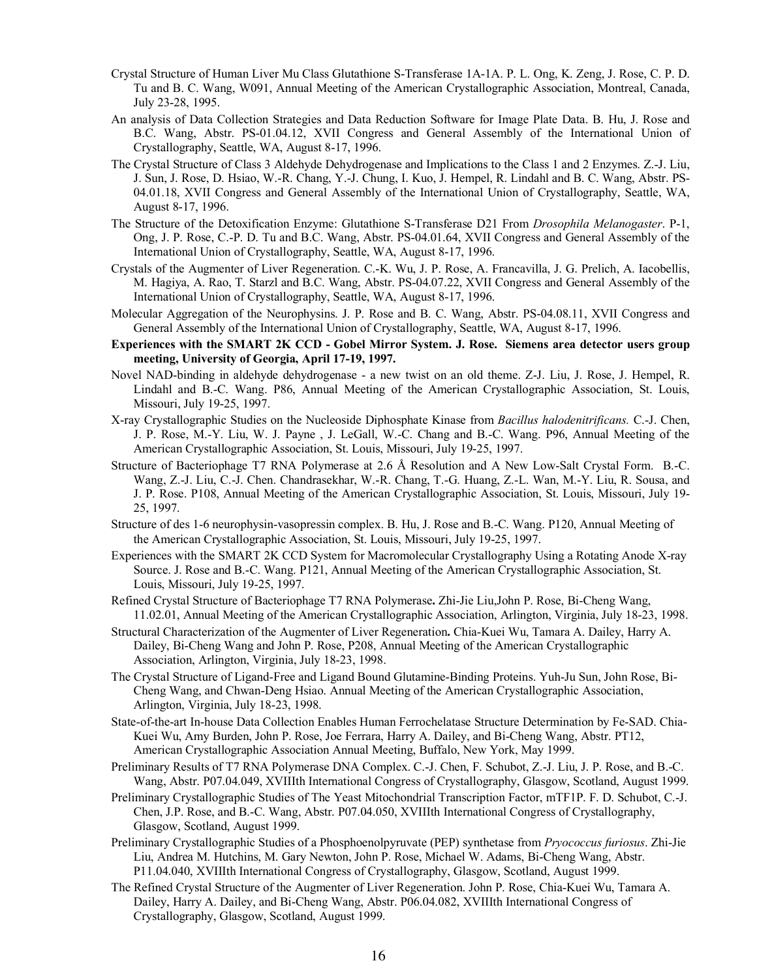- Crystal Structure of Human Liver Mu Class Glutathione S-Transferase 1A-1A. P. L. Ong, K. Zeng, J. Rose, C. P. D. Tu and B. C. Wang, W091, Annual Meeting of the American Crystallographic Association, Montreal, Canada, July 23-28, 1995.
- An analysis of Data Collection Strategies and Data Reduction Software for Image Plate Data. B. Hu, J. Rose and B.C. Wang, Abstr. PS-01.04.12, XVII Congress and General Assembly of the International Union of Crystallography, Seattle, WA, August 8-17, 1996.
- The Crystal Structure of Class 3 Aldehyde Dehydrogenase and Implications to the Class 1 and 2 Enzymes. Z.-J. Liu, J. Sun, J. Rose, D. Hsiao, W.-R. Chang, Y.-J. Chung, I. Kuo, J. Hempel, R. Lindahl and B. C. Wang, Abstr. PS-04.01.18, XVII Congress and General Assembly of the International Union of Crystallography, Seattle, WA, August 8-17, 1996.
- The Structure of the Detoxification Enzyme: Glutathione S-Transferase D21 From *Drosophila Melanogaster*. P-1, Ong, J. P. Rose, C.-P. D. Tu and B.C. Wang, Abstr. PS-04.01.64, XVII Congress and General Assembly of the International Union of Crystallography, Seattle, WA, August 8-17, 1996.
- Crystals of the Augmenter of Liver Regeneration. C.-K. Wu, J. P. Rose, A. Francavilla, J. G. Prelich, A. Iacobellis, M. Hagiya, A. Rao, T. Starzl and B.C. Wang, Abstr. PS-04.07.22, XVII Congress and General Assembly of the International Union of Crystallography, Seattle, WA, August 8-17, 1996.
- Molecular Aggregation of the Neurophysins. J. P. Rose and B. C. Wang, Abstr. PS-04.08.11, XVII Congress and General Assembly of the International Union of Crystallography, Seattle, WA, August 8-17, 1996.
- **Experiences with the SMART 2K CCD - Gobel Mirror System. J. Rose. Siemens area detector users group meeting, University of Georgia, April 17-19, 1997.**
- Novel NAD-binding in aldehyde dehydrogenase a new twist on an old theme. Z-J. Liu, J. Rose, J. Hempel, R. Lindahl and B.-C. Wang. P86, Annual Meeting of the American Crystallographic Association, St. Louis, Missouri, July 19-25, 1997.
- X-ray Crystallographic Studies on the Nucleoside Diphosphate Kinase from *Bacillus halodenitrificans.* C.-J. Chen, J. P. Rose, M.-Y. Liu, W. J. Payne , J. LeGall, W.-C. Chang and B.-C. Wang. P96, Annual Meeting of the American Crystallographic Association, St. Louis, Missouri, July 19-25, 1997.
- Structure of Bacteriophage T7 RNA Polymerase at 2.6 Å Resolution and A New Low-Salt Crystal Form. B.-C. Wang, Z.-J. Liu, C.-J. Chen. Chandrasekhar, W.-R. Chang, T.-G. Huang, Z.-L. Wan, M.-Y. Liu, R. Sousa, and J. P. Rose. P108, Annual Meeting of the American Crystallographic Association, St. Louis, Missouri, July 19- 25, 1997.
- Structure of des 1-6 neurophysin-vasopressin complex. B. Hu, J. Rose and B.-C. Wang. P120, Annual Meeting of the American Crystallographic Association, St. Louis, Missouri, July 19-25, 1997.
- Experiences with the SMART 2K CCD System for Macromolecular Crystallography Using a Rotating Anode X-ray Source. J. Rose and B.-C. Wang. P121, Annual Meeting of the American Crystallographic Association, St. Louis, Missouri, July 19-25, 1997.
- Refined Crystal Structure of Bacteriophage T7 RNA Polymerase**.** Zhi-Jie Liu,John P. Rose, Bi-Cheng Wang, 11.02.01, Annual Meeting of the American Crystallographic Association, Arlington, Virginia, July 18-23, 1998.
- Structural Characterization of the Augmenter of Liver Regeneration**.** Chia-Kuei Wu, Tamara A. Dailey, Harry A. Dailey, Bi-Cheng Wang and John P. Rose, P208, Annual Meeting of the American Crystallographic Association, Arlington, Virginia, July 18-23, 1998.
- The Crystal Structure of Ligand-Free and Ligand Bound Glutamine-Binding Proteins. Yuh-Ju Sun, John Rose, Bi-Cheng Wang, and Chwan-Deng Hsiao. Annual Meeting of the American Crystallographic Association, Arlington, Virginia, July 18-23, 1998.
- State-of-the-art In-house Data Collection Enables Human Ferrochelatase Structure Determination by Fe-SAD. Chia-Kuei Wu, Amy Burden, John P. Rose, Joe Ferrara, Harry A. Dailey, and Bi-Cheng Wang, Abstr. PT12, American Crystallographic Association Annual Meeting, Buffalo, New York, May 1999.
- Preliminary Results of T7 RNA Polymerase DNA Complex. C.-J. Chen, F. Schubot, Z.-J. Liu, J. P. Rose, and B.-C. Wang, Abstr. P07.04.049, XVIIIth International Congress of Crystallography, Glasgow, Scotland, August 1999.
- Preliminary Crystallographic Studies of The Yeast Mitochondrial Transcription Factor, mTF1P. F. D. Schubot, C.-J. Chen, J.P. Rose, and B.-C. Wang, Abstr. P07.04.050, XVIIIth International Congress of Crystallography, Glasgow, Scotland, August 1999.
- Preliminary Crystallographic Studies of a Phosphoenolpyruvate (PEP) synthetase from *Pryococcus furiosus*. Zhi-Jie Liu, Andrea M. Hutchins, M. Gary Newton, John P. Rose, Michael W. Adams, Bi-Cheng Wang, Abstr. P11.04.040, XVIIIth International Congress of Crystallography, Glasgow, Scotland, August 1999.
- The Refined Crystal Structure of the Augmenter of Liver Regeneration. John P. Rose, Chia-Kuei Wu, Tamara A. Dailey, Harry A. Dailey, and Bi-Cheng Wang, Abstr. P06.04.082, XVIIIth International Congress of Crystallography, Glasgow, Scotland, August 1999.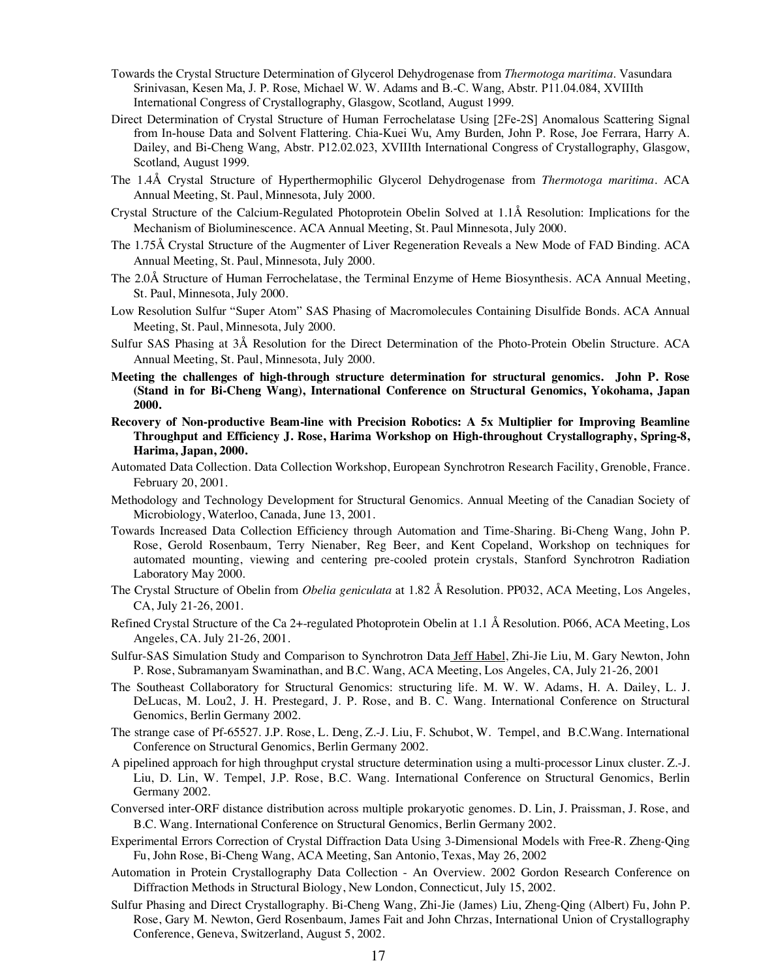- Towards the Crystal Structure Determination of Glycerol Dehydrogenase from *Thermotoga maritima*. Vasundara Srinivasan, Kesen Ma, J. P. Rose, Michael W. W. Adams and B.-C. Wang, Abstr. P11.04.084, XVIIIth International Congress of Crystallography, Glasgow, Scotland, August 1999.
- Direct Determination of Crystal Structure of Human Ferrochelatase Using [2Fe-2S] Anomalous Scattering Signal from In-house Data and Solvent Flattering. Chia-Kuei Wu, Amy Burden, John P. Rose, Joe Ferrara, Harry A. Dailey, and Bi-Cheng Wang, Abstr. P12.02.023, XVIIIth International Congress of Crystallography, Glasgow, Scotland, August 1999.
- The 1.4Å Crystal Structure of Hyperthermophilic Glycerol Dehydrogenase from *Thermotoga maritima*. ACA Annual Meeting, St. Paul, Minnesota, July 2000.
- Crystal Structure of the Calcium-Regulated Photoprotein Obelin Solved at 1.1Å Resolution: Implications for the Mechanism of Bioluminescence. ACA Annual Meeting, St. Paul Minnesota, July 2000.
- The 1.75Å Crystal Structure of the Augmenter of Liver Regeneration Reveals a New Mode of FAD Binding. ACA Annual Meeting, St. Paul, Minnesota, July 2000.
- The 2.0Å Structure of Human Ferrochelatase, the Terminal Enzyme of Heme Biosynthesis. ACA Annual Meeting, St. Paul, Minnesota, July 2000.
- Low Resolution Sulfur "Super Atom" SAS Phasing of Macromolecules Containing Disulfide Bonds. ACA Annual Meeting, St. Paul, Minnesota, July 2000.
- Sulfur SAS Phasing at 3Å Resolution for the Direct Determination of the Photo-Protein Obelin Structure. ACA Annual Meeting, St. Paul, Minnesota, July 2000.
- **Meeting the challenges of high-through structure determination for structural genomics. John P. Rose (Stand in for Bi-Cheng Wang), International Conference on Structural Genomics, Yokohama, Japan 2000.**
- **Recovery of Non-productive Beam-line with Precision Robotics: A 5x Multiplier for Improving Beamline Throughput and Efficiency J. Rose, Harima Workshop on High-throughout Crystallography, Spring-8, Harima, Japan, 2000.**
- Automated Data Collection. Data Collection Workshop, European Synchrotron Research Facility, Grenoble, France. February 20, 2001.
- Methodology and Technology Development for Structural Genomics. Annual Meeting of the Canadian Society of Microbiology, Waterloo, Canada, June 13, 2001.
- Towards Increased Data Collection Efficiency through Automation and Time-Sharing. Bi-Cheng Wang, John P. Rose, Gerold Rosenbaum, Terry Nienaber, Reg Beer, and Kent Copeland, Workshop on techniques for automated mounting, viewing and centering pre-cooled protein crystals, Stanford Synchrotron Radiation Laboratory May 2000.
- The Crystal Structure of Obelin from *Obelia geniculata* at 1.82 Å Resolution. PP032, ACA Meeting, Los Angeles, CA, July 21-26, 2001.
- Refined Crystal Structure of the Ca 2+-regulated Photoprotein Obelin at 1.1 Å Resolution. P066, ACA Meeting, Los Angeles, CA. July 21-26, 2001.
- Sulfur-SAS Simulation Study and Comparison to Synchrotron Data Jeff Habel, Zhi-Jie Liu, M. Gary Newton, John P. Rose, Subramanyam Swaminathan, and B.C. Wang, ACA Meeting, Los Angeles, CA, July 21-26, 2001
- The Southeast Collaboratory for Structural Genomics: structuring life. M. W. W. Adams, H. A. Dailey, L. J. DeLucas, M. Lou2, J. H. Prestegard, J. P. Rose, and B. C. Wang. International Conference on Structural Genomics, Berlin Germany 2002.
- The strange case of Pf-65527. J.P. Rose, L. Deng, Z.-J. Liu, F. Schubot, W. Tempel, and B.C.Wang. International Conference on Structural Genomics, Berlin Germany 2002.
- A pipelined approach for high throughput crystal structure determination using a multi-processor Linux cluster. Z.-J. Liu, D. Lin, W. Tempel, J.P. Rose, B.C. Wang. International Conference on Structural Genomics, Berlin Germany 2002.
- Conversed inter-ORF distance distribution across multiple prokaryotic genomes. D. Lin, J. Praissman, J. Rose, and B.C. Wang. International Conference on Structural Genomics, Berlin Germany 2002.
- Experimental Errors Correction of Crystal Diffraction Data Using 3-Dimensional Models with Free-R. Zheng-Qing Fu, John Rose, Bi-Cheng Wang, ACA Meeting, San Antonio, Texas, May 26, 2002
- Automation in Protein Crystallography Data Collection An Overview. 2002 Gordon Research Conference on Diffraction Methods in Structural Biology, New London, Connecticut, July 15, 2002.
- Sulfur Phasing and Direct Crystallography. Bi-Cheng Wang, Zhi-Jie (James) Liu, Zheng-Qing (Albert) Fu, John P. Rose, Gary M. Newton, Gerd Rosenbaum, James Fait and John Chrzas, International Union of Crystallography Conference, Geneva, Switzerland, August 5, 2002.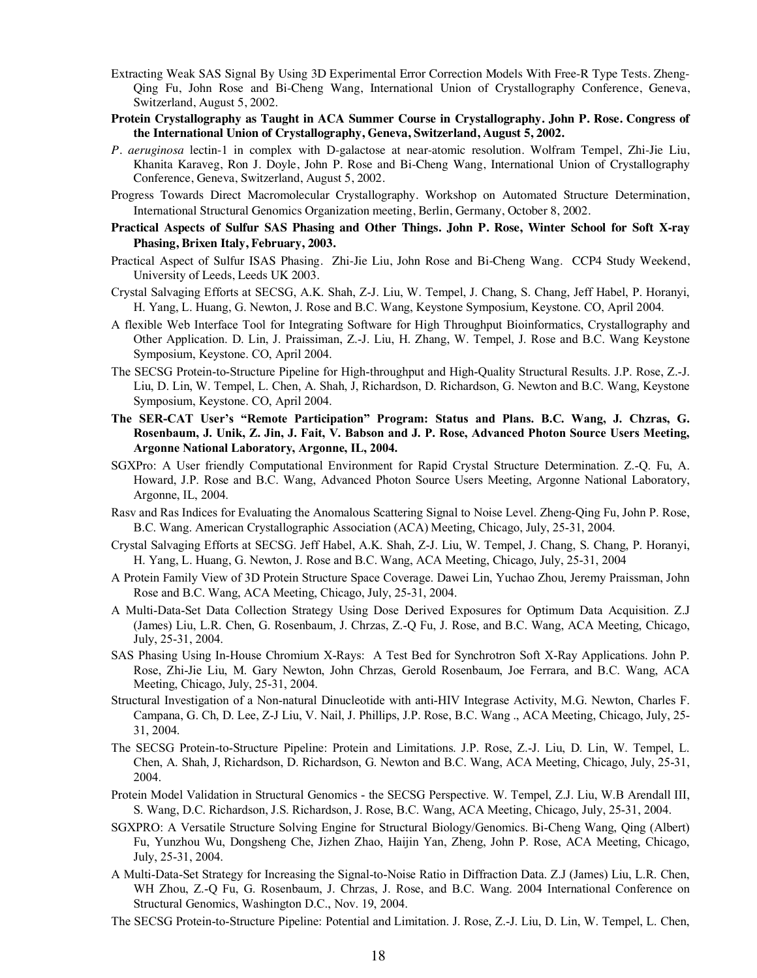- Extracting Weak SAS Signal By Using 3D Experimental Error Correction Models With Free-R Type Tests. Zheng-Qing Fu, John Rose and Bi-Cheng Wang, International Union of Crystallography Conference, Geneva, Switzerland, August 5, 2002.
- **Protein Crystallography as Taught in ACA Summer Course in Crystallography. John P. Rose. Congress of the International Union of Crystallography, Geneva, Switzerland, August 5, 2002.**
- *P. aeruginosa* lectin-1 in complex with D-galactose at near-atomic resolution. Wolfram Tempel, Zhi-Jie Liu, Khanita Karaveg, Ron J. Doyle, John P. Rose and Bi-Cheng Wang, International Union of Crystallography Conference, Geneva, Switzerland, August 5, 2002.
- Progress Towards Direct Macromolecular Crystallography. Workshop on Automated Structure Determination, International Structural Genomics Organization meeting, Berlin, Germany, October 8, 2002.
- **Practical Aspects of Sulfur SAS Phasing and Other Things. John P. Rose, Winter School for Soft X-ray Phasing, Brixen Italy, February, 2003.**
- Practical Aspect of Sulfur ISAS Phasing. Zhi-Jie Liu, John Rose and Bi-Cheng Wang. CCP4 Study Weekend, University of Leeds, Leeds UK 2003.
- Crystal Salvaging Efforts at SECSG, A.K. Shah, Z-J. Liu, W. Tempel, J. Chang, S. Chang, Jeff Habel, P. Horanyi, H. Yang, L. Huang, G. Newton, J. Rose and B.C. Wang, Keystone Symposium, Keystone. CO, April 2004.
- A flexible Web Interface Tool for Integrating Software for High Throughput Bioinformatics, Crystallography and Other Application. D. Lin, J. Praissiman, Z.-J. Liu, H. Zhang, W. Tempel, J. Rose and B.C. Wang Keystone Symposium, Keystone. CO, April 2004.
- The SECSG Protein-to-Structure Pipeline for High-throughput and High-Quality Structural Results. J.P. Rose, Z.-J. Liu, D. Lin, W. Tempel, L. Chen, A. Shah, J, Richardson, D. Richardson, G. Newton and B.C. Wang, Keystone Symposium, Keystone. CO, April 2004.
- **The SER-CAT User's "Remote Participation" Program: Status and Plans. B.C. Wang, J. Chzras, G. Rosenbaum, J. Unik, Z. Jin, J. Fait, V. Babson and J. P. Rose, Advanced Photon Source Users Meeting, Argonne National Laboratory, Argonne, IL, 2004.**
- SGXPro: A User friendly Computational Environment for Rapid Crystal Structure Determination. Z.-Q. Fu, A. Howard, J.P. Rose and B.C. Wang, Advanced Photon Source Users Meeting, Argonne National Laboratory, Argonne, IL, 2004.
- Rasv and Ras Indices for Evaluating the Anomalous Scattering Signal to Noise Level. Zheng-Qing Fu, John P. Rose, B.C. Wang. American Crystallographic Association (ACA) Meeting, Chicago, July, 25-31, 2004.
- Crystal Salvaging Efforts at SECSG. Jeff Habel, A.K. Shah, Z-J. Liu, W. Tempel, J. Chang, S. Chang, P. Horanyi, H. Yang, L. Huang, G. Newton, J. Rose and B.C. Wang, ACA Meeting, Chicago, July, 25-31, 2004
- A Protein Family View of 3D Protein Structure Space Coverage. Dawei Lin, Yuchao Zhou, Jeremy Praissman, John Rose and B.C. Wang, ACA Meeting, Chicago, July, 25-31, 2004.
- A Multi-Data-Set Data Collection Strategy Using Dose Derived Exposures for Optimum Data Acquisition. Z.J (James) Liu, L.R. Chen, G. Rosenbaum, J. Chrzas, Z.-Q Fu, J. Rose, and B.C. Wang, ACA Meeting, Chicago, July, 25-31, 2004.
- SAS Phasing Using In-House Chromium X-Rays: A Test Bed for Synchrotron Soft X-Ray Applications. John P. Rose, Zhi-Jie Liu, M. Gary Newton, John Chrzas, Gerold Rosenbaum, Joe Ferrara, and B.C. Wang, ACA Meeting, Chicago, July, 25-31, 2004.
- Structural Investigation of a Non-natural Dinucleotide with anti-HIV Integrase Activity, M.G. Newton, Charles F. Campana, G. Ch, D. Lee, Z-J Liu, V. Nail, J. Phillips, J.P. Rose, B.C. Wang ., ACA Meeting, Chicago, July, 25- 31, 2004.
- The SECSG Protein-to-Structure Pipeline: Protein and Limitations. J.P. Rose, Z.-J. Liu, D. Lin, W. Tempel, L. Chen, A. Shah, J, Richardson, D. Richardson, G. Newton and B.C. Wang, ACA Meeting, Chicago, July, 25-31, 2004.
- Protein Model Validation in Structural Genomics the SECSG Perspective. W. Tempel, Z.J. Liu, W.B Arendall III, S. Wang, D.C. Richardson, J.S. Richardson, J. Rose, B.C. Wang, ACA Meeting, Chicago, July, 25-31, 2004.
- SGXPRO: A Versatile Structure Solving Engine for Structural Biology/Genomics. Bi-Cheng Wang, Qing (Albert) Fu, Yunzhou Wu, Dongsheng Che, Jizhen Zhao, Haijin Yan, Zheng, John P. Rose, ACA Meeting, Chicago, July, 25-31, 2004.
- A Multi-Data-Set Strategy for Increasing the Signal-to-Noise Ratio in Diffraction Data. Z.J (James) Liu, L.R. Chen, WH Zhou, Z.-Q Fu, G. Rosenbaum, J. Chrzas, J. Rose, and B.C. Wang. 2004 International Conference on Structural Genomics, Washington D.C., Nov. 19, 2004.
- The SECSG Protein-to-Structure Pipeline: Potential and Limitation. J. Rose, Z.-J. Liu, D. Lin, W. Tempel, L. Chen,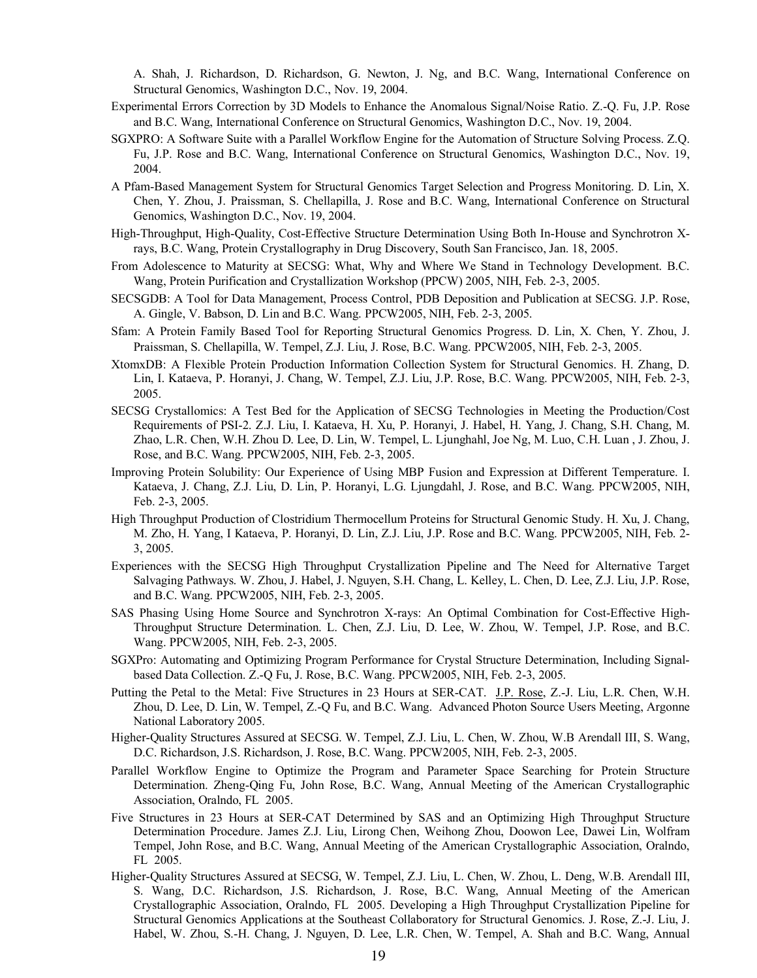A. Shah, J. Richardson, D. Richardson, G. Newton, J. Ng, and B.C. Wang, International Conference on Structural Genomics, Washington D.C., Nov. 19, 2004.

- Experimental Errors Correction by 3D Models to Enhance the Anomalous Signal/Noise Ratio. Z.-Q. Fu, J.P. Rose and B.C. Wang, International Conference on Structural Genomics, Washington D.C., Nov. 19, 2004.
- SGXPRO: A Software Suite with a Parallel Workflow Engine for the Automation of Structure Solving Process. Z.Q. Fu, J.P. Rose and B.C. Wang, International Conference on Structural Genomics, Washington D.C., Nov. 19, 2004.
- A Pfam-Based Management System for Structural Genomics Target Selection and Progress Monitoring. D. Lin, X. Chen, Y. Zhou, J. Praissman, S. Chellapilla, J. Rose and B.C. Wang, International Conference on Structural Genomics, Washington D.C., Nov. 19, 2004.
- High-Throughput, High-Quality, Cost-Effective Structure Determination Using Both In-House and Synchrotron Xrays, B.C. Wang, Protein Crystallography in Drug Discovery, South San Francisco, Jan. 18, 2005.
- From Adolescence to Maturity at SECSG: What, Why and Where We Stand in Technology Development. B.C. Wang, Protein Purification and Crystallization Workshop (PPCW) 2005, NIH, Feb. 2-3, 2005.
- SECSGDB: A Tool for Data Management, Process Control, PDB Deposition and Publication at SECSG. J.P. Rose, A. Gingle, V. Babson, D. Lin and B.C. Wang. PPCW2005, NIH, Feb. 2-3, 2005.
- Sfam: A Protein Family Based Tool for Reporting Structural Genomics Progress. D. Lin, X. Chen, Y. Zhou, J. Praissman, S. Chellapilla, W. Tempel, Z.J. Liu, J. Rose, B.C. Wang. PPCW2005, NIH, Feb. 2-3, 2005.
- XtomxDB: A Flexible Protein Production Information Collection System for Structural Genomics. H. Zhang, D. Lin, I. Kataeva, P. Horanyi, J. Chang, W. Tempel, Z.J. Liu, J.P. Rose, B.C. Wang. PPCW2005, NIH, Feb. 2-3, 2005.
- SECSG Crystallomics: A Test Bed for the Application of SECSG Technologies in Meeting the Production/Cost Requirements of PSI-2. Z.J. Liu, I. Kataeva, H. Xu, P. Horanyi, J. Habel, H. Yang, J. Chang, S.H. Chang, M. Zhao, L.R. Chen, W.H. Zhou D. Lee, D. Lin, W. Tempel, L. Ljunghahl, Joe Ng, M. Luo, C.H. Luan , J. Zhou, J. Rose, and B.C. Wang. PPCW2005, NIH, Feb. 2-3, 2005.
- Improving Protein Solubility: Our Experience of Using MBP Fusion and Expression at Different Temperature. I. Kataeva, J. Chang, Z.J. Liu, D. Lin, P. Horanyi, L.G. Ljungdahl, J. Rose, and B.C. Wang. PPCW2005, NIH, Feb. 2-3, 2005.
- High Throughput Production of Clostridium Thermocellum Proteins for Structural Genomic Study. H. Xu, J. Chang, M. Zho, H. Yang, I Kataeva, P. Horanyi, D. Lin, Z.J. Liu, J.P. Rose and B.C. Wang. PPCW2005, NIH, Feb. 2- 3, 2005.
- Experiences with the SECSG High Throughput Crystallization Pipeline and The Need for Alternative Target Salvaging Pathways. W. Zhou, J. Habel, J. Nguyen, S.H. Chang, L. Kelley, L. Chen, D. Lee, Z.J. Liu, J.P. Rose, and B.C. Wang. PPCW2005, NIH, Feb. 2-3, 2005.
- SAS Phasing Using Home Source and Synchrotron X-rays: An Optimal Combination for Cost-Effective High-Throughput Structure Determination. L. Chen, Z.J. Liu, D. Lee, W. Zhou, W. Tempel, J.P. Rose, and B.C. Wang. PPCW2005, NIH, Feb. 2-3, 2005.
- SGXPro: Automating and Optimizing Program Performance for Crystal Structure Determination, Including Signalbased Data Collection. Z.-Q Fu, J. Rose, B.C. Wang. PPCW2005, NIH, Feb. 2-3, 2005.
- Putting the Petal to the Metal: Five Structures in 23 Hours at SER-CAT. J.P. Rose, Z.-J. Liu, L.R. Chen, W.H. Zhou, D. Lee, D. Lin, W. Tempel, Z.-Q Fu, and B.C. Wang. Advanced Photon Source Users Meeting, Argonne National Laboratory 2005.
- Higher-Quality Structures Assured at SECSG. W. Tempel, Z.J. Liu, L. Chen, W. Zhou, W.B Arendall III, S. Wang, D.C. Richardson, J.S. Richardson, J. Rose, B.C. Wang. PPCW2005, NIH, Feb. 2-3, 2005.
- Parallel Workflow Engine to Optimize the Program and Parameter Space Searching for Protein Structure Determination. Zheng-Qing Fu, John Rose, B.C. Wang, Annual Meeting of the American Crystallographic Association, Oralndo, FL 2005.
- Five Structures in 23 Hours at SER-CAT Determined by SAS and an Optimizing High Throughput Structure Determination Procedure. James Z.J. Liu, Lirong Chen, Weihong Zhou, Doowon Lee, Dawei Lin, Wolfram Tempel, John Rose, and B.C. Wang, Annual Meeting of the American Crystallographic Association, Oralndo, FL 2005.
- Higher-Quality Structures Assured at SECSG, W. Tempel, Z.J. Liu, L. Chen, W. Zhou, L. Deng, W.B. Arendall III, S. Wang, D.C. Richardson, J.S. Richardson, J. Rose, B.C. Wang, Annual Meeting of the American Crystallographic Association, Oralndo, FL 2005. Developing a High Throughput Crystallization Pipeline for Structural Genomics Applications at the Southeast Collaboratory for Structural Genomics. J. Rose, Z.-J. Liu, J. Habel, W. Zhou, S.-H. Chang, J. Nguyen, D. Lee, L.R. Chen, W. Tempel, A. Shah and B.C. Wang, Annual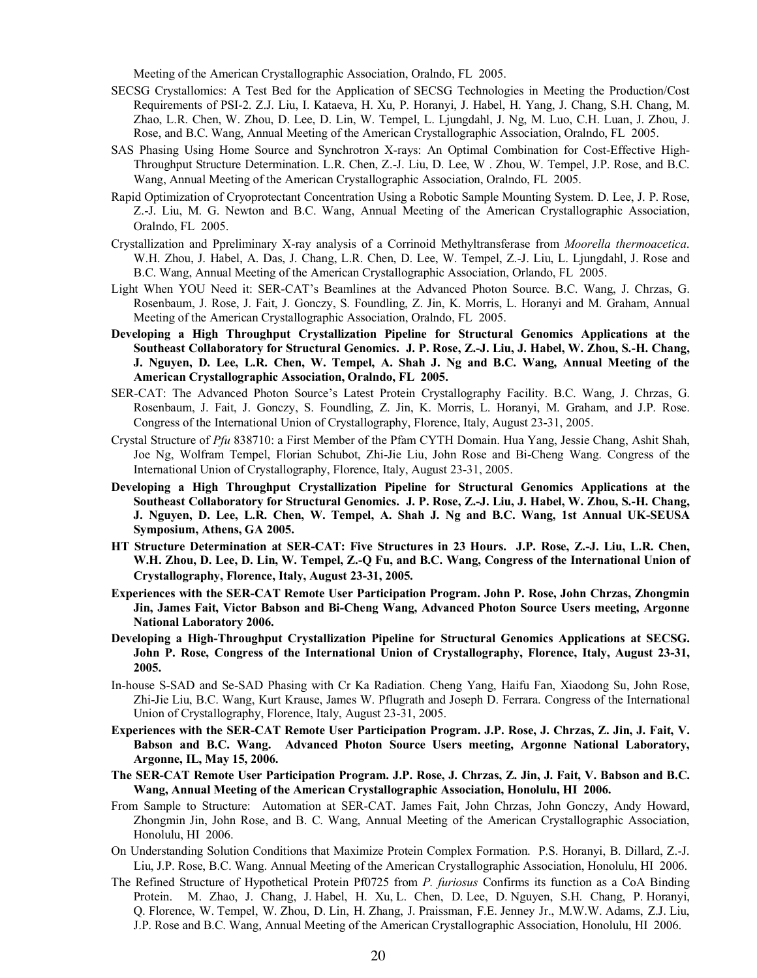Meeting of the American Crystallographic Association, Oralndo, FL 2005.

- SECSG Crystallomics: A Test Bed for the Application of SECSG Technologies in Meeting the Production/Cost Requirements of PSI-2. Z.J. Liu, I. Kataeva, H. Xu, P. Horanyi, J. Habel, H. Yang, J. Chang, S.H. Chang, M. Zhao, L.R. Chen, W. Zhou, D. Lee, D. Lin, W. Tempel, L. Ljungdahl, J. Ng, M. Luo, C.H. Luan, J. Zhou, J. Rose, and B.C. Wang, Annual Meeting of the American Crystallographic Association, Oralndo, FL 2005.
- SAS Phasing Using Home Source and Synchrotron X-rays: An Optimal Combination for Cost-Effective High-Throughput Structure Determination. L.R. Chen, Z.-J. Liu, D. Lee, W . Zhou, W. Tempel, J.P. Rose, and B.C. Wang, Annual Meeting of the American Crystallographic Association, Oralndo, FL 2005.
- Rapid Optimization of Cryoprotectant Concentration Using a Robotic Sample Mounting System. D. Lee, J. P. Rose, Z.-J. Liu, M. G. Newton and B.C. Wang, Annual Meeting of the American Crystallographic Association, Oralndo, FL 2005.
- Crystallization and Ppreliminary X-ray analysis of a Corrinoid Methyltransferase from *Moorella thermoacetica*. W.H. Zhou, J. Habel, A. Das, J. Chang, L.R. Chen, D. Lee, W. Tempel, Z.-J. Liu, L. Ljungdahl, J. Rose and B.C. Wang, Annual Meeting of the American Crystallographic Association, Orlando, FL 2005.
- Light When YOU Need it: SER-CAT's Beamlines at the Advanced Photon Source. B.C. Wang, J. Chrzas, G. Rosenbaum, J. Rose, J. Fait, J. Gonczy, S. Foundling, Z. Jin, K. Morris, L. Horanyi and M. Graham, Annual Meeting of the American Crystallographic Association, Oralndo, FL 2005.
- **Developing a High Throughput Crystallization Pipeline for Structural Genomics Applications at the Southeast Collaboratory for Structural Genomics. J. P. Rose, Z.-J. Liu, J. Habel, W. Zhou, S.-H. Chang, J. Nguyen, D. Lee, L.R. Chen, W. Tempel, A. Shah J. Ng and B.C. Wang, Annual Meeting of the American Crystallographic Association, Oralndo, FL 2005.**
- SER-CAT: The Advanced Photon Source's Latest Protein Crystallography Facility. B.C. Wang, J. Chrzas, G. Rosenbaum, J. Fait, J. Gonczy, S. Foundling, Z. Jin, K. Morris, L. Horanyi, M. Graham, and J.P. Rose. Congress of the International Union of Crystallography, Florence, Italy, August 23-31, 2005.
- Crystal Structure of *Pfu* 838710: a First Member of the Pfam CYTH Domain. Hua Yang, Jessie Chang, Ashit Shah, Joe Ng, Wolfram Tempel, Florian Schubot, Zhi-Jie Liu, John Rose and Bi-Cheng Wang. Congress of the International Union of Crystallography, Florence, Italy, August 23-31, 2005.
- **Developing a High Throughput Crystallization Pipeline for Structural Genomics Applications at the Southeast Collaboratory for Structural Genomics. J. P. Rose, Z.-J. Liu, J. Habel, W. Zhou, S.-H. Chang, J. Nguyen, D. Lee, L.R. Chen, W. Tempel, A. Shah J. Ng and B.C. Wang, 1st Annual UK-SEUSA Symposium, Athens, GA 2005.**
- **HT Structure Determination at SER-CAT: Five Structures in 23 Hours. J.P. Rose, Z.-J. Liu, L.R. Chen, W.H. Zhou, D. Lee, D. Lin, W. Tempel, Z.-Q Fu, and B.C. Wang, Congress of the International Union of Crystallography, Florence, Italy, August 23-31, 2005.**
- **Experiences with the SER-CAT Remote User Participation Program. John P. Rose, John Chrzas, Zhongmin Jin, James Fait, Victor Babson and Bi-Cheng Wang, Advanced Photon Source Users meeting, Argonne National Laboratory 2006.**
- **Developing a High-Throughput Crystallization Pipeline for Structural Genomics Applications at SECSG. John P. Rose, Congress of the International Union of Crystallography, Florence, Italy, August 23-31, 2005.**
- In-house S-SAD and Se-SAD Phasing with Cr Ka Radiation. Cheng Yang, Haifu Fan, Xiaodong Su, John Rose, Zhi-Jie Liu, B.C. Wang, Kurt Krause, James W. Pflugrath and Joseph D. Ferrara. Congress of the International Union of Crystallography, Florence, Italy, August 23-31, 2005.
- **Experiences with the SER-CAT Remote User Participation Program. J.P. Rose, J. Chrzas, Z. Jin, J. Fait, V. Babson and B.C. Wang. Advanced Photon Source Users meeting, Argonne National Laboratory, Argonne, IL, May 15, 2006.**
- **The SER-CAT Remote User Participation Program. J.P. Rose, J. Chrzas, Z. Jin, J. Fait, V. Babson and B.C. Wang, Annual Meeting of the American Crystallographic Association, Honolulu, HI 2006.**
- From Sample to Structure: Automation at SER-CAT. James Fait, John Chrzas, John Gonczy, Andy Howard, Zhongmin Jin, John Rose, and B. C. Wang, Annual Meeting of the American Crystallographic Association, Honolulu, HI 2006.
- On Understanding Solution Conditions that Maximize Protein Complex Formation. P.S. Horanyi, B. Dillard, Z.-J. Liu, J.P. Rose, B.C. Wang. Annual Meeting of the American Crystallographic Association, Honolulu, HI 2006.
- The Refined Structure of Hypothetical Protein Pf0725 from *P. furiosus* Confirms its function as a CoA Binding Protein. M. Zhao, J. Chang, J. Habel, H. Xu, L. Chen, D. Lee, D. Nguyen, S.H. Chang, P. Horanyi, Q. Florence, W. Tempel, W. Zhou, D. Lin, H. Zhang, J. Praissman, F.E. Jenney Jr., M.W.W. Adams, Z.J. Liu, J.P. Rose and B.C. Wang, Annual Meeting of the American Crystallographic Association, Honolulu, HI 2006.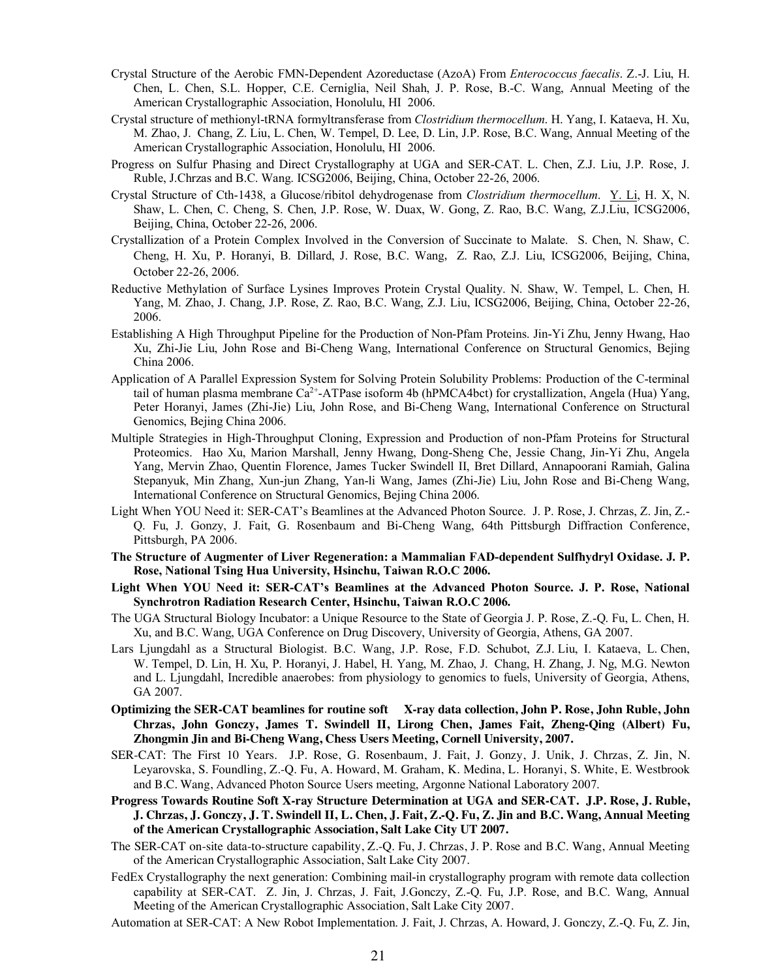- Crystal Structure of the Aerobic FMN-Dependent Azoreductase (AzoA) From *Enterococcus faecalis*. Z.-J. Liu, H. Chen, L. Chen, S.L. Hopper, C.E. Cerniglia, Neil Shah, J. P. Rose, B.-C. Wang, Annual Meeting of the American Crystallographic Association, Honolulu, HI 2006.
- Crystal structure of methionyl-tRNA formyltransferase from *Clostridium thermocellum*. H. Yang, I. Kataeva, H. Xu, M. Zhao, J. Chang, Z. Liu, L. Chen, W. Tempel, D. Lee, D. Lin, J.P. Rose, B.C. Wang, Annual Meeting of the American Crystallographic Association, Honolulu, HI 2006.
- Progress on Sulfur Phasing and Direct Crystallography at UGA and SER-CAT. L. Chen, Z.J. Liu, J.P. Rose, J. Ruble, J.Chrzas and B.C. Wang. ICSG2006, Beijing, China, October 22-26, 2006.
- Crystal Structure of Cth-1438, a Glucose/ribitol dehydrogenase from *Clostridium thermocellum*. Y. Li, H. X, N. Shaw, L. Chen, C. Cheng, S. Chen, J.P. Rose, W. Duax, W. Gong, Z. Rao, B.C. Wang, Z.J.Liu, ICSG2006, Beijing, China, October 22-26, 2006.
- Crystallization of a Protein Complex Involved in the Conversion of Succinate to Malate. S. Chen, N. Shaw, C. Cheng, H. Xu, P. Horanyi, B. Dillard, J. Rose, B.C. Wang, Z. Rao, Z.J. Liu, ICSG2006, Beijing, China, October 22-26, 2006.
- Reductive Methylation of Surface Lysines Improves Protein Crystal Quality. N. Shaw, W. Tempel, L. Chen, H. Yang, M. Zhao, J. Chang, J.P. Rose, Z. Rao, B.C. Wang, Z.J. Liu, ICSG2006, Beijing, China, October 22-26, 2006.
- Establishing A High Throughput Pipeline for the Production of Non-Pfam Proteins. Jin-Yi Zhu, Jenny Hwang, Hao Xu, Zhi-Jie Liu, John Rose and Bi-Cheng Wang, International Conference on Structural Genomics, Bejing China 2006.
- Application of A Parallel Expression System for Solving Protein Solubility Problems: Production of the C-terminal tail of human plasma membrane  $Ca^{2+}-ATP$ ase isoform 4b (hPMCA4bct) for crystallization, Angela (Hua) Yang, Peter Horanyi, James (Zhi-Jie) Liu, John Rose, and Bi-Cheng Wang, International Conference on Structural Genomics, Bejing China 2006.
- Multiple Strategies in High-Throughput Cloning, Expression and Production of non-Pfam Proteins for Structural Proteomics. Hao Xu, Marion Marshall, Jenny Hwang, Dong-Sheng Che, Jessie Chang, Jin-Yi Zhu, Angela Yang, Mervin Zhao, Quentin Florence, James Tucker Swindell II, Bret Dillard, Annapoorani Ramiah, Galina Stepanyuk, Min Zhang, Xun-jun Zhang, Yan-li Wang, James (Zhi-Jie) Liu, John Rose and Bi-Cheng Wang, International Conference on Structural Genomics, Bejing China 2006.
- Light When YOU Need it: SER-CAT's Beamlines at the Advanced Photon Source. J. P. Rose, J. Chrzas, Z. Jin, Z.- Q. Fu, J. Gonzy, J. Fait, G. Rosenbaum and Bi-Cheng Wang, 64th Pittsburgh Diffraction Conference, Pittsburgh, PA 2006.
- **The Structure of Augmenter of Liver Regeneration: a Mammalian FAD-dependent Sulfhydryl Oxidase. J. P. Rose, National Tsing Hua University, Hsinchu, Taiwan R.O.C 2006.**
- **Light When YOU Need it: SER-CAT's Beamlines at the Advanced Photon Source. J. P. Rose, National Synchrotron Radiation Research Center, Hsinchu, Taiwan R.O.C 2006.**
- The UGA Structural Biology Incubator: a Unique Resource to the State of Georgia J. P. Rose, Z.-Q. Fu, L. Chen, H. Xu, and B.C. Wang, UGA Conference on Drug Discovery, University of Georgia, Athens, GA 2007.
- Lars Ljungdahl as a Structural Biologist. B.C. Wang, J.P. Rose, F.D. Schubot, Z.J. Liu, I. Kataeva, L. Chen, W. Tempel, D. Lin, H. Xu, P. Horanyi, J. Habel, H. Yang, M. Zhao, J. Chang, H. Zhang, J. Ng, M.G. Newton and L. Ljungdahl, Incredible anaerobes: from physiology to genomics to fuels, University of Georgia, Athens, GA 2007.
- **Optimizing the SER-CAT beamlines for routine soft X-ray data collection, John P. Rose, John Ruble, John Chrzas, John Gonczy, James T. Swindell II, Lirong Chen, James Fait, Zheng-Qing (Albert) Fu, Zhongmin Jin and Bi-Cheng Wang, Chess Users Meeting, Cornell University, 2007.**
- SER-CAT: The First 10 Years. J.P. Rose, G. Rosenbaum, J. Fait, J. Gonzy, J. Unik, J. Chrzas, Z. Jin, N. Leyarovska, S. Foundling, Z.-Q. Fu, A. Howard, M. Graham, K. Medina, L. Horanyi, S. White, E. Westbrook and B.C. Wang, Advanced Photon Source Users meeting, Argonne National Laboratory 2007.
- **Progress Towards Routine Soft X-ray Structure Determination at UGA and SER-CAT. J.P. Rose, J. Ruble, J. Chrzas, J. Gonczy, J. T. Swindell II, L. Chen, J. Fait, Z.-Q. Fu, Z. Jin and B.C. Wang, Annual Meeting of the American Crystallographic Association, Salt Lake City UT 2007.**
- The SER-CAT on-site data-to-structure capability, Z.-Q. Fu, J. Chrzas, J. P. Rose and B.C. Wang, Annual Meeting of the American Crystallographic Association, Salt Lake City 2007.
- FedEx Crystallography the next generation: Combining mail-in crystallography program with remote data collection capability at SER-CAT. Z. Jin, J. Chrzas, J. Fait, J.Gonczy, Z.-Q. Fu, J.P. Rose, and B.C. Wang, Annual Meeting of the American Crystallographic Association, Salt Lake City 2007.
- Automation at SER-CAT: A New Robot Implementation. J. Fait, J. Chrzas, A. Howard, J. Gonczy, Z.-Q. Fu, Z. Jin,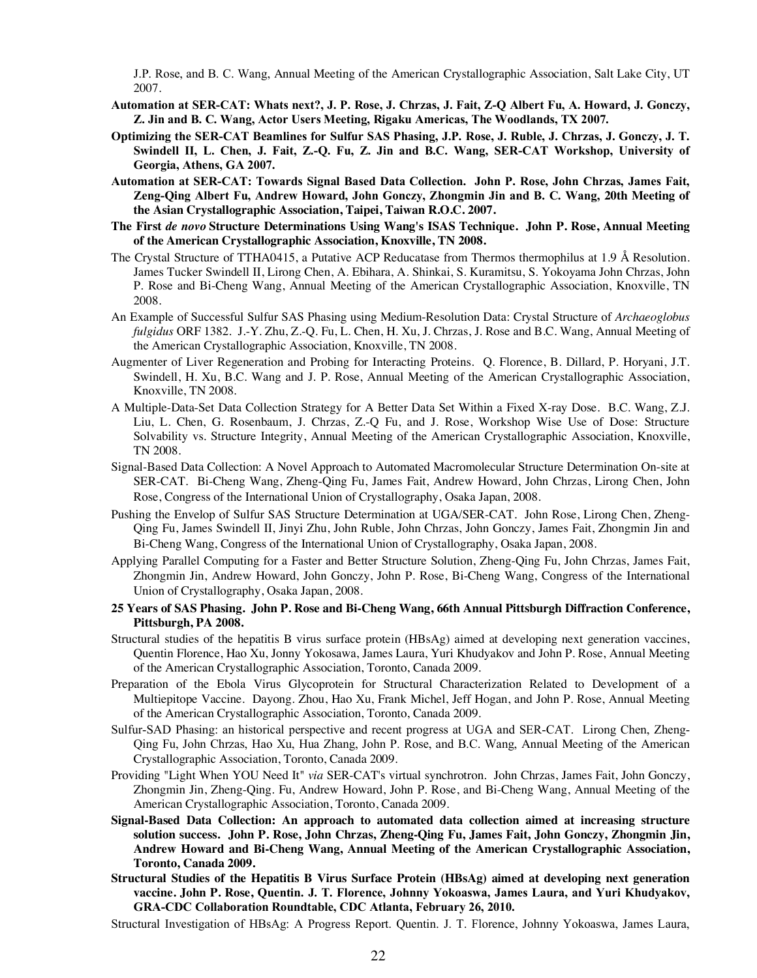J.P. Rose, and B. C. Wang, Annual Meeting of the American Crystallographic Association, Salt Lake City, UT 2007.

- **Automation at SER-CAT: Whats next?, J. P. Rose, J. Chrzas, J. Fait, Z-Q Albert Fu, A. Howard, J. Gonczy, Z. Jin and B. C. Wang, Actor Users Meeting, Rigaku Americas, The Woodlands, TX 2007.**
- **Optimizing the SER-CAT Beamlines for Sulfur SAS Phasing, J.P. Rose, J. Ruble, J. Chrzas, J. Gonczy, J. T. Swindell II, L. Chen, J. Fait, Z.-Q. Fu, Z. Jin and B.C. Wang, SER-CAT Workshop, University of Georgia, Athens, GA 2007.**
- **Automation at SER-CAT: Towards Signal Based Data Collection. John P. Rose, John Chrzas, James Fait, Zeng-Qing Albert Fu, Andrew Howard, John Gonczy, Zhongmin Jin and B. C. Wang, 20th Meeting of the Asian Crystallographic Association, Taipei, Taiwan R.O.C. 2007.**
- **The First** *de novo* **Structure Determinations Using Wang's ISAS Technique. John P. Rose, Annual Meeting of the American Crystallographic Association, Knoxville, TN 2008.**
- The Crystal Structure of TTHA0415, a Putative ACP Reducatase from Thermos thermophilus at 1.9 Å Resolution. James Tucker Swindell II, Lirong Chen, A. Ebihara, A. Shinkai, S. Kuramitsu, S. Yokoyama John Chrzas, John P. Rose and Bi-Cheng Wang, Annual Meeting of the American Crystallographic Association, Knoxville, TN 2008.
- An Example of Successful Sulfur SAS Phasing using Medium-Resolution Data: Crystal Structure of *Archaeoglobus fulgidus* ORF 1382. J.-Y. Zhu, Z.-Q. Fu, L. Chen, H. Xu, J. Chrzas, J. Rose and B.C. Wang, Annual Meeting of the American Crystallographic Association, Knoxville, TN 2008.
- Augmenter of Liver Regeneration and Probing for Interacting Proteins. Q. Florence, B. Dillard, P. Horyani, J.T. Swindell, H. Xu, B.C. Wang and J. P. Rose, Annual Meeting of the American Crystallographic Association, Knoxville, TN 2008.
- A Multiple-Data-Set Data Collection Strategy for A Better Data Set Within a Fixed X-ray Dose. B.C. Wang, Z.J. Liu, L. Chen, G. Rosenbaum, J. Chrzas, Z.-Q Fu, and J. Rose, Workshop Wise Use of Dose: Structure Solvability vs. Structure Integrity, Annual Meeting of the American Crystallographic Association, Knoxville, TN 2008.
- Signal-Based Data Collection: A Novel Approach to Automated Macromolecular Structure Determination On-site at SER-CAT. Bi-Cheng Wang, Zheng-Qing Fu, James Fait, Andrew Howard, John Chrzas, Lirong Chen, John Rose, Congress of the International Union of Crystallography, Osaka Japan, 2008.
- Pushing the Envelop of Sulfur SAS Structure Determination at UGA/SER-CAT. John Rose, Lirong Chen, Zheng-Qing Fu, James Swindell II, Jinyi Zhu, John Ruble, John Chrzas, John Gonczy, James Fait, Zhongmin Jin and Bi-Cheng Wang, Congress of the International Union of Crystallography, Osaka Japan, 2008.
- Applying Parallel Computing for a Faster and Better Structure Solution, Zheng-Qing Fu, John Chrzas, James Fait, Zhongmin Jin, Andrew Howard, John Gonczy, John P. Rose, Bi-Cheng Wang, Congress of the International Union of Crystallography, Osaka Japan, 2008.
- **25 Years of SAS Phasing. John P. Rose and Bi-Cheng Wang, 66th Annual Pittsburgh Diffraction Conference, Pittsburgh, PA 2008.**
- Structural studies of the hepatitis B virus surface protein (HBsAg) aimed at developing next generation vaccines, Quentin Florence, Hao Xu, Jonny Yokosawa, James Laura, Yuri Khudyakov and John P. Rose, Annual Meeting of the American Crystallographic Association, Toronto, Canada 2009.
- Preparation of the Ebola Virus Glycoprotein for Structural Characterization Related to Development of a Multiepitope Vaccine.Dayong. Zhou, Hao Xu, Frank Michel, Jeff Hogan, and John P. Rose, Annual Meeting of the American Crystallographic Association, Toronto, Canada 2009.
- Sulfur-SAD Phasing: an historical perspective and recent progress at UGA and SER-CAT. Lirong Chen, Zheng-Qing Fu, John Chrzas, Hao Xu, Hua Zhang, John P. Rose, and B.C. Wang, Annual Meeting of the American Crystallographic Association, Toronto, Canada 2009.
- Providing "Light When YOU Need It" *via* SER-CAT's virtual synchrotron. John Chrzas, James Fait, John Gonczy, Zhongmin Jin, Zheng-Qing. Fu, Andrew Howard, John P. Rose, and Bi-Cheng Wang, Annual Meeting of the American Crystallographic Association, Toronto, Canada 2009.
- **Signal-Based Data Collection: An approach to automated data collection aimed at increasing structure solution success. John P. Rose, John Chrzas, Zheng-Qing Fu, James Fait, John Gonczy, Zhongmin Jin, Andrew Howard and Bi-Cheng Wang, Annual Meeting of the American Crystallographic Association, Toronto, Canada 2009.**
- **Structural Studies of the Hepatitis B Virus Surface Protein (HBsAg) aimed at developing next generation vaccine. John P. Rose, Quentin. J. T. Florence, Johnny Yokoaswa, James Laura, and Yuri Khudyakov, GRA-CDC Collaboration Roundtable, CDC Atlanta, February 26, 2010.**
- Structural Investigation of HBsAg: A Progress Report. Quentin. J. T. Florence, Johnny Yokoaswa, James Laura,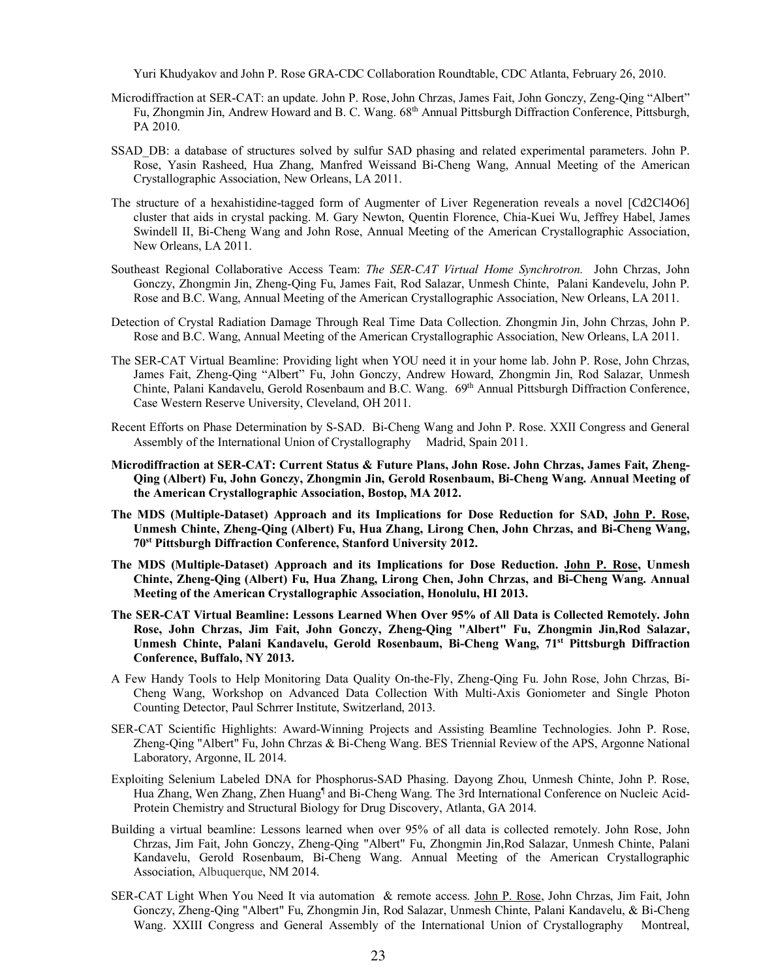Yuri Khudyakov and John P. Rose GRA-CDC Collaboration Roundtable, CDC Atlanta, February 26, 2010.

- Microdiffraction at SER-CAT: an update. John P. Rose,John Chrzas, James Fait, John Gonczy, Zeng-Qing "Albert" Fu, Zhongmin Jin, Andrew Howard and B. C. Wang. 68th Annual Pittsburgh Diffraction Conference, Pittsburgh, PA 2010.
- SSAD\_DB: a database of structures solved by sulfur SAD phasing and related experimental parameters. John P. Rose, Yasin Rasheed, Hua Zhang, Manfred Weissand Bi-Cheng Wang, Annual Meeting of the American Crystallographic Association, New Orleans, LA 2011.
- The structure of a hexahistidine-tagged form of Augmenter of Liver Regeneration reveals a novel [Cd2Cl4O6] cluster that aids in crystal packing. M. Gary Newton, Quentin Florence, Chia-Kuei Wu, Jeffrey Habel, James Swindell II, Bi-Cheng Wang and John Rose, Annual Meeting of the American Crystallographic Association, New Orleans, LA 2011.
- Southeast Regional Collaborative Access Team: *The SER-CAT Virtual Home Synchrotron.* John Chrzas, John Gonczy, Zhongmin Jin, Zheng-Qing Fu, James Fait, Rod Salazar, Unmesh Chinte, Palani Kandevelu, John P. Rose and B.C. Wang, Annual Meeting of the American Crystallographic Association, New Orleans, LA 2011.
- Detection of Crystal Radiation Damage Through Real Time Data Collection. Zhongmin Jin, John Chrzas, John P. Rose and B.C. Wang, Annual Meeting of the American Crystallographic Association, New Orleans, LA 2011.
- The SER-CAT Virtual Beamline: Providing light when YOU need it in your home lab. John P. Rose, John Chrzas, James Fait, Zheng-Qing "Albert" Fu, John Gonczy, Andrew Howard, Zhongmin Jin, Rod Salazar, Unmesh Chinte, Palani Kandavelu, Gerold Rosenbaum and B.C. Wang. 69<sup>th</sup> Annual Pittsburgh Diffraction Conference, Case Western Reserve University, Cleveland, OH 2011.
- Recent Efforts on Phase Determination by S-SAD. Bi-Cheng Wang and John P. Rose. XXII Congress and General Assembly of the International Union of Crystallography Madrid, Spain 2011.
- **Microdiffraction at SER-CAT: Current Status & Future Plans, John Rose. John Chrzas, James Fait, Zheng-Qing (Albert) Fu, John Gonczy, Zhongmin Jin, Gerold Rosenbaum, Bi-Cheng Wang. Annual Meeting of the American Crystallographic Association, Bostop, MA 2012.**
- **The MDS (Multiple-Dataset) Approach and its Implications for Dose Reduction for SAD, John P. Rose, Unmesh Chinte, Zheng-Qing (Albert) Fu, Hua Zhang, Lirong Chen, John Chrzas, and Bi-Cheng Wang, 70st Pittsburgh Diffraction Conference, Stanford University 2012.**
- **The MDS (Multiple-Dataset) Approach and its Implications for Dose Reduction. John P. Rose, Unmesh Chinte, Zheng-Qing (Albert) Fu, Hua Zhang, Lirong Chen, John Chrzas, and Bi-Cheng Wang. Annual Meeting of the American Crystallographic Association, Honolulu, HI 2013.**
- **The SER-CAT Virtual Beamline: Lessons Learned When Over 95% of All Data is Collected Remotely. John Rose, John Chrzas, Jim Fait, John Gonczy, Zheng-Qing "Albert" Fu, Zhongmin Jin,Rod Salazar, Unmesh Chinte, Palani Kandavelu, Gerold Rosenbaum, Bi-Cheng Wang, 71st Pittsburgh Diffraction Conference, Buffalo, NY 2013.**
- A Few Handy Tools to Help Monitoring Data Quality On-the-Fly, Zheng-Qing Fu. John Rose, John Chrzas, Bi-Cheng Wang, Workshop on Advanced Data Collection With Multi-Axis Goniometer and Single Photon Counting Detector, Paul Schrrer Institute, Switzerland, 2013.
- SER-CAT Scientific Highlights: Award-Winning Projects and Assisting Beamline Technologies. John P. Rose, Zheng-Qing "Albert" Fu, John Chrzas & Bi-Cheng Wang. BES Triennial Review of the APS, Argonne National Laboratory, Argonne, IL 2014.
- Exploiting Selenium Labeled DNA for Phosphorus-SAD Phasing. Dayong Zhou, Unmesh Chinte, John P. Rose, Hua Zhang, Wen Zhang, Zhen Huang<sup>¶</sup> and Bi-Cheng Wang. The 3rd International Conference on Nucleic Acid-Protein Chemistry and Structural Biology for Drug Discovery, Atlanta, GA 2014.
- Building a virtual beamline: Lessons learned when over 95% of all data is collected remotely. John Rose, John Chrzas, Jim Fait, John Gonczy, Zheng-Qing "Albert" Fu, Zhongmin Jin,Rod Salazar, Unmesh Chinte, Palani Kandavelu, Gerold Rosenbaum, Bi-Cheng Wang. Annual Meeting of the American Crystallographic Association, Albuquerque, NM 2014.
- SER-CAT Light When You Need It via automation & remote access. John P. Rose, John Chrzas, Jim Fait, John Gonczy, Zheng-Qing "Albert" Fu, Zhongmin Jin, Rod Salazar, Unmesh Chinte, Palani Kandavelu, & Bi-Cheng Wang. XXIII Congress and General Assembly of the International Union of Crystallography Montreal,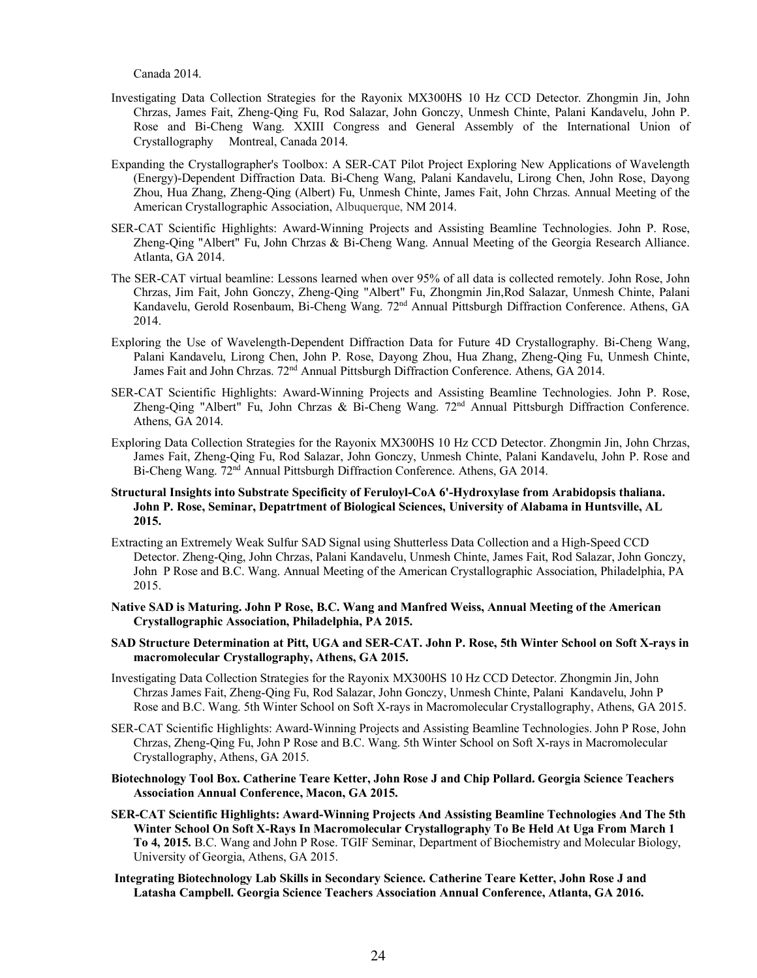Canada 2014.

- Investigating Data Collection Strategies for the Rayonix MX300HS 10 Hz CCD Detector. Zhongmin Jin, John Chrzas, James Fait, Zheng-Qing Fu, Rod Salazar, John Gonczy, Unmesh Chinte, Palani Kandavelu, John P. Rose and Bi-Cheng Wang. XXIII Congress and General Assembly of the International Union of Crystallography Montreal, Canada 2014.
- Expanding the Crystallographer's Toolbox: A SER-CAT Pilot Project Exploring New Applications of Wavelength (Energy)-Dependent Diffraction Data. Bi-Cheng Wang, Palani Kandavelu, Lirong Chen, John Rose, Dayong Zhou, Hua Zhang, Zheng-Qing (Albert) Fu, Unmesh Chinte, James Fait, John Chrzas. Annual Meeting of the American Crystallographic Association, Albuquerque, NM 2014.
- SER-CAT Scientific Highlights: Award-Winning Projects and Assisting Beamline Technologies. John P. Rose, Zheng-Qing "Albert" Fu, John Chrzas & Bi-Cheng Wang. Annual Meeting of the Georgia Research Alliance. Atlanta, GA 2014.
- The SER-CAT virtual beamline: Lessons learned when over 95% of all data is collected remotely. John Rose, John Chrzas, Jim Fait, John Gonczy, Zheng-Qing "Albert" Fu, Zhongmin Jin,Rod Salazar, Unmesh Chinte, Palani Kandavelu, Gerold Rosenbaum, Bi-Cheng Wang. 72<sup>nd</sup> Annual Pittsburgh Diffraction Conference. Athens, GA 2014.
- Exploring the Use of Wavelength-Dependent Diffraction Data for Future 4D Crystallography. Bi-Cheng Wang, Palani Kandavelu, Lirong Chen, John P. Rose, Dayong Zhou, Hua Zhang, Zheng-Qing Fu, Unmesh Chinte, James Fait and John Chrzas. 72nd Annual Pittsburgh Diffraction Conference. Athens, GA 2014.
- SER-CAT Scientific Highlights: Award-Winning Projects and Assisting Beamline Technologies. John P. Rose, Zheng-Qing "Albert" Fu, John Chrzas & Bi-Cheng Wang. 72<sup>nd</sup> Annual Pittsburgh Diffraction Conference. Athens, GA 2014.
- Exploring Data Collection Strategies for the Rayonix MX300HS 10 Hz CCD Detector. Zhongmin Jin, John Chrzas, James Fait, Zheng-Qing Fu, Rod Salazar, John Gonczy, Unmesh Chinte, Palani Kandavelu, John P. Rose and Bi-Cheng Wang. 72nd Annual Pittsburgh Diffraction Conference. Athens, GA 2014.
- **Structural Insights into Substrate Specificity of Feruloyl-CoA 6'-Hydroxylase from Arabidopsis thaliana. John P. Rose, Seminar, Depatrtment of Biological Sciences, University of Alabama in Huntsville, AL 2015.**
- Extracting an Extremely Weak Sulfur SAD Signal using Shutterless Data Collection and a High-Speed CCD Detector. Zheng-Qing, John Chrzas, Palani Kandavelu, Unmesh Chinte, James Fait, Rod Salazar, John Gonczy, John P Rose and B.C. Wang. Annual Meeting of the American Crystallographic Association, Philadelphia, PA 2015.
- **Native SAD is Maturing. John P Rose, B.C. Wang and Manfred Weiss, Annual Meeting of the American Crystallographic Association, Philadelphia, PA 2015.**
- **SAD Structure Determination at Pitt, UGA and SER-CAT. John P. Rose, 5th Winter School on Soft X-rays in macromolecular Crystallography, Athens, GA 2015.**
- Investigating Data Collection Strategies for the Rayonix MX300HS 10 Hz CCD Detector. Zhongmin Jin, John Chrzas James Fait, Zheng-Qing Fu, Rod Salazar, John Gonczy, Unmesh Chinte, Palani Kandavelu, John P Rose and B.C. Wang. 5th Winter School on Soft X-rays in Macromolecular Crystallography, Athens, GA 2015.
- SER-CAT Scientific Highlights: Award-Winning Projects and Assisting Beamline Technologies. John P Rose, John Chrzas, Zheng-Qing Fu, John P Rose and B.C. Wang. 5th Winter School on Soft X-rays in Macromolecular Crystallography, Athens, GA 2015.
- **Biotechnology Tool Box. Catherine Teare Ketter, John Rose J and Chip Pollard. Georgia Science Teachers Association Annual Conference, Macon, GA 2015.**
- **SER-CAT Scientific Highlights: Award-Winning Projects And Assisting Beamline Technologies And The 5th Winter School On Soft X-Rays In Macromolecular Crystallography To Be Held At Uga From March 1 To 4, 2015.** B.C. Wang and John P Rose. TGIF Seminar, Department of Biochemistry and Molecular Biology, University of Georgia, Athens, GA 2015.
- **Integrating Biotechnology Lab Skills in Secondary Science. Catherine Teare Ketter, John Rose J and Latasha Campbell. Georgia Science Teachers Association Annual Conference, Atlanta, GA 2016.**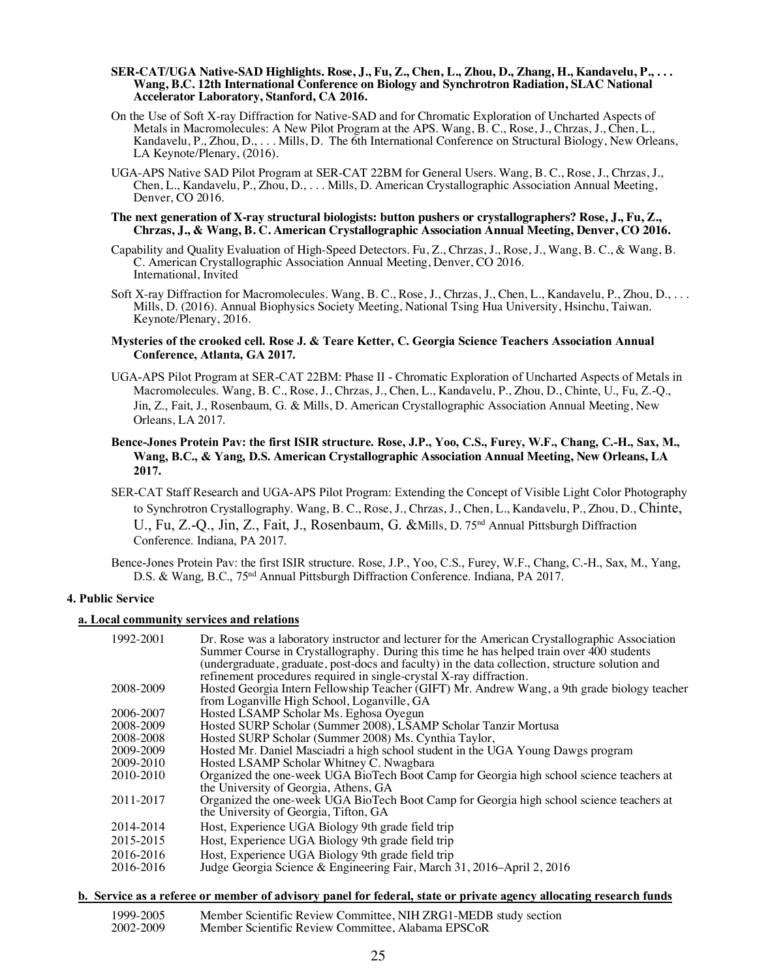#### **SER-CAT/UGA Native-SAD Highlights. Rose, J., Fu, Z., Chen, L., Zhou, D., Zhang, H., Kandavelu, P., . . . Wang, B.C. 12th International Conference on Biology and Synchrotron Radiation, SLAC National Accelerator Laboratory, Stanford, CA 2016.**

- On the Use of Soft X-ray Diffraction for Native-SAD and for Chromatic Exploration of Uncharted Aspects of Metals in Macromolecules: A New Pilot Program at the APS. Wang, B. C., Rose, J., Chrzas, J., Chen, L., Kandavelu, P., Zhou, D., . . . Mills, D. The 6th International Conference on Structural Biology, New Orleans, LA Keynote/Plenary, (2016).
- UGA-APS Native SAD Pilot Program at SER-CAT 22BM for General Users. Wang, B. C., Rose, J., Chrzas, J., Chen, L., Kandavelu, P., Zhou, D., . . . Mills, D. American Crystallographic Association Annual Meeting, Denver, CO 2016.

#### **The next generation of X-ray structural biologists: button pushers or crystallographers? Rose, J., Fu, Z., Chrzas, J., & Wang, B. C. American Crystallographic Association Annual Meeting, Denver, CO 2016.**

- Capability and Quality Evaluation of High-Speed Detectors. Fu, Z., Chrzas, J., Rose, J., Wang, B. C., & Wang, B. C. American Crystallographic Association Annual Meeting, Denver, CO 2016. International, Invited
- Soft X-ray Diffraction for Macromolecules. Wang, B. C., Rose, J., Chrzas, J., Chen, L., Kandavelu, P., Zhou, D., ... Mills, D. (2016). Annual Biophysics Society Meeting, National Tsing Hua University, Hsinchu, Taiwan. Keynote/Plenary, 2016.

## **Mysteries of the crooked cell. Rose J. & Teare Ketter, C. Georgia Science Teachers Association Annual Conference, Atlanta, GA 2017.**

UGA-APS Pilot Program at SER-CAT 22BM: Phase II - Chromatic Exploration of Uncharted Aspects of Metals in Macromolecules. Wang, B. C., Rose, J., Chrzas, J., Chen, L., Kandavelu, P., Zhou, D., Chinte, U., Fu, Z.-Q., Jin, Z., Fait, J., Rosenbaum, G. & Mills, D. American Crystallographic Association Annual Meeting, New Orleans, LA 2017.

## **Bence-Jones Protein Pav: the first ISIR structure. Rose, J.P., Yoo, C.S., Furey, W.F., Chang, C.-H., Sax, M., Wang, B.C., & Yang, D.S. American Crystallographic Association Annual Meeting, New Orleans, LA 2017.**

SER-CAT Staff Research and UGA-APS Pilot Program: Extending the Concept of Visible Light Color Photography to Synchrotron Crystallography. Wang, B. C., Rose, J., Chrzas, J., Chen, L., Kandavelu, P., Zhou, D., Chinte, U., Fu, Z.-Q., Jin, Z., Fait, J., Rosenbaum, G. &Mills, D. 75<sup>nd</sup> Annual Pittsburgh Diffraction Conference. Indiana, PA 2017.

Bence-Jones Protein Pav: the first ISIR structure. Rose, J.P., Yoo, C.S., Furey, W.F., Chang, C.-H., Sax, M., Yang, D.S. & Wang, B.C., 75<sup>nd</sup> Annual Pittsburgh Diffraction Conference. Indiana, PA 2017.

# **4. Public Service**

### **a. Local community services and relations**

| 1992-2001 | Dr. Rose was a laboratory instructor and lecturer for the American Crystallographic Association<br>Summer Course in Crystallography. During this time he has helped train over 400 students<br>(undergraduate, graduate, post-docs and faculty) in the data collection, structure solution and<br>refinement procedures required in single-crystal X-ray diffraction. |
|-----------|-----------------------------------------------------------------------------------------------------------------------------------------------------------------------------------------------------------------------------------------------------------------------------------------------------------------------------------------------------------------------|
| 2008-2009 | Hosted Georgia Intern Fellowship Teacher (GIFT) Mr. Andrew Wang, a 9th grade biology teacher<br>from Loganville High School, Loganville, GA                                                                                                                                                                                                                           |
| 2006-2007 | Hosted LSAMP Scholar Ms. Eghosa Oyegun                                                                                                                                                                                                                                                                                                                                |
| 2008-2009 | Hosted SURP Scholar (Summer 2008), LSAMP Scholar Tanzir Mortusa                                                                                                                                                                                                                                                                                                       |
| 2008-2008 | Hosted SURP Scholar (Summer 2008) Ms. Cynthia Taylor,                                                                                                                                                                                                                                                                                                                 |
| 2009-2009 | Hosted Mr. Daniel Masciadri a high school student in the UGA Young Dawgs program                                                                                                                                                                                                                                                                                      |
| 2009-2010 | Hosted LSAMP Scholar Whitney C. Nwagbara                                                                                                                                                                                                                                                                                                                              |
| 2010-2010 | Organized the one-week UGA BioTech Boot Camp for Georgia high school science teachers at<br>the University of Georgia, Athens, GA                                                                                                                                                                                                                                     |
| 2011-2017 | Organized the one-week UGA BioTech Boot Camp for Georgia high school science teachers at<br>the University of Georgia, Tifton, GA                                                                                                                                                                                                                                     |
| 2014-2014 | Host, Experience UGA Biology 9th grade field trip                                                                                                                                                                                                                                                                                                                     |
| 2015-2015 | Host, Experience UGA Biology 9th grade field trip                                                                                                                                                                                                                                                                                                                     |
| 2016-2016 | Host, Experience UGA Biology 9th grade field trip                                                                                                                                                                                                                                                                                                                     |
| 2016-2016 | Judge Georgia Science & Engineering Fair, March 31, 2016–April 2, 2016                                                                                                                                                                                                                                                                                                |

## **b. Service as a referee or member of advisory panel for federal, state or private agency allocating research funds**

1999-2005 Member Scientific Review Committee, NIH ZRG1-MEDB study section<br>2002-2009 Member Scientific Review Committee. Alabama EPSCoR Member Scientific Review Committee, Alabama EPSCoR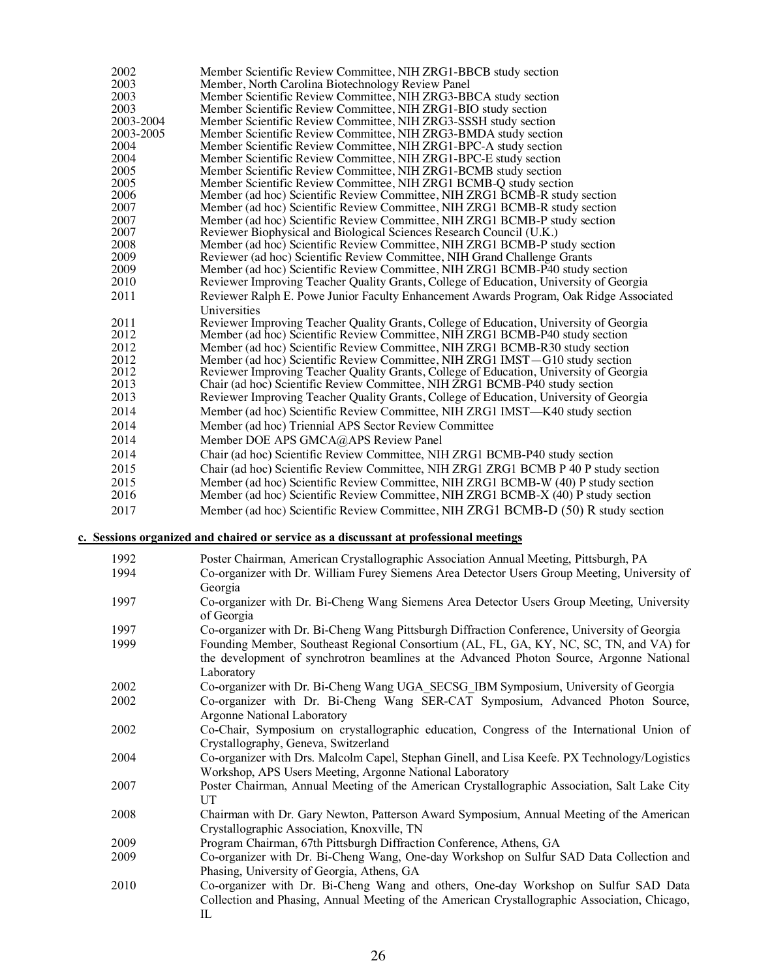| 2002      | Member Scientific Review Committee, NIH ZRG1-BBCB study section                        |
|-----------|----------------------------------------------------------------------------------------|
| 2003      | Member, North Carolina Biotechnology Review Panel                                      |
| 2003      | Member Scientific Review Committee, NIH ZRG3-BBCA study section                        |
| 2003      | Member Scientific Review Committee, NIH ZRG1-BIO study section                         |
| 2003-2004 | Member Scientific Review Committee, NIH ZRG3-SSSH study section                        |
| 2003-2005 | Member Scientific Review Committee, NIH ZRG3-BMDA study section                        |
| 2004      | Member Scientific Review Committee, NIH ZRG1-BPC-A study section                       |
| 2004      | Member Scientific Review Committee, NIH ZRG1-BPC-E study section                       |
| 2005      | Member Scientific Review Committee, NIH ZRG1-BCMB study section                        |
| 2005      | Member Scientific Review Committee, NIH ZRG1 BCMB-Q study section                      |
| 2006      | Member (ad hoc) Scientific Review Committee, NIH ZRG1 BCMB-R study section             |
| 2007      | Member (ad hoc) Scientific Review Committee, NIH ZRG1 BCMB-R study section             |
| 2007      | Member (ad hoc) Scientific Review Committee, NIH ZRG1 BCMB-P study section             |
| 2007      | Reviewer Biophysical and Biological Sciences Research Council (U.K.)                   |
| 2008      | Member (ad hoc) Scientific Review Committee, NIH ZRG1 BCMB-P study section             |
| 2009      | Reviewer (ad hoc) Scientific Review Committee, NIH Grand Challenge Grants              |
| 2009      | Member (ad hoc) Scientific Review Committee, NIH ZRG1 BCMB-P40 study section           |
| 2010      | Reviewer Improving Teacher Quality Grants, College of Education, University of Georgia |
| 2011      | Reviewer Ralph E. Powe Junior Faculty Enhancement Awards Program, Oak Ridge Associated |
|           | Universities                                                                           |
| 2011      | Reviewer Improving Teacher Quality Grants, College of Education, University of Georgia |
| 2012      | Member (ad hoc) Scientific Review Committee, NIH ZRG1 BCMB-P40 study section           |
| 2012      | Member (ad hoc) Scientific Review Committee, NIH ZRG1 BCMB-R30 study section           |
| 2012      | Member (ad hoc) Scientific Review Committee, NIH ZRG1 IMST-G10 study section           |
| 2012      | Reviewer Improving Teacher Quality Grants, College of Education, University of Georgia |
| 2013      | Chair (ad hoc) Scientific Review Committee, NIH ZRG1 BCMB-P40 study section            |
| 2013      | Reviewer Improving Teacher Quality Grants, College of Education, University of Georgia |
| 2014      | Member (ad hoc) Scientific Review Committee, NIH ZRG1 IMST-K40 study section           |
| 2014      | Member (ad hoc) Triennial APS Sector Review Committee                                  |
| 2014      | Member DOE APS GMCA@APS Review Panel                                                   |
| 2014      | Chair (ad hoc) Scientific Review Committee, NIH ZRG1 BCMB-P40 study section            |
| 2015      | Chair (ad hoc) Scientific Review Committee, NIH ZRG1 ZRG1 BCMB P 40 P study section    |
| 2015      | Member (ad hoc) Scientific Review Committee, NIH ZRG1 BCMB-W (40) P study section      |
| 2016      | Member (ad hoc) Scientific Review Committee, NIH ZRG1 BCMB-X (40) P study section      |
| 2017      | Member (ad hoc) Scientific Review Committee, NIH ZRG1 BCMB-D (50) R study section      |
|           |                                                                                        |
|           | c. Sessions organized and chaired or service as a discussant at professional meetings  |

# Poster Chairman, American Crystallographic Association Annual Meeting, Pittsburgh, PA Co-organizer with Dr. William Furey Siemens Area Detector Users Group Meeting, University of

| 1994 | Co-organizer with Dr. William Furey Siemens Area Detector Users Group Meeting, University of  |
|------|-----------------------------------------------------------------------------------------------|
|      | Georgia                                                                                       |
| 1997 | Co-organizer with Dr. Bi-Cheng Wang Siemens Area Detector Users Group Meeting, University     |
|      | of Georgia                                                                                    |
| 1997 | Co-organizer with Dr. Bi-Cheng Wang Pittsburgh Diffraction Conference, University of Georgia  |
| 1999 | Founding Member, Southeast Regional Consortium (AL, FL, GA, KY, NC, SC, TN, and VA) for       |
|      | the development of synchrotron beamlines at the Advanced Photon Source, Argonne National      |
|      | Laboratory                                                                                    |
| 2002 | Co-organizer with Dr. Bi-Cheng Wang UGA SECSG IBM Symposium, University of Georgia            |
| 2002 | Co-organizer with Dr. Bi-Cheng Wang SER-CAT Symposium, Advanced Photon Source,                |
|      | Argonne National Laboratory                                                                   |
| 2002 | Co-Chair, Symposium on crystallographic education, Congress of the International Union of     |
|      | Crystallography, Geneva, Switzerland                                                          |
| 2004 | Co-organizer with Drs. Malcolm Capel, Stephan Ginell, and Lisa Keefe. PX Technology/Logistics |
|      | Workshop, APS Users Meeting, Argonne National Laboratory                                      |
| 2007 | Poster Chairman, Annual Meeting of the American Crystallographic Association, Salt Lake City  |
|      | $_{\rm{IIT}}$                                                                                 |
| 2008 | Chairman with Dr. Gary Newton, Patterson Award Symposium, Annual Meeting of the American      |
|      | Crystallographic Association, Knoxville, TN                                                   |
| 2009 | Program Chairman, 67th Pittsburgh Diffraction Conference, Athens, GA                          |
| 2009 | Co-organizer with Dr. Bi-Cheng Wang, One-day Workshop on Sulfur SAD Data Collection and       |
|      | Phasing, University of Georgia, Athens, GA                                                    |
| 2010 | Co-organizer with Dr. Bi-Cheng Wang and others, One-day Workshop on Sulfur SAD Data           |
|      | Collection and Phasing, Annual Meeting of the American Crystallographic Association, Chicago, |
|      | IL                                                                                            |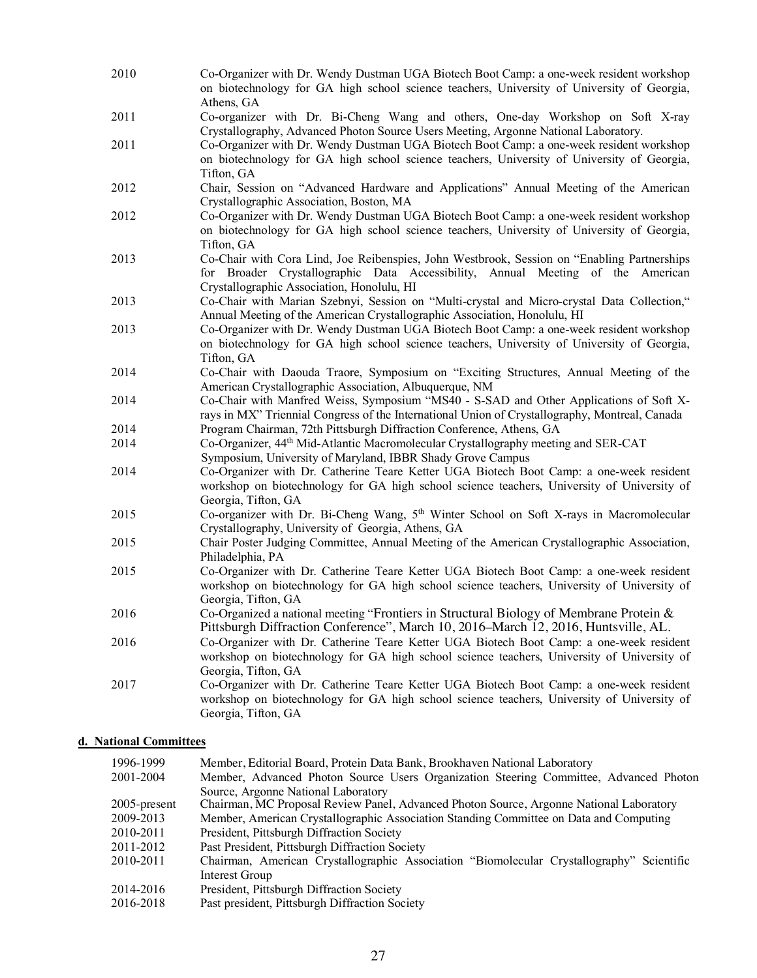2010 Co-Organizer with Dr. Wendy Dustman UGA Biotech Boot Camp: a one-week resident workshop on biotechnology for GA high school science teachers, University of University of Georgia, Athens, GA 2011 Co-organizer with Dr. Bi-Cheng Wang and others, One-day Workshop on Soft X-ray Crystallography, Advanced Photon Source Users Meeting, Argonne National Laboratory. 2011 Co-Organizer with Dr. Wendy Dustman UGA Biotech Boot Camp: a one-week resident workshop on biotechnology for GA high school science teachers, University of University of Georgia, Tifton, GA 2012 Chair, Session on "Advanced Hardware and Applications" Annual Meeting of the American Crystallographic Association, Boston, MA 2012 Co-Organizer with Dr. Wendy Dustman UGA Biotech Boot Camp: a one-week resident workshop on biotechnology for GA high school science teachers, University of University of Georgia, Tifton, GA 2013 Co-Chair with Cora Lind, Joe Reibenspies, John Westbrook, Session on "Enabling Partnerships for Broader Crystallographic Data Accessibility, Annual Meeting of the American Crystallographic Association, Honolulu, HI 2013 Co-Chair with Marian Szebnyi, Session on "Multi-crystal and Micro-crystal Data Collection," Annual Meeting of the American Crystallographic Association, Honolulu, HI 2013 Co-Organizer with Dr. Wendy Dustman UGA Biotech Boot Camp: a one-week resident workshop on biotechnology for GA high school science teachers, University of University of Georgia, Tifton, GA 2014 Co-Chair with Daouda Traore, Symposium on "Exciting Structures, Annual Meeting of the American Crystallographic Association, Albuquerque, NM 2014 Co-Chair with Manfred Weiss, Symposium "MS40 - S-SAD and Other Applications of Soft Xrays in MX" Triennial Congress of the International Union of Crystallography, Montreal, Canada 2014 Program Chairman, 72th Pittsburgh Diffraction Conference, Athens, GA 2014 Co-Organizer, 44th Mid-Atlantic Macromolecular Crystallography meeting and SER-CAT Symposium, University of Maryland, IBBR Shady Grove Campus 2014 Co-Organizer with Dr. Catherine Teare Ketter UGA Biotech Boot Camp: a one-week resident workshop on biotechnology for GA high school science teachers, University of University of Georgia, Tifton, GA 2015 Co-organizer with Dr. Bi-Cheng Wang,  $5<sup>th</sup>$  Winter School on Soft X-rays in Macromolecular Crystallography, University of Georgia, Athens, GA 2015 Chair Poster Judging Committee, Annual Meeting of the American Crystallographic Association, Philadelphia, PA 2015 Co-Organizer with Dr. Catherine Teare Ketter UGA Biotech Boot Camp: a one-week resident workshop on biotechnology for GA high school science teachers, University of University of Georgia, Tifton, GA 2016 Co-Organized a national meeting "Frontiers in Structural Biology of Membrane Protein & Pittsburgh Diffraction Conference", March 10, 2016–March 12, 2016, Huntsville, AL. 2016 Co-Organizer with Dr. Catherine Teare Ketter UGA Biotech Boot Camp: a one-week resident workshop on biotechnology for GA high school science teachers, University of University of Georgia, Tifton, GA 2017 Co-Organizer with Dr. Catherine Teare Ketter UGA Biotech Boot Camp: a one-week resident workshop on biotechnology for GA high school science teachers, University of University of Georgia, Tifton, GA

# **d. National Committees**

| 1996-1999    | Member, Editorial Board, Protein Data Bank, Brookhaven National Laboratory                |
|--------------|-------------------------------------------------------------------------------------------|
| 2001-2004    | Member, Advanced Photon Source Users Organization Steering Committee, Advanced Photon     |
|              | Source, Argonne National Laboratory                                                       |
| 2005-present | Chairman, MC Proposal Review Panel, Advanced Photon Source, Argonne National Laboratory   |
| 2009-2013    | Member, American Crystallographic Association Standing Committee on Data and Computing    |
| 2010-2011    | President, Pittsburgh Diffraction Society                                                 |
| 2011-2012    | Past President, Pittsburgh Diffraction Society                                            |
| 2010-2011    | Chairman, American Crystallographic Association "Biomolecular Crystallography" Scientific |
|              | Interest Group                                                                            |
| 2014-2016    | President, Pittsburgh Diffraction Society                                                 |
| 2016-2018    | Past president, Pittsburgh Diffraction Society                                            |
|              |                                                                                           |